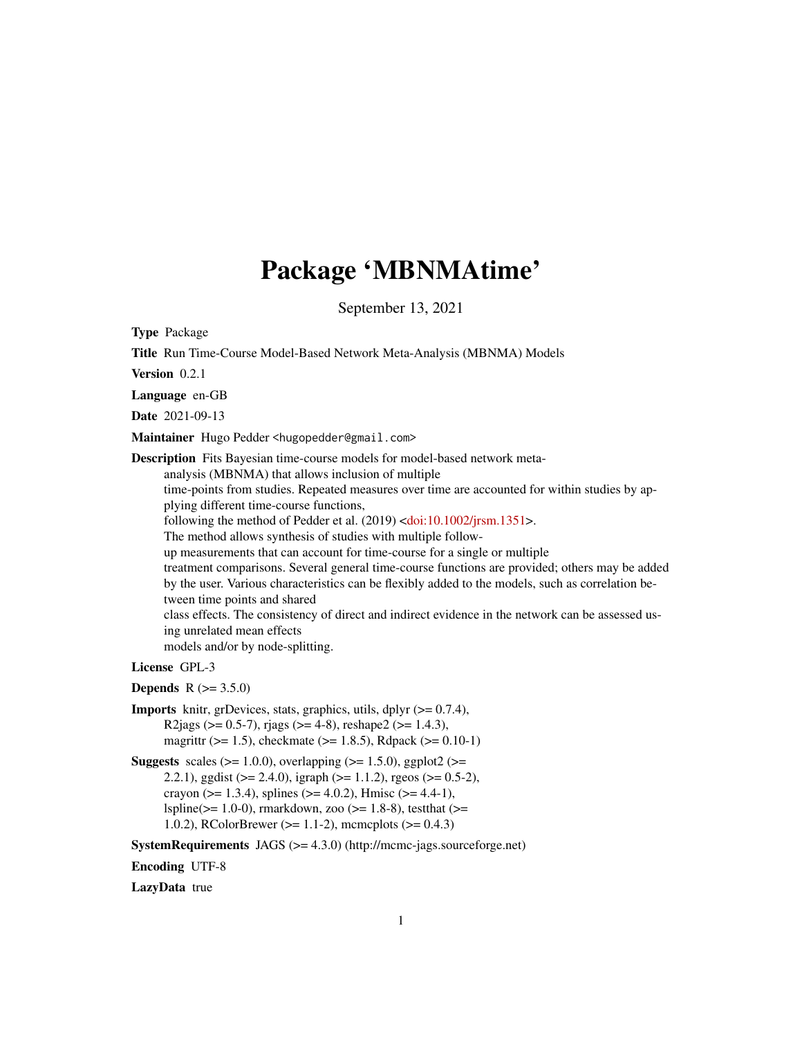# Package 'MBNMAtime'

September 13, 2021

<span id="page-0-0"></span>Type Package

Title Run Time-Course Model-Based Network Meta-Analysis (MBNMA) Models Version 0.2.1 Language en-GB Date 2021-09-13 Maintainer Hugo Pedder <hugopedder@gmail.com> Description Fits Bayesian time-course models for model-based network metaanalysis (MBNMA) that allows inclusion of multiple time-points from studies. Repeated measures over time are accounted for within studies by applying different time-course functions, following the method of Pedder et al.  $(2019)$  [<doi:10.1002/jrsm.1351>](https://doi.org/10.1002/jrsm.1351). The method allows synthesis of studies with multiple followup measurements that can account for time-course for a single or multiple treatment comparisons. Several general time-course functions are provided; others may be added by the user. Various characteristics can be flexibly added to the models, such as correlation between time points and shared class effects. The consistency of direct and indirect evidence in the network can be assessed using unrelated mean effects models and/or by node-splitting. License GPL-3 **Depends** R  $(>= 3.5.0)$ 

**Imports** knitr, grDevices, stats, graphics, utils, dplyr  $(>= 0.7.4)$ , R2jags ( $> = 0.5$ -7), rjags ( $> = 4$ -8), reshape2 ( $> = 1.4.3$ ), magrittr ( $>= 1.5$ ), checkmate ( $>= 1.8.5$ ), Rdpack ( $>= 0.10-1$ )

**Suggests** scales ( $> = 1.0.0$ ), overlapping ( $> = 1.5.0$ ), ggplot2 ( $> =$ 2.2.1), ggdist  $(>= 2.4.0)$ , igraph  $(>= 1.1.2)$ , rgeos  $(>= 0.5-2)$ , crayon ( $>= 1.3.4$ ), splines ( $>= 4.0.2$ ), Hmisc ( $>= 4.4-1$ ), lspline(>= 1.0-0), rmarkdown, zoo (>= 1.8-8), testthat (>= 1.0.2), RColorBrewer (>= 1.1-2), mcmcplots (>= 0.4.3)

SystemRequirements JAGS (>= 4.3.0) (http://mcmc-jags.sourceforge.net)

Encoding UTF-8

LazyData true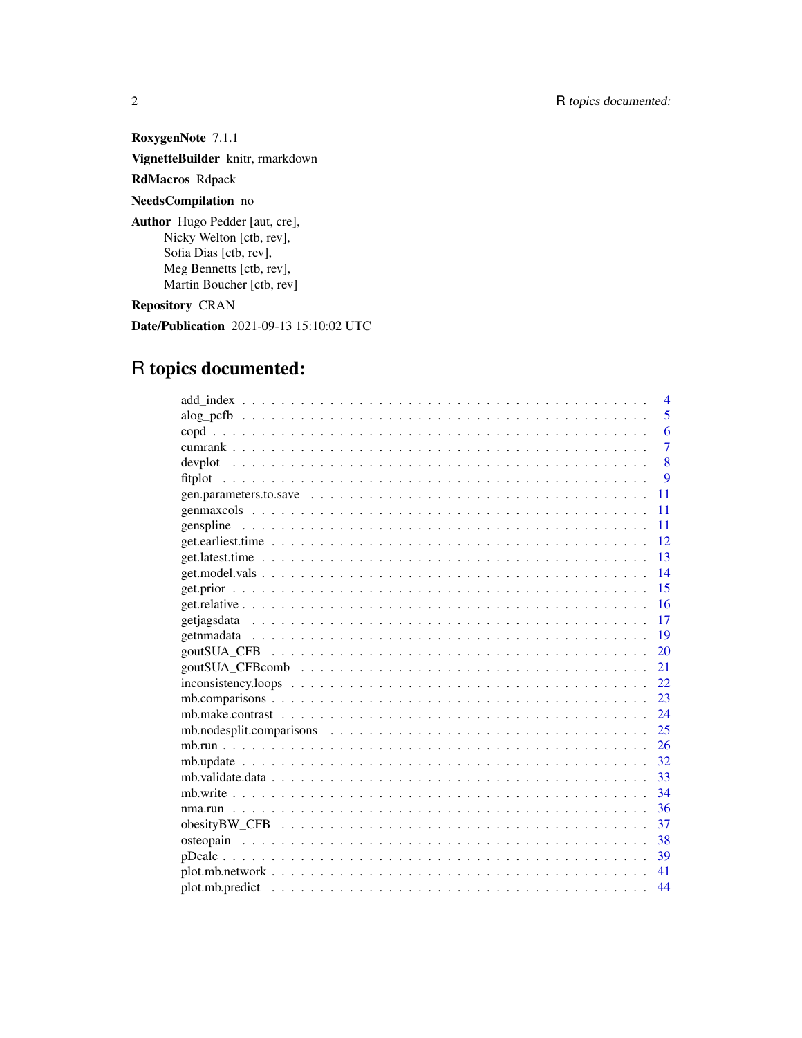RoxygenNote 7.1.1

VignetteBuilder knitr, rmarkdown

RdMacros Rdpack

# NeedsCompilation no

Author Hugo Pedder [aut, cre], Nicky Welton [ctb, rev], Sofia Dias [ctb, rev], Meg Bennetts [ctb, rev], Martin Boucher [ctb, rev]

Repository CRAN

Date/Publication 2021-09-13 15:10:02 UTC

# R topics documented:

| $\overline{4}$                                                                                                                      |
|-------------------------------------------------------------------------------------------------------------------------------------|
| 5                                                                                                                                   |
| 6                                                                                                                                   |
| $\overline{7}$                                                                                                                      |
| 8                                                                                                                                   |
| $\mathbf{Q}$                                                                                                                        |
| 11                                                                                                                                  |
| 11                                                                                                                                  |
| 11                                                                                                                                  |
| 12                                                                                                                                  |
| 13                                                                                                                                  |
| 14                                                                                                                                  |
| 15                                                                                                                                  |
| 16                                                                                                                                  |
| 17                                                                                                                                  |
| 19                                                                                                                                  |
| 20                                                                                                                                  |
| 21                                                                                                                                  |
| $\text{inconsistency}.\text{loops} \dots \dots \dots \dots \dots \dots \dots \dots \dots \dots \dots \dots \dots \dots \dots$<br>22 |
| 23                                                                                                                                  |
| 24                                                                                                                                  |
| 25                                                                                                                                  |
| 26                                                                                                                                  |
| 32                                                                                                                                  |
| 33                                                                                                                                  |
| 34                                                                                                                                  |
| 36                                                                                                                                  |
| 37                                                                                                                                  |
| 38                                                                                                                                  |
| -39                                                                                                                                 |
| 41                                                                                                                                  |
| 44                                                                                                                                  |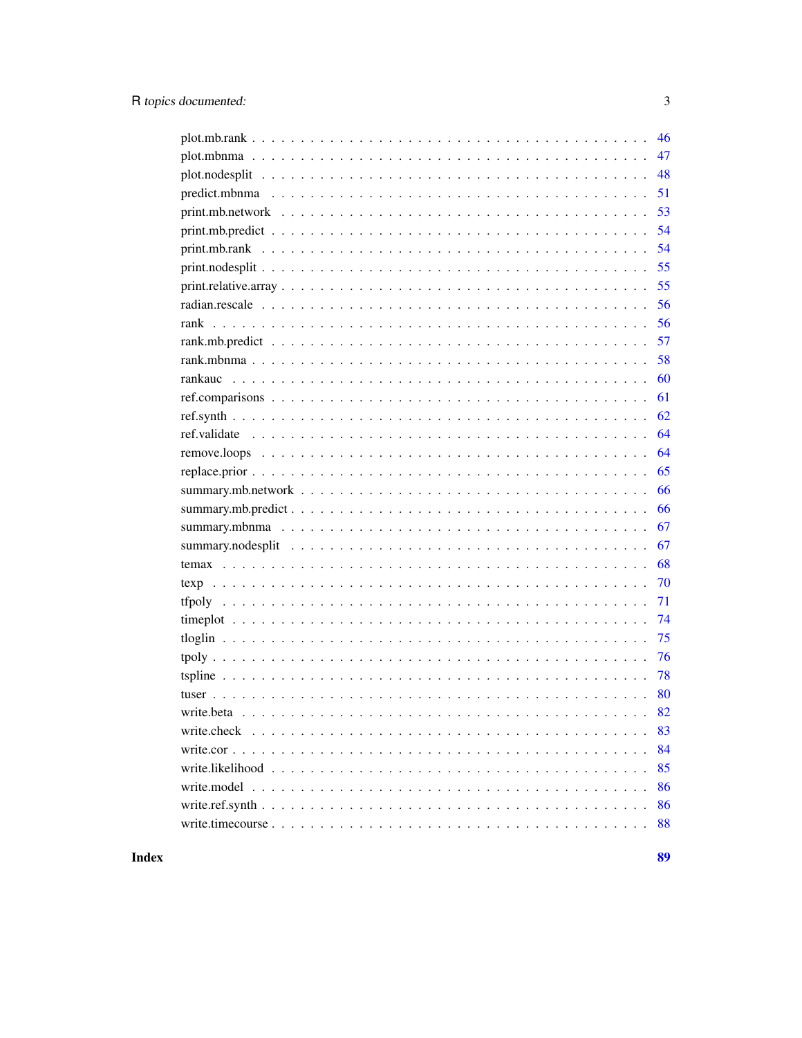| 46 |
|----|
| 47 |
| 48 |
| 51 |
| 53 |
| 54 |
| 54 |
| 55 |
| 55 |
| 56 |
| 56 |
| 57 |
| 58 |
| 60 |
| 61 |
| 62 |
| 64 |
| 64 |
| 65 |
| 66 |
| 66 |
| 67 |
| 67 |
| 68 |
| 70 |
| 71 |
| 74 |
| 75 |
| 76 |
| 78 |
| 80 |
|    |
| 83 |
| 84 |
| 85 |
| 86 |
| 86 |
| 88 |

**Index**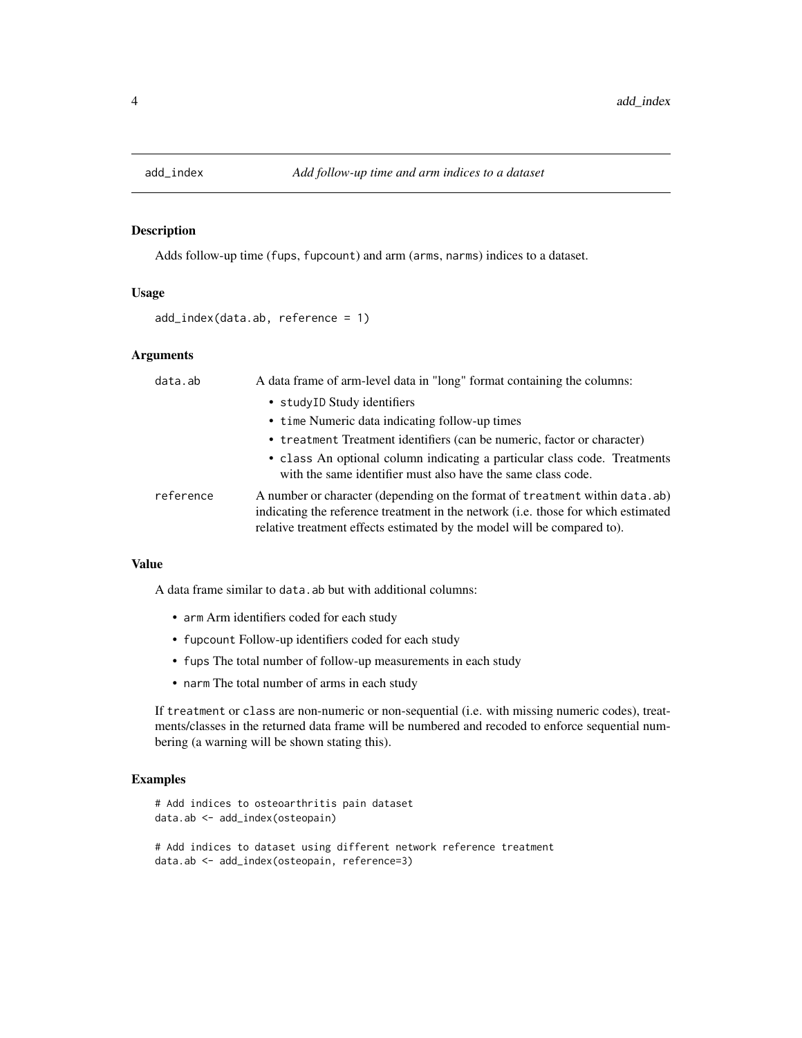<span id="page-3-0"></span>

Adds follow-up time (fups, fupcount) and arm (arms, narms) indices to a dataset.

#### Usage

```
add_index(data.ab, reference = 1)
```
#### Arguments

| data.ab   | A data frame of arm-level data in "long" format containing the columns:                                                                                                                                                                    |
|-----------|--------------------------------------------------------------------------------------------------------------------------------------------------------------------------------------------------------------------------------------------|
|           | • study ID Study identifiers                                                                                                                                                                                                               |
|           | • time Numeric data indicating follow-up times                                                                                                                                                                                             |
|           | • treatment Treatment identifiers (can be numeric, factor or character)                                                                                                                                                                    |
|           | • class An optional column indicating a particular class code. Treatments<br>with the same identifier must also have the same class code.                                                                                                  |
| reference | A number or character (depending on the format of treatment within data.ab)<br>indicating the reference treatment in the network (i.e. those for which estimated<br>relative treatment effects estimated by the model will be compared to. |

#### Value

A data frame similar to data.ab but with additional columns:

- arm Arm identifiers coded for each study
- fupcount Follow-up identifiers coded for each study
- fups The total number of follow-up measurements in each study
- narm The total number of arms in each study

If treatment or class are non-numeric or non-sequential (i.e. with missing numeric codes), treatments/classes in the returned data frame will be numbered and recoded to enforce sequential numbering (a warning will be shown stating this).

# Examples

```
# Add indices to osteoarthritis pain dataset
data.ab <- add_index(osteopain)
# Add indices to dataset using different network reference treatment
data.ab <- add_index(osteopain, reference=3)
```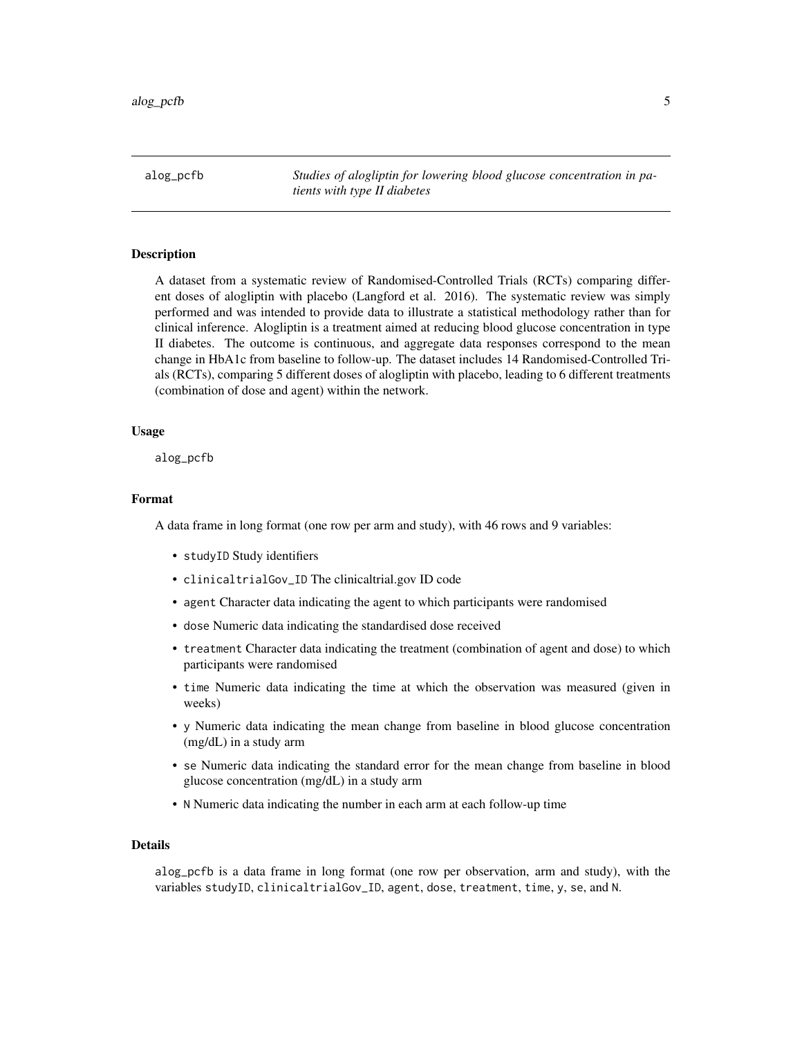<span id="page-4-0"></span>alog\_pcfb *Studies of alogliptin for lowering blood glucose concentration in patients with type II diabetes*

#### **Description**

A dataset from a systematic review of Randomised-Controlled Trials (RCTs) comparing different doses of alogliptin with placebo (Langford et al. 2016). The systematic review was simply performed and was intended to provide data to illustrate a statistical methodology rather than for clinical inference. Alogliptin is a treatment aimed at reducing blood glucose concentration in type II diabetes. The outcome is continuous, and aggregate data responses correspond to the mean change in HbA1c from baseline to follow-up. The dataset includes 14 Randomised-Controlled Trials (RCTs), comparing 5 different doses of alogliptin with placebo, leading to 6 different treatments (combination of dose and agent) within the network.

#### Usage

alog\_pcfb

# Format

A data frame in long format (one row per arm and study), with 46 rows and 9 variables:

- studyID Study identifiers
- clinicaltrialGov\_ID The clinicaltrial.gov ID code
- agent Character data indicating the agent to which participants were randomised
- dose Numeric data indicating the standardised dose received
- treatment Character data indicating the treatment (combination of agent and dose) to which participants were randomised
- time Numeric data indicating the time at which the observation was measured (given in weeks)
- y Numeric data indicating the mean change from baseline in blood glucose concentration (mg/dL) in a study arm
- se Numeric data indicating the standard error for the mean change from baseline in blood glucose concentration (mg/dL) in a study arm
- N Numeric data indicating the number in each arm at each follow-up time

# Details

alog\_pcfb is a data frame in long format (one row per observation, arm and study), with the variables studyID, clinicaltrialGov\_ID, agent, dose, treatment, time, y, se, and N.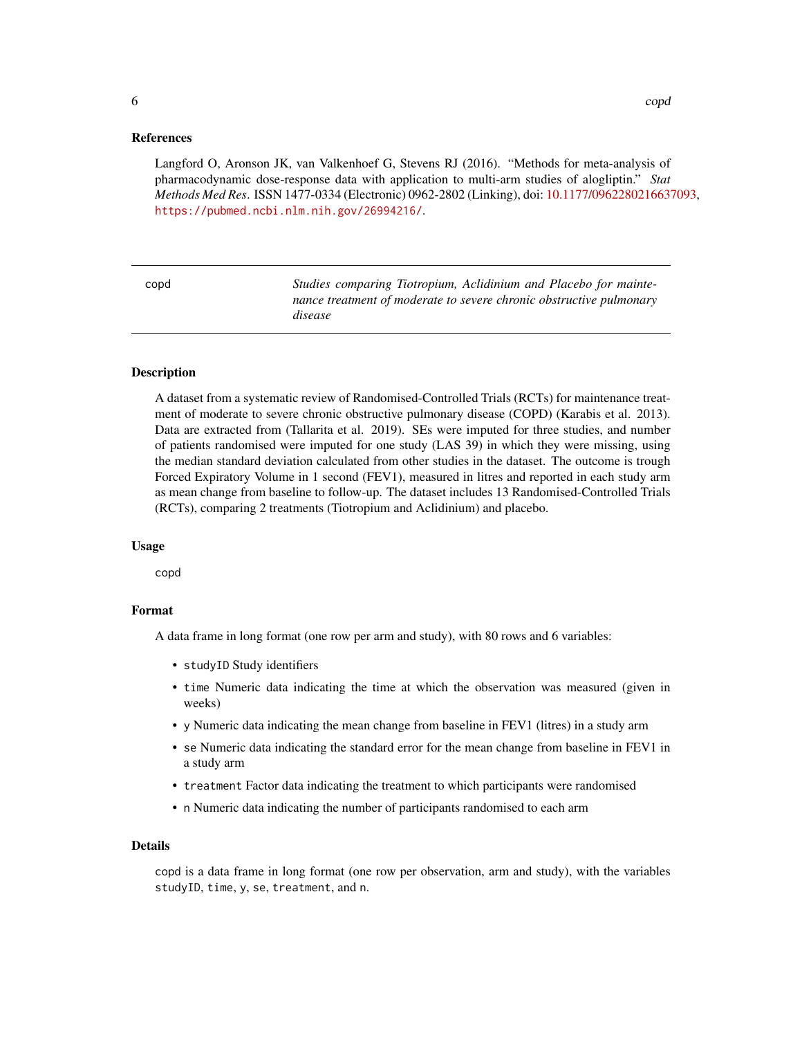#### <span id="page-5-0"></span>References

Langford O, Aronson JK, van Valkenhoef G, Stevens RJ (2016). "Methods for meta-analysis of pharmacodynamic dose-response data with application to multi-arm studies of alogliptin." *Stat Methods Med Res*. ISSN 1477-0334 (Electronic) 0962-2802 (Linking), doi: [10.1177/0962280216637093,](https://doi.org/10.1177/0962280216637093) <https://pubmed.ncbi.nlm.nih.gov/26994216/>.

copd *Studies comparing Tiotropium, Aclidinium and Placebo for maintenance treatment of moderate to severe chronic obstructive pulmonary disease*

#### Description

A dataset from a systematic review of Randomised-Controlled Trials (RCTs) for maintenance treatment of moderate to severe chronic obstructive pulmonary disease (COPD) (Karabis et al. 2013). Data are extracted from (Tallarita et al. 2019). SEs were imputed for three studies, and number of patients randomised were imputed for one study (LAS 39) in which they were missing, using the median standard deviation calculated from other studies in the dataset. The outcome is trough Forced Expiratory Volume in 1 second (FEV1), measured in litres and reported in each study arm as mean change from baseline to follow-up. The dataset includes 13 Randomised-Controlled Trials (RCTs), comparing 2 treatments (Tiotropium and Aclidinium) and placebo.

#### Usage

copd

#### Format

A data frame in long format (one row per arm and study), with 80 rows and 6 variables:

- studyID Study identifiers
- time Numeric data indicating the time at which the observation was measured (given in weeks)
- y Numeric data indicating the mean change from baseline in FEV1 (litres) in a study arm
- se Numeric data indicating the standard error for the mean change from baseline in FEV1 in a study arm
- treatment Factor data indicating the treatment to which participants were randomised
- n Numeric data indicating the number of participants randomised to each arm

#### Details

copd is a data frame in long format (one row per observation, arm and study), with the variables studyID, time, y, se, treatment, and n.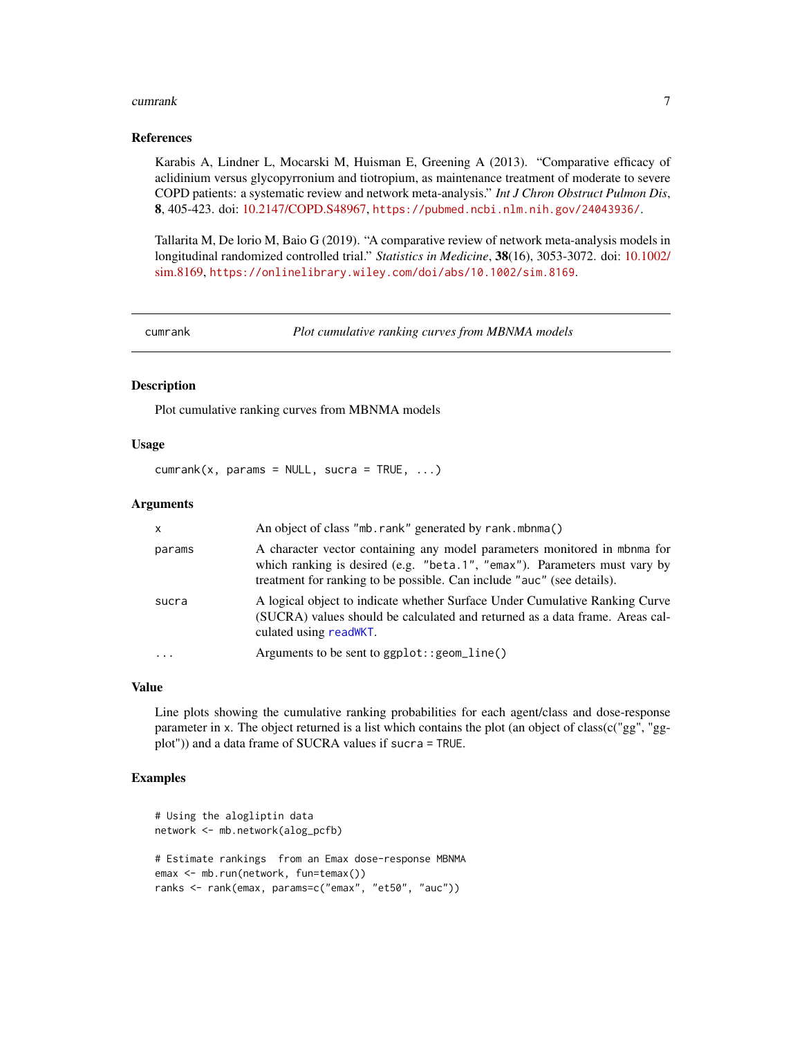#### <span id="page-6-0"></span>cumrank 7

#### References

Karabis A, Lindner L, Mocarski M, Huisman E, Greening A (2013). "Comparative efficacy of aclidinium versus glycopyrronium and tiotropium, as maintenance treatment of moderate to severe COPD patients: a systematic review and network meta-analysis." *Int J Chron Obstruct Pulmon Dis*, 8, 405-423. doi: [10.2147/COPD.S48967,](https://doi.org/10.2147/COPD.S48967) <https://pubmed.ncbi.nlm.nih.gov/24043936/>.

Tallarita M, De lorio M, Baio G (2019). "A comparative review of network meta-analysis models in longitudinal randomized controlled trial." *Statistics in Medicine*, 38(16), 3053-3072. doi: [10.1002/](https://doi.org/10.1002/sim.8169) [sim.8169,](https://doi.org/10.1002/sim.8169) <https://onlinelibrary.wiley.com/doi/abs/10.1002/sim.8169>.

cumrank *Plot cumulative ranking curves from MBNMA models*

#### **Description**

Plot cumulative ranking curves from MBNMA models

#### Usage

 $cumrank(x, params = NULL, sur a = TRUE, ...)$ 

#### Arguments

| x        | An object of class "mb. rank" generated by rank. mbnma()                                                                                                                                                                         |
|----------|----------------------------------------------------------------------------------------------------------------------------------------------------------------------------------------------------------------------------------|
| params   | A character vector containing any model parameters monitored in mbnma for<br>which ranking is desired (e.g. "beta.1", "emax"). Parameters must vary by<br>treatment for ranking to be possible. Can include "auc" (see details). |
| sucra    | A logical object to indicate whether Surface Under Cumulative Ranking Curve<br>(SUCRA) values should be calculated and returned as a data frame. Areas cal-<br>culated using read WKT.                                           |
| $\cdots$ | Arguments to be sent to ggplot:: geom_line()                                                                                                                                                                                     |

#### Value

Line plots showing the cumulative ranking probabilities for each agent/class and dose-response parameter in x. The object returned is a list which contains the plot (an object of class(c("gg", "ggplot")) and a data frame of SUCRA values if sucra = TRUE.

# Examples

```
# Using the alogliptin data
network <- mb.network(alog_pcfb)
# Estimate rankings from an Emax dose-response MBNMA
emax <- mb.run(network, fun=temax())
ranks <- rank(emax, params=c("emax", "et50", "auc"))
```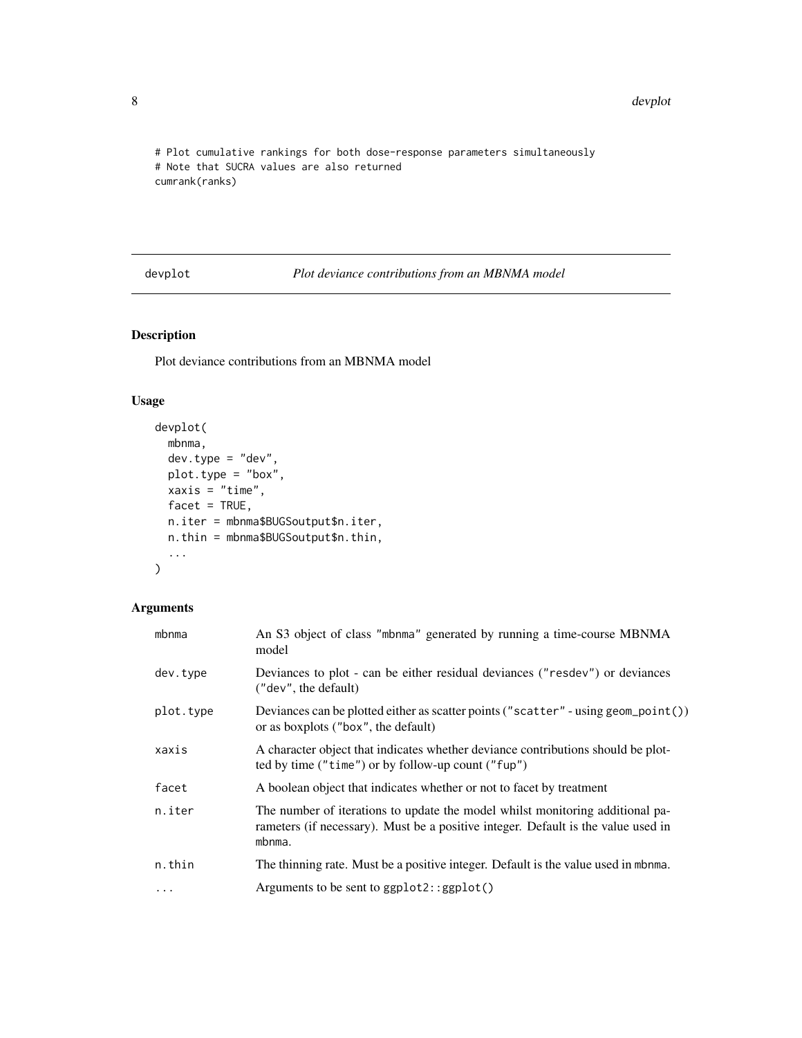8 development of the contract of the contract of the contract of the contract of the contract of the contract of the contract of the contract of the contract of the contract of the contract of the contract of the contract

```
# Plot cumulative rankings for both dose-response parameters simultaneously
# Note that SUCRA values are also returned
cumrank(ranks)
```
devplot *Plot deviance contributions from an MBNMA model*

# Description

Plot deviance contributions from an MBNMA model

# Usage

```
devplot(
 mbnma,
  dev.type = "dev",
 plot.type = "box",
 xaxis = "time",
 facet = TRUE,n.iter = mbnma$BUGSoutput$n.iter,
 n.thin = mbnma$BUGSoutput$n.thin,
  ...
)
```
# Arguments

| mbnma     | An S3 object of class "mbnma" generated by running a time-course MBNMA<br>model                                                                                              |
|-----------|------------------------------------------------------------------------------------------------------------------------------------------------------------------------------|
| dev.type  | Deviances to plot - can be either residual deviances ("resdev") or deviances<br>("dev", the default)                                                                         |
| plot.type | Deviances can be plotted either as scatter points ("scatter" - using geom_point())<br>or as boxplots ("box", the default)                                                    |
| xaxis     | A character object that indicates whether deviance contributions should be plot-<br>ted by time ("time") or by follow-up count ("fup")                                       |
| facet     | A boolean object that indicates whether or not to facet by treatment                                                                                                         |
| n.iter    | The number of iterations to update the model whilst monitoring additional pa-<br>rameters (if necessary). Must be a positive integer. Default is the value used in<br>mbnma. |
| n.thin    | The thinning rate. Must be a positive integer. Default is the value used in mbnma.                                                                                           |
| $\cdots$  | Arguments to be sent to ggplot2::ggplot()                                                                                                                                    |

<span id="page-7-0"></span>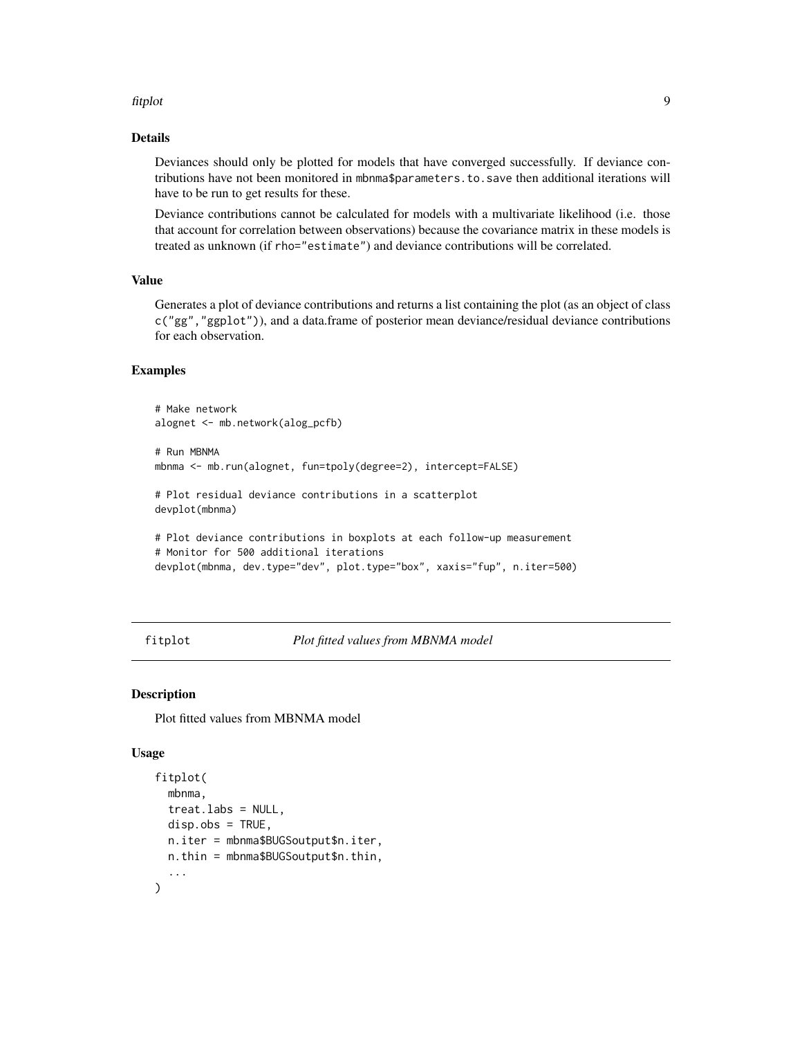#### <span id="page-8-0"></span>fitplot 9

# Details

Deviances should only be plotted for models that have converged successfully. If deviance contributions have not been monitored in mbnma\$parameters.to.save then additional iterations will have to be run to get results for these.

Deviance contributions cannot be calculated for models with a multivariate likelihood (i.e. those that account for correlation between observations) because the covariance matrix in these models is treated as unknown (if rho="estimate") and deviance contributions will be correlated.

#### Value

Generates a plot of deviance contributions and returns a list containing the plot (as an object of class c("gg","ggplot")), and a data.frame of posterior mean deviance/residual deviance contributions for each observation.

#### Examples

```
# Make network
alognet <- mb.network(alog_pcfb)
# Run MBNMA
mbnma <- mb.run(alognet, fun=tpoly(degree=2), intercept=FALSE)
# Plot residual deviance contributions in a scatterplot
devplot(mbnma)
# Plot deviance contributions in boxplots at each follow-up measurement
# Monitor for 500 additional iterations
devplot(mbnma, dev.type="dev", plot.type="box", xaxis="fup", n.iter=500)
```
fitplot *Plot fitted values from MBNMA model*

#### Description

Plot fitted values from MBNMA model

#### Usage

```
fitplot(
 mbnma,
  treat.labs = NULL,
 disp.obs = TRUE,
  n.iter = mbnma$BUGSoutput$n.iter,
 n.thin = mbnma$BUGSoutput$n.thin,
  ...
)
```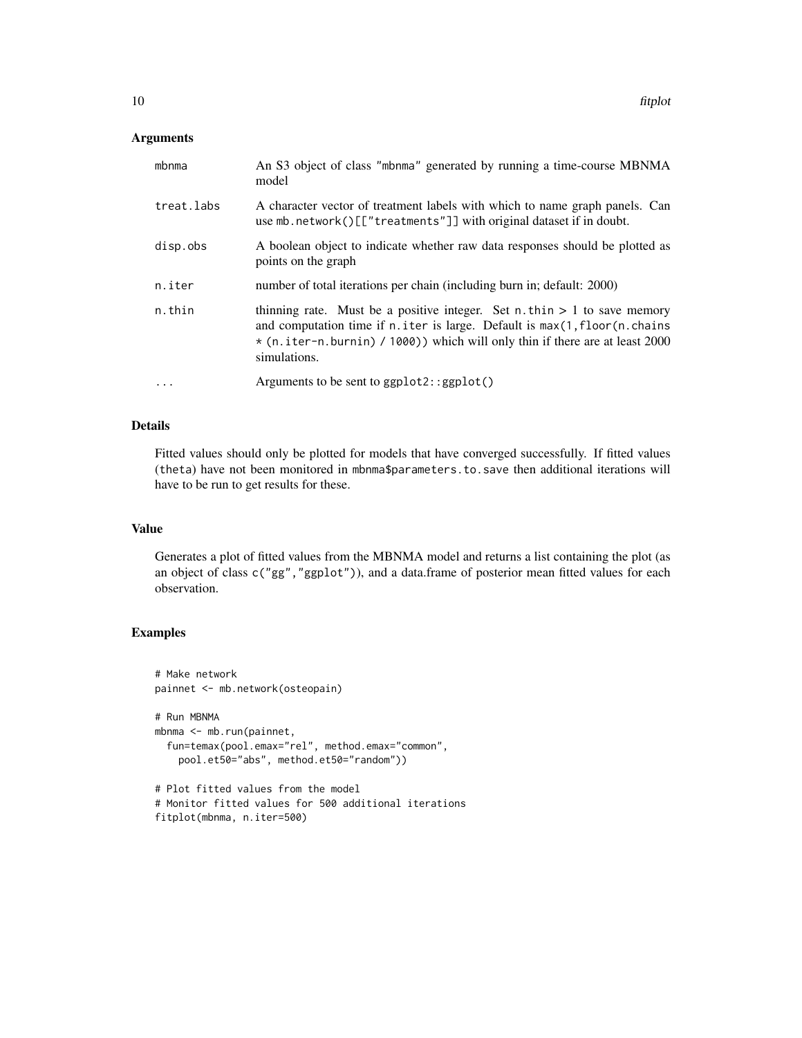#### Arguments

| mbnma      | An S3 object of class "mbnma" generated by running a time-course MBNMA<br>model                                                                                                                                                                          |
|------------|----------------------------------------------------------------------------------------------------------------------------------------------------------------------------------------------------------------------------------------------------------|
| treat.labs | A character vector of treatment labels with which to name graph panels. Can<br>use mb.network()[["treatments"]] with original dataset if in doubt.                                                                                                       |
| disp.obs   | A boolean object to indicate whether raw data responses should be plotted as<br>points on the graph                                                                                                                                                      |
| n.iter     | number of total iterations per chain (including burn in; default: 2000)                                                                                                                                                                                  |
| n.thin     | thinning rate. Must be a positive integer. Set n.thin $> 1$ to save memory<br>and computation time if n. iter is large. Default is max(1,floor(n.chains)<br>* (n.iter-n.burnin) / 1000)) which will only thin if there are at least 2000<br>simulations. |
| $\ddots$ . | Arguments to be sent to $ggplot2::ggplot()$                                                                                                                                                                                                              |

# Details

Fitted values should only be plotted for models that have converged successfully. If fitted values (theta) have not been monitored in mbnma\$parameters.to.save then additional iterations will have to be run to get results for these.

# Value

Generates a plot of fitted values from the MBNMA model and returns a list containing the plot (as an object of class c("gg","ggplot")), and a data.frame of posterior mean fitted values for each observation.

#### Examples

```
# Make network
painnet <- mb.network(osteopain)
# Run MBNMA
mbnma <- mb.run(painnet,
 fun=temax(pool.emax="rel", method.emax="common",
   pool.et50="abs", method.et50="random"))
# Plot fitted values from the model
# Monitor fitted values for 500 additional iterations
```

```
fitplot(mbnma, n.iter=500)
```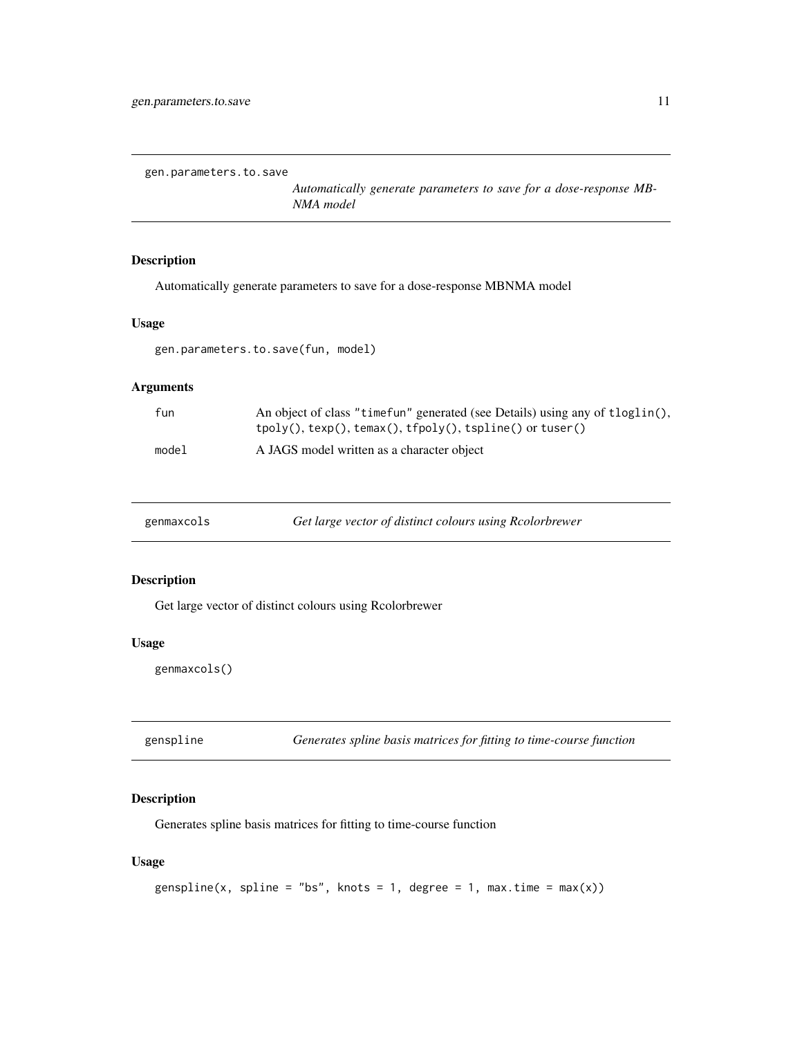<span id="page-10-0"></span>gen.parameters.to.save

*Automatically generate parameters to save for a dose-response MB-NMA model*

# Description

Automatically generate parameters to save for a dose-response MBNMA model

### Usage

```
gen.parameters.to.save(fun, model)
```
#### Arguments

| A JAGS model written as a character object | fun   | An object of class "timefun" generated (see Details) using any of tloglin(),<br>$tpoly(), texp(), temax(), tfpoly(), tsplit)$ or tuser() |
|--------------------------------------------|-------|------------------------------------------------------------------------------------------------------------------------------------------|
|                                            | model |                                                                                                                                          |

| genmaxcols |  | Get large vector of distinct colours using Rcolorbrewer |
|------------|--|---------------------------------------------------------|
|------------|--|---------------------------------------------------------|

#### Description

Get large vector of distinct colours using Rcolorbrewer

# Usage

genmaxcols()

| genspline | Generates spline basis matrices for fitting to time-course function |  |
|-----------|---------------------------------------------------------------------|--|
|-----------|---------------------------------------------------------------------|--|

# Description

Generates spline basis matrices for fitting to time-course function

# Usage

```
genspline(x, spline = "bs", knots = 1, degree = 1, max.time = max(x))
```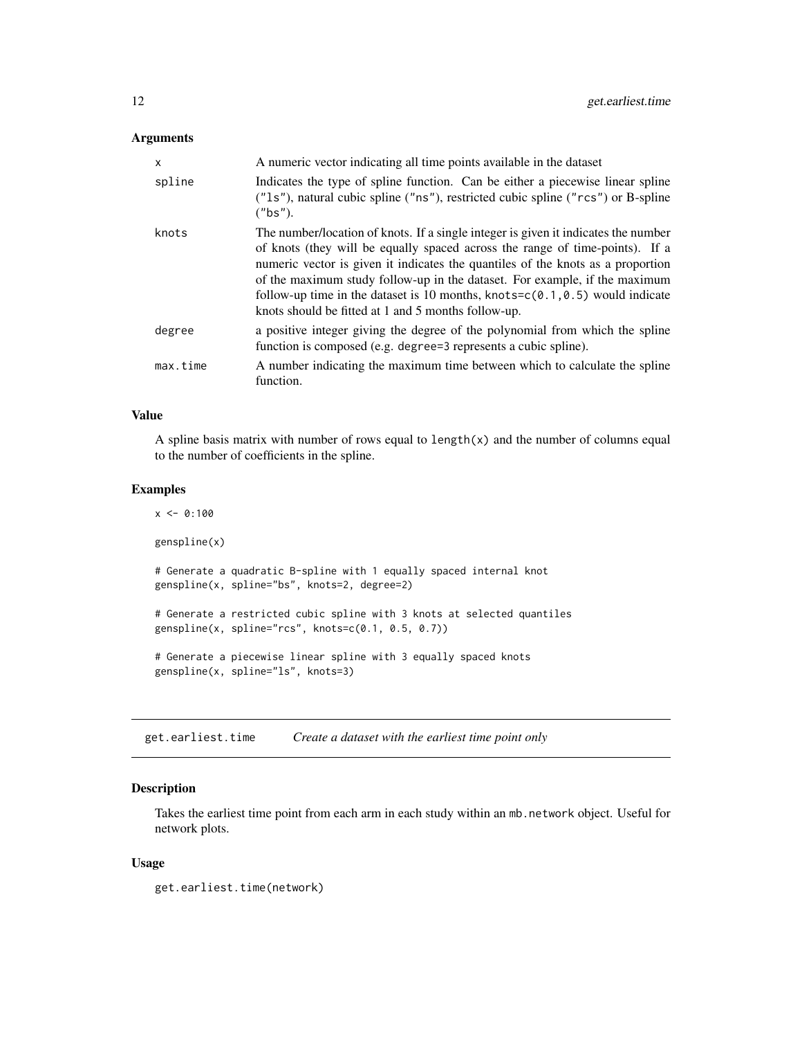#### <span id="page-11-0"></span>Arguments

| x        | A numeric vector indicating all time points available in the dataset                                                                                                                                                                                                                                                                                                                                                                                                          |
|----------|-------------------------------------------------------------------------------------------------------------------------------------------------------------------------------------------------------------------------------------------------------------------------------------------------------------------------------------------------------------------------------------------------------------------------------------------------------------------------------|
| spline   | Indicates the type of spline function. Can be either a piecewise linear spline<br>("1s"), natural cubic spline ("ns"), restricted cubic spline ("rcs") or B-spline<br>("bs").                                                                                                                                                                                                                                                                                                 |
| knots    | The number/location of knots. If a single integer is given it indicates the number<br>of knots (they will be equally spaced across the range of time-points). If a<br>numeric vector is given it indicates the quantiles of the knots as a proportion<br>of the maximum study follow-up in the dataset. For example, if the maximum<br>follow-up time in the dataset is 10 months, knots= $c(0.1, 0.5)$ would indicate<br>knots should be fitted at 1 and 5 months follow-up. |
| degree   | a positive integer giving the degree of the polynomial from which the spline<br>function is composed (e.g. degree=3 represents a cubic spline).                                                                                                                                                                                                                                                                                                                               |
| max.time | A number indicating the maximum time between which to calculate the spline<br>function.                                                                                                                                                                                                                                                                                                                                                                                       |

#### Value

A spline basis matrix with number of rows equal to  $length(x)$  and the number of columns equal to the number of coefficients in the spline.

#### Examples

 $x < -0:100$ genspline(x) # Generate a quadratic B-spline with 1 equally spaced internal knot genspline(x, spline="bs", knots=2, degree=2) # Generate a restricted cubic spline with 3 knots at selected quantiles genspline(x, spline="rcs", knots=c(0.1, 0.5, 0.7)) # Generate a piecewise linear spline with 3 equally spaced knots genspline(x, spline="ls", knots=3)

get.earliest.time *Create a dataset with the earliest time point only*

# Description

Takes the earliest time point from each arm in each study within an mb.network object. Useful for network plots.

#### Usage

get.earliest.time(network)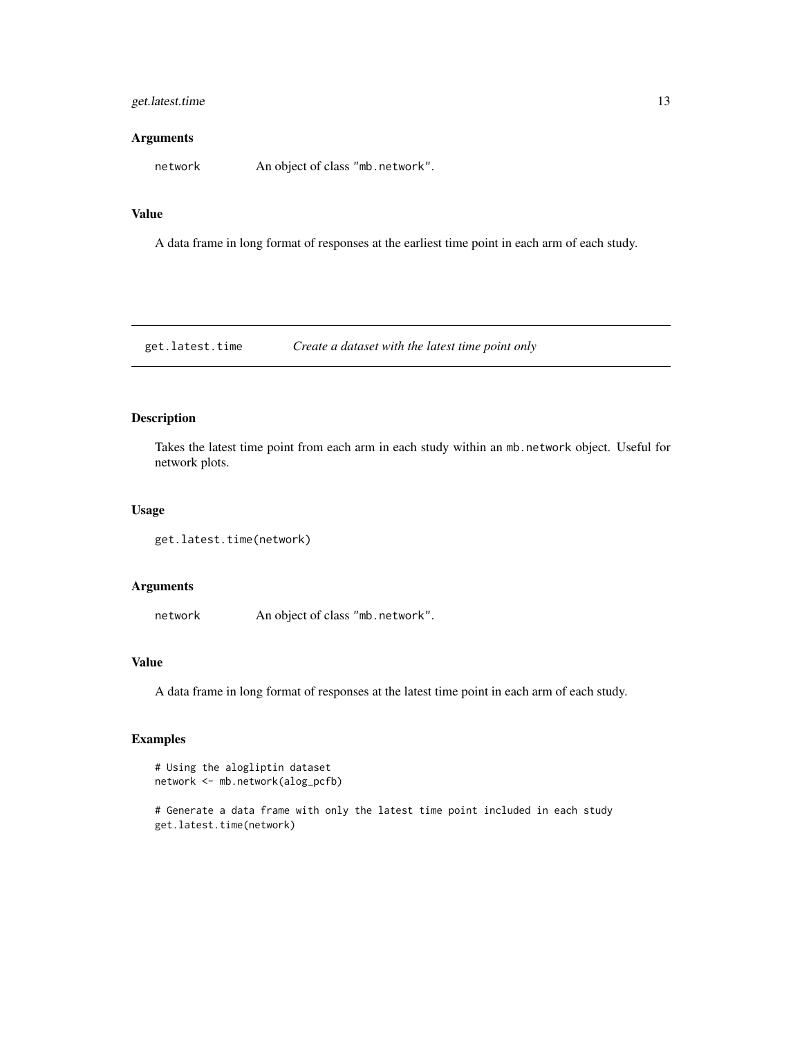# <span id="page-12-0"></span>get.latest.time 13

### Arguments

network An object of class "mb.network".

#### Value

A data frame in long format of responses at the earliest time point in each arm of each study.

get.latest.time *Create a dataset with the latest time point only*

# Description

Takes the latest time point from each arm in each study within an mb.network object. Useful for network plots.

#### Usage

```
get.latest.time(network)
```
# Arguments

network An object of class "mb.network".

# Value

A data frame in long format of responses at the latest time point in each arm of each study.

# Examples

```
# Using the alogliptin dataset
network <- mb.network(alog_pcfb)
```
# Generate a data frame with only the latest time point included in each study get.latest.time(network)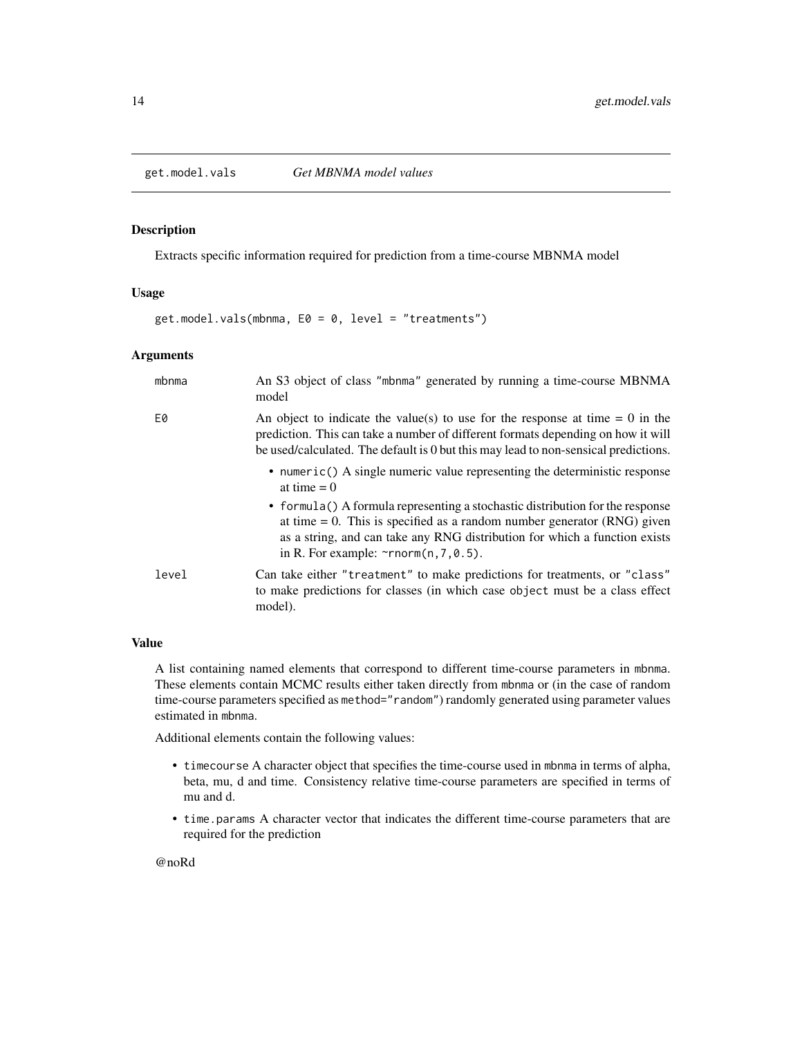<span id="page-13-0"></span>

Extracts specific information required for prediction from a time-course MBNMA model

#### Usage

 $get.model.values(mbnma, E0 = 0, level = "treatments")$ 

#### Arguments

| mbnma | An S3 object of class "mbnma" generated by running a time-course MBNMA<br>model                                                                                                                                                                                                          |
|-------|------------------------------------------------------------------------------------------------------------------------------------------------------------------------------------------------------------------------------------------------------------------------------------------|
| E0    | An object to indicate the value(s) to use for the response at time $= 0$ in the<br>prediction. This can take a number of different formats depending on how it will<br>be used/calculated. The default is 0 but this may lead to non-sensical predictions.                               |
|       | • numeric() A single numeric value representing the deterministic response<br>at time $= 0$                                                                                                                                                                                              |
|       | • formula() A formula representing a stochastic distribution for the response<br>at time $= 0$ . This is specified as a random number generator (RNG) given<br>as a string, and can take any RNG distribution for which a function exists<br>in R. For example: $\sim$ rnorm(n, 7, 0.5). |
| level | Can take either "treatment" to make predictions for treatments, or "class"<br>to make predictions for classes (in which case object must be a class effect<br>model).                                                                                                                    |

#### Value

A list containing named elements that correspond to different time-course parameters in mbnma. These elements contain MCMC results either taken directly from mbnma or (in the case of random time-course parameters specified as method="random") randomly generated using parameter values estimated in mbnma.

Additional elements contain the following values:

- timecourse A character object that specifies the time-course used in mbnma in terms of alpha, beta, mu, d and time. Consistency relative time-course parameters are specified in terms of mu and d.
- time.params A character vector that indicates the different time-course parameters that are required for the prediction

@noRd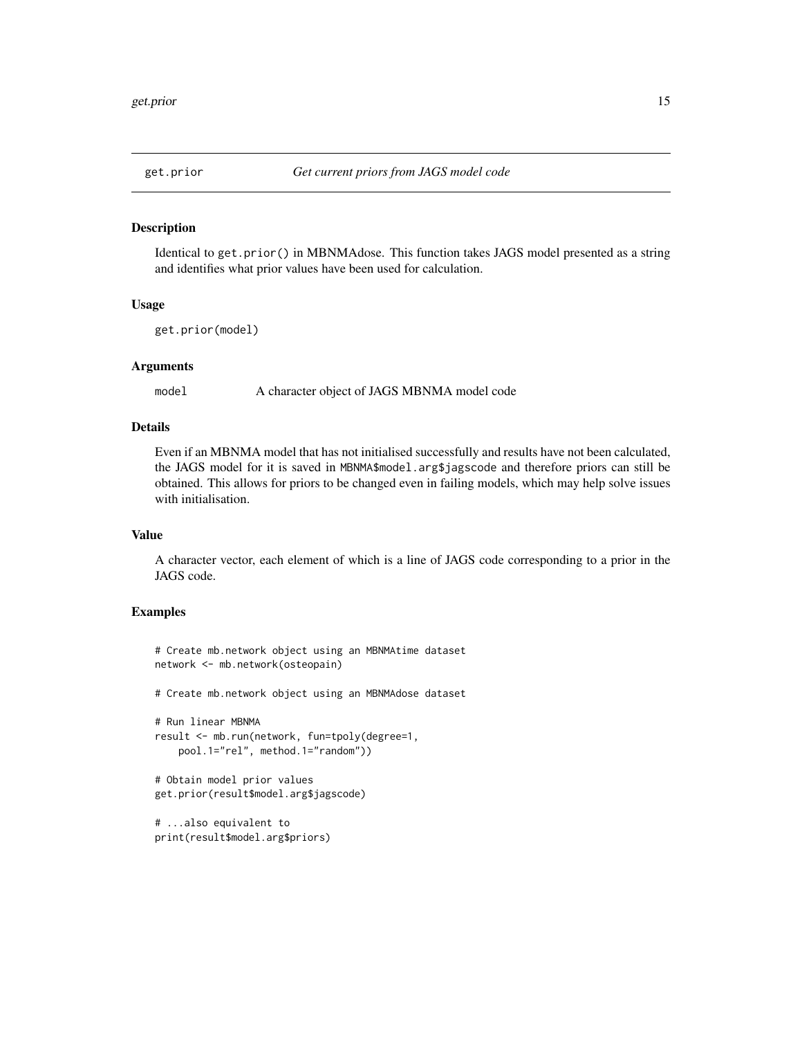<span id="page-14-0"></span>

Identical to get.prior() in MBNMAdose. This function takes JAGS model presented as a string and identifies what prior values have been used for calculation.

#### Usage

```
get.prior(model)
```
#### Arguments

model A character object of JAGS MBNMA model code

# Details

Even if an MBNMA model that has not initialised successfully and results have not been calculated, the JAGS model for it is saved in MBNMA\$model.arg\$jagscode and therefore priors can still be obtained. This allows for priors to be changed even in failing models, which may help solve issues with initialisation.

# Value

A character vector, each element of which is a line of JAGS code corresponding to a prior in the JAGS code.

#### Examples

```
# Create mb.network object using an MBNMAtime dataset
network <- mb.network(osteopain)
```
# Create mb.network object using an MBNMAdose dataset

```
# Run linear MBNMA
result <- mb.run(network, fun=tpoly(degree=1,
   pool.1="rel", method.1="random"))
```

```
# Obtain model prior values
get.prior(result$model.arg$jagscode)
```

```
# ...also equivalent to
print(result$model.arg$priors)
```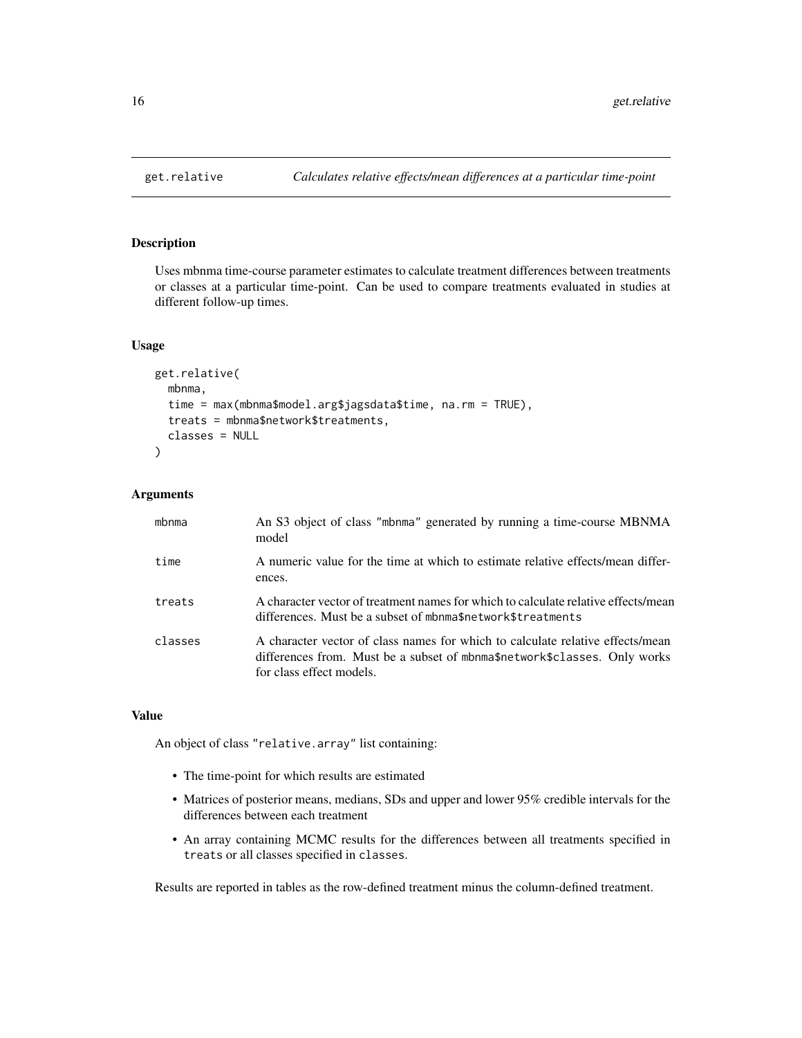Uses mbnma time-course parameter estimates to calculate treatment differences between treatments or classes at a particular time-point. Can be used to compare treatments evaluated in studies at different follow-up times.

# Usage

```
get.relative(
  mbnma,
  time = max(mbnma$model.arg$jagsdata$time, na.rm = TRUE),
  treats = mbnma$network$treatments,
  classes = NULL
)
```
# Arguments

| mbnma   | An S3 object of class "mbnma" generated by running a time-course MBNMA<br>model                                                                                                         |
|---------|-----------------------------------------------------------------------------------------------------------------------------------------------------------------------------------------|
| time    | A numeric value for the time at which to estimate relative effects/mean differ-<br>ences.                                                                                               |
| treats  | A character vector of treatment names for which to calculate relative effects/mean<br>differences. Must be a subset of mbnma\$network\$treatments                                       |
| classes | A character vector of class names for which to calculate relative effects/mean<br>differences from. Must be a subset of mbnma\$network\$classes. Only works<br>for class effect models. |

#### Value

An object of class "relative.array" list containing:

- The time-point for which results are estimated
- Matrices of posterior means, medians, SDs and upper and lower 95% credible intervals for the differences between each treatment
- An array containing MCMC results for the differences between all treatments specified in treats or all classes specified in classes.

Results are reported in tables as the row-defined treatment minus the column-defined treatment.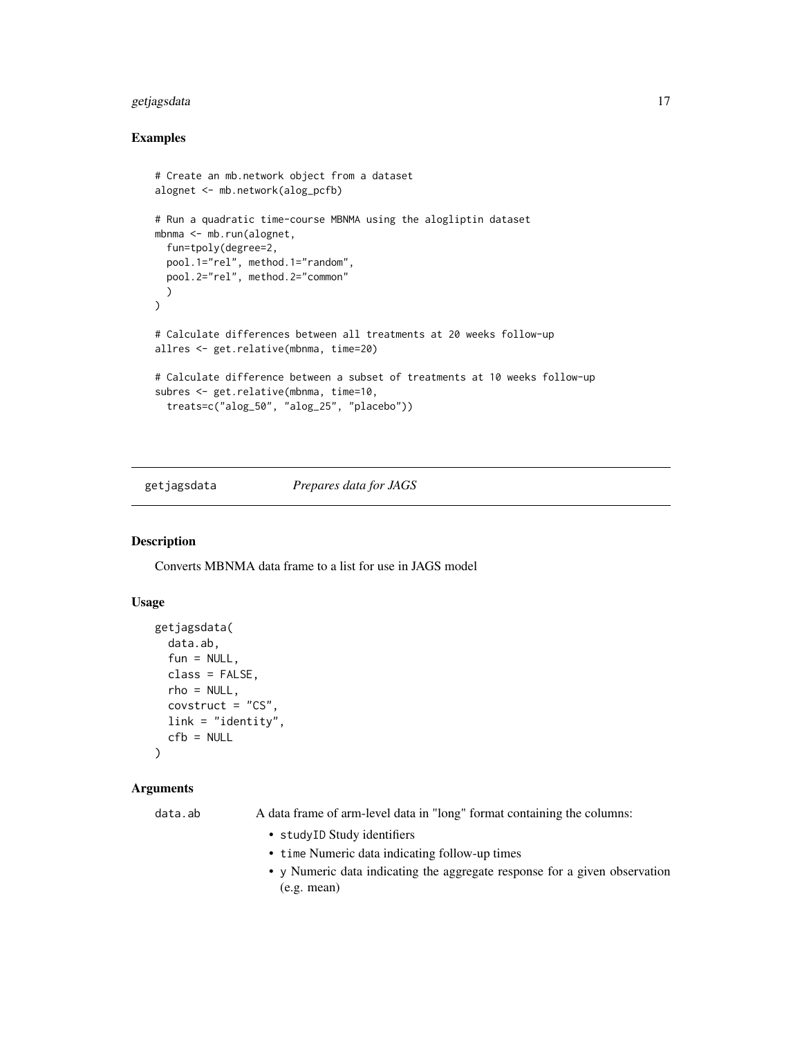# <span id="page-16-0"></span>getjagsdata 17

# Examples

```
# Create an mb.network object from a dataset
alognet <- mb.network(alog_pcfb)
# Run a quadratic time-course MBNMA using the alogliptin dataset
mbnma <- mb.run(alognet,
  fun=tpoly(degree=2,
  pool.1="rel", method.1="random",
  pool.2="rel", method.2="common"
  )
\mathcal{L}# Calculate differences between all treatments at 20 weeks follow-up
allres <- get.relative(mbnma, time=20)
# Calculate difference between a subset of treatments at 10 weeks follow-up
subres <- get.relative(mbnma, time=10,
  treats=c("alog_50", "alog_25", "placebo"))
```
getjagsdata *Prepares data for JAGS*

Description

Converts MBNMA data frame to a list for use in JAGS model

#### Usage

```
getjagsdata(
  data.ab,
  fun = NULL,class = FALSE,
  rho = NULL,
  covstruct = "CS",link = "identity",
  cfb = NULL\lambda
```
#### Arguments

data.ab A data frame of arm-level data in "long" format containing the columns:

- studyID Study identifiers
- time Numeric data indicating follow-up times
- y Numeric data indicating the aggregate response for a given observation (e.g. mean)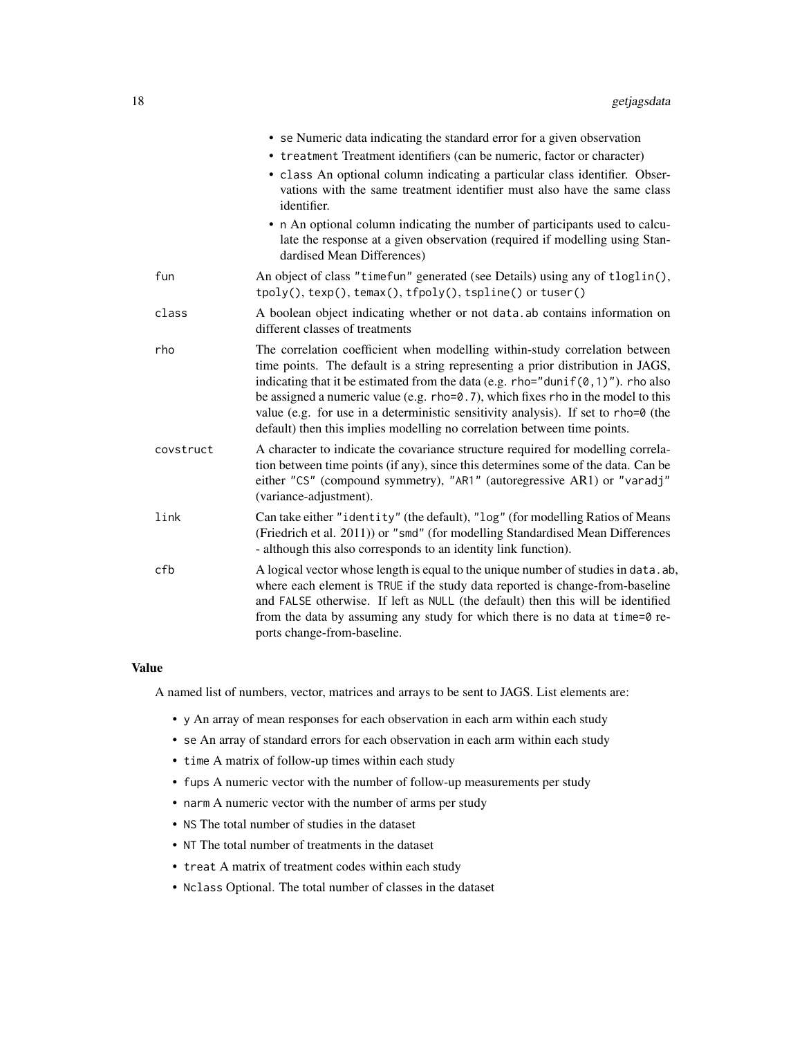|           | • se Numeric data indicating the standard error for a given observation                                                                                                                                                                                                                                                                                                                                                                                                                                               |
|-----------|-----------------------------------------------------------------------------------------------------------------------------------------------------------------------------------------------------------------------------------------------------------------------------------------------------------------------------------------------------------------------------------------------------------------------------------------------------------------------------------------------------------------------|
|           | • treatment Treatment identifiers (can be numeric, factor or character)                                                                                                                                                                                                                                                                                                                                                                                                                                               |
|           | · class An optional column indicating a particular class identifier. Obser-<br>vations with the same treatment identifier must also have the same class<br>identifier.                                                                                                                                                                                                                                                                                                                                                |
|           | • n An optional column indicating the number of participants used to calcu-<br>late the response at a given observation (required if modelling using Stan-<br>dardised Mean Differences)                                                                                                                                                                                                                                                                                                                              |
| fun       | An object of class "timefun" generated (see Details) using any of tloglin(),<br>tpoly(), texp(), temax(), tfpoly(), tspline() or tuser()                                                                                                                                                                                                                                                                                                                                                                              |
| class     | A boolean object indicating whether or not data. ab contains information on<br>different classes of treatments                                                                                                                                                                                                                                                                                                                                                                                                        |
| rho       | The correlation coefficient when modelling within-study correlation between<br>time points. The default is a string representing a prior distribution in JAGS,<br>indicating that it be estimated from the data (e.g. $rho="right"$ dunif( $0, 1$ )"). rho also<br>be assigned a numeric value (e.g. rho=0.7), which fixes rho in the model to this<br>value (e.g. for use in a deterministic sensitivity analysis). If set to rho=0 (the<br>default) then this implies modelling no correlation between time points. |
| covstruct | A character to indicate the covariance structure required for modelling correla-<br>tion between time points (if any), since this determines some of the data. Can be<br>either "CS" (compound symmetry), "AR1" (autoregressive AR1) or "varadj"<br>(variance-adjustment).                                                                                                                                                                                                                                            |
| link      | Can take either "identity" (the default), "log" (for modelling Ratios of Means<br>(Friedrich et al. 2011)) or "smd" (for modelling Standardised Mean Differences<br>- although this also corresponds to an identity link function).                                                                                                                                                                                                                                                                                   |
| cfb       | A logical vector whose length is equal to the unique number of studies in data. ab,<br>where each element is TRUE if the study data reported is change-from-baseline<br>and FALSE otherwise. If left as NULL (the default) then this will be identified<br>from the data by assuming any study for which there is no data at time=0 re-<br>ports change-from-baseline.                                                                                                                                                |

#### Value

A named list of numbers, vector, matrices and arrays to be sent to JAGS. List elements are:

- y An array of mean responses for each observation in each arm within each study
- se An array of standard errors for each observation in each arm within each study
- time A matrix of follow-up times within each study
- fups A numeric vector with the number of follow-up measurements per study
- narm A numeric vector with the number of arms per study
- NS The total number of studies in the dataset
- NT The total number of treatments in the dataset
- treat A matrix of treatment codes within each study
- Nclass Optional. The total number of classes in the dataset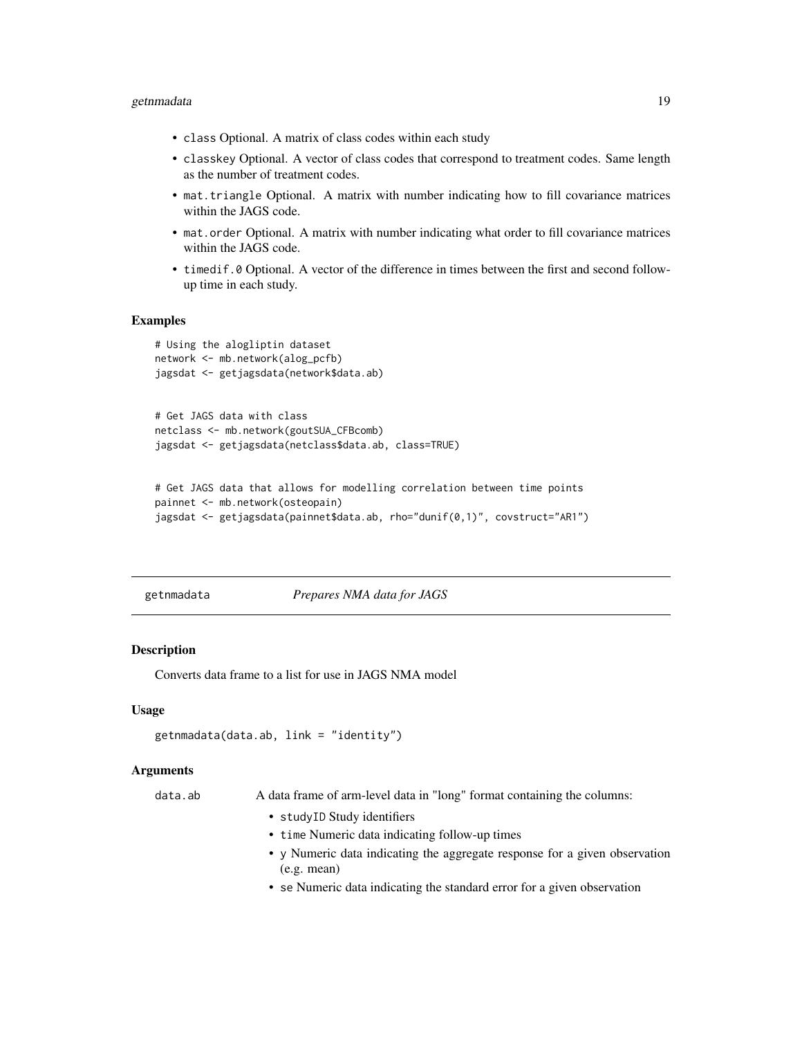#### <span id="page-18-0"></span>getnmadata and the set of the set of the set of the set of the set of the set of the set of the set of the set of the set of the set of the set of the set of the set of the set of the set of the set of the set of the set o

- class Optional. A matrix of class codes within each study
- classkey Optional. A vector of class codes that correspond to treatment codes. Same length as the number of treatment codes.
- mat.triangle Optional. A matrix with number indicating how to fill covariance matrices within the JAGS code.
- mat.order Optional. A matrix with number indicating what order to fill covariance matrices within the JAGS code.
- timedif.0 Optional. A vector of the difference in times between the first and second followup time in each study.

#### Examples

```
# Using the alogliptin dataset
network <- mb.network(alog_pcfb)
jagsdat <- getjagsdata(network$data.ab)
# Get JAGS data with class
netclass <- mb.network(goutSUA_CFBcomb)
jagsdat <- getjagsdata(netclass$data.ab, class=TRUE)
# Get JAGS data that allows for modelling correlation between time points
painnet <- mb.network(osteopain)
```

```
jagsdat <- getjagsdata(painnet$data.ab, rho="dunif(0,1)", covstruct="AR1")
```
getnmadata *Prepares NMA data for JAGS*

#### **Description**

Converts data frame to a list for use in JAGS NMA model

#### Usage

```
getnmadata(data.ab, link = "identity")
```
#### **Arguments**

data.ab A data frame of arm-level data in "long" format containing the columns:

- studyID Study identifiers
- time Numeric data indicating follow-up times
- y Numeric data indicating the aggregate response for a given observation (e.g. mean)
- se Numeric data indicating the standard error for a given observation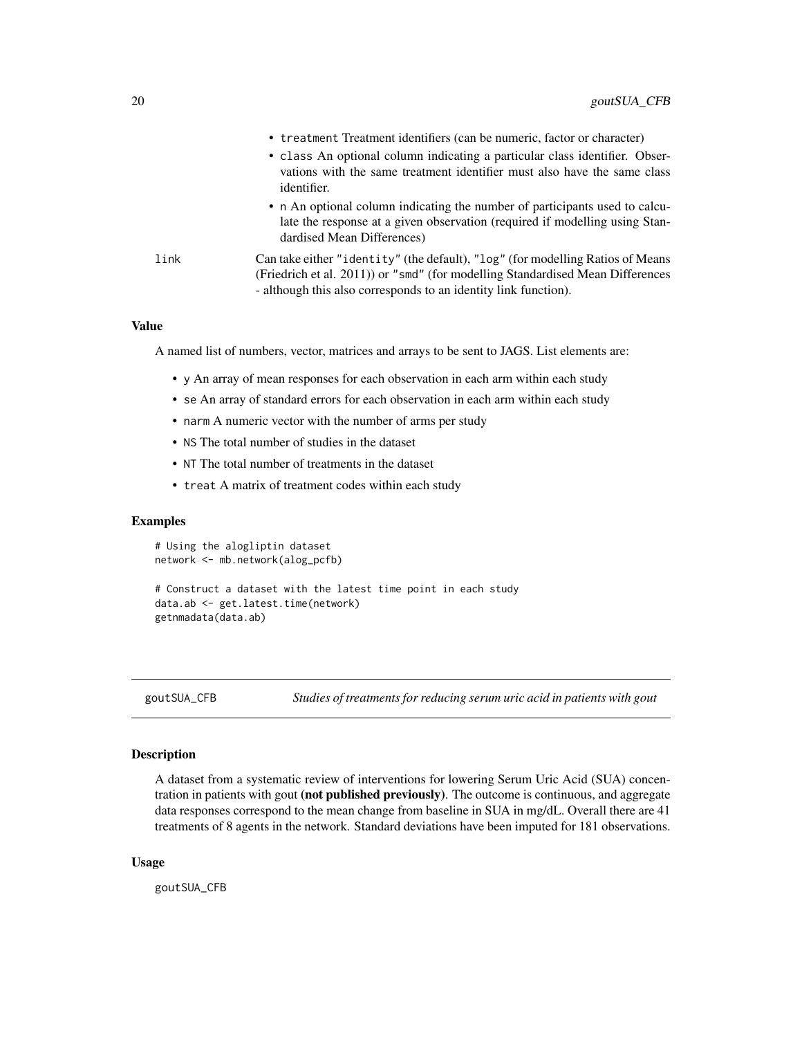<span id="page-19-0"></span>

|      | • treatment Treatment identifiers (can be numeric, factor or character)                                                                                                                                                             |
|------|-------------------------------------------------------------------------------------------------------------------------------------------------------------------------------------------------------------------------------------|
|      | • class An optional column indicating a particular class identifier. Obser-<br>vations with the same treatment identifier must also have the same class<br>identifier.                                                              |
|      | • n An optional column indicating the number of participants used to calcu-<br>late the response at a given observation (required if modelling using Stan-<br>dardised Mean Differences)                                            |
| link | Can take either "identity" (the default), "log" (for modelling Ratios of Means<br>(Friedrich et al. 2011)) or "smd" (for modelling Standardised Mean Differences<br>- although this also corresponds to an identity link function). |

#### Value

A named list of numbers, vector, matrices and arrays to be sent to JAGS. List elements are:

- y An array of mean responses for each observation in each arm within each study
- se An array of standard errors for each observation in each arm within each study
- narm A numeric vector with the number of arms per study
- NS The total number of studies in the dataset
- NT The total number of treatments in the dataset
- treat A matrix of treatment codes within each study

#### Examples

```
# Using the alogliptin dataset
network <- mb.network(alog_pcfb)
```

```
# Construct a dataset with the latest time point in each study
data.ab <- get.latest.time(network)
getnmadata(data.ab)
```
goutSUA\_CFB *Studies of treatments for reducing serum uric acid in patients with gout*

#### Description

A dataset from a systematic review of interventions for lowering Serum Uric Acid (SUA) concentration in patients with gout (not published previously). The outcome is continuous, and aggregate data responses correspond to the mean change from baseline in SUA in mg/dL. Overall there are 41 treatments of 8 agents in the network. Standard deviations have been imputed for 181 observations.

#### Usage

goutSUA\_CFB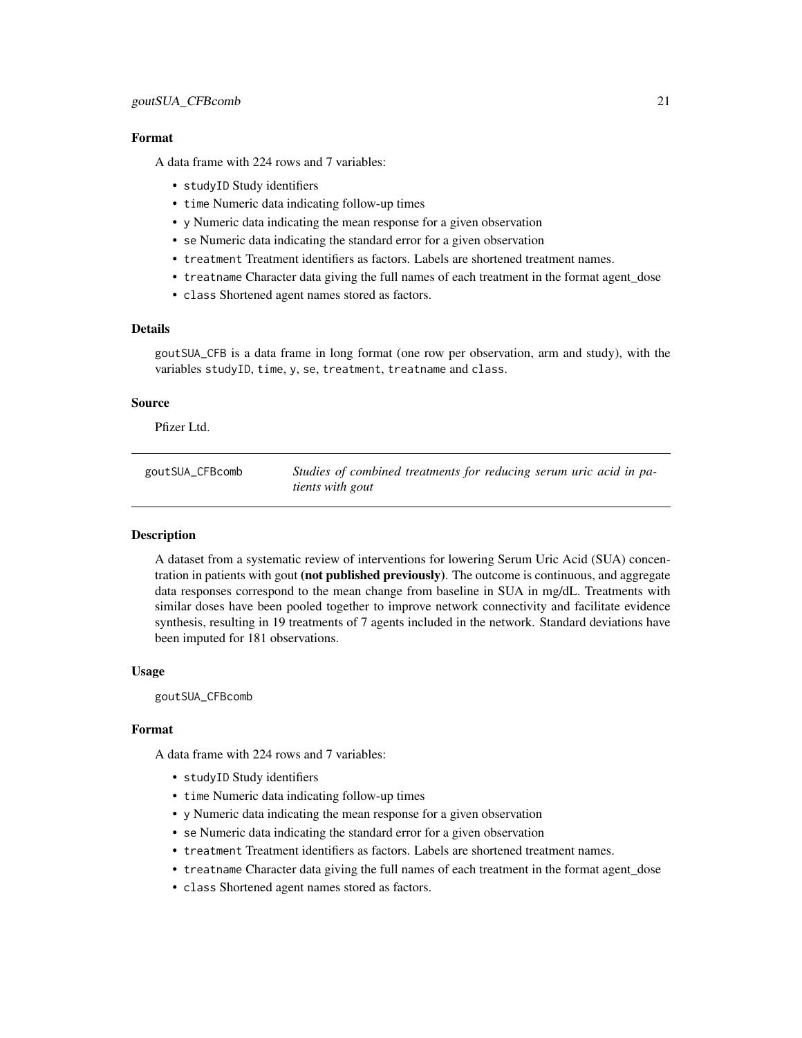#### <span id="page-20-0"></span>Format

A data frame with 224 rows and 7 variables:

- studyID Study identifiers
- time Numeric data indicating follow-up times
- y Numeric data indicating the mean response for a given observation
- se Numeric data indicating the standard error for a given observation
- treatment Treatment identifiers as factors. Labels are shortened treatment names.
- treatname Character data giving the full names of each treatment in the format agent\_dose
- class Shortened agent names stored as factors.

#### Details

goutSUA\_CFB is a data frame in long format (one row per observation, arm and study), with the variables studyID, time, y, se, treatment, treatname and class.

# Source

Pfizer Ltd.

goutSUA\_CFBcomb *Studies of combined treatments for reducing serum uric acid in patients with gout*

# **Description**

A dataset from a systematic review of interventions for lowering Serum Uric Acid (SUA) concentration in patients with gout (not published previously). The outcome is continuous, and aggregate data responses correspond to the mean change from baseline in SUA in mg/dL. Treatments with similar doses have been pooled together to improve network connectivity and facilitate evidence synthesis, resulting in 19 treatments of 7 agents included in the network. Standard deviations have been imputed for 181 observations.

#### Usage

goutSUA\_CFBcomb

#### Format

A data frame with 224 rows and 7 variables:

- studyID Study identifiers
- time Numeric data indicating follow-up times
- y Numeric data indicating the mean response for a given observation
- se Numeric data indicating the standard error for a given observation
- treatment Treatment identifiers as factors. Labels are shortened treatment names.
- treatname Character data giving the full names of each treatment in the format agent\_dose
- class Shortened agent names stored as factors.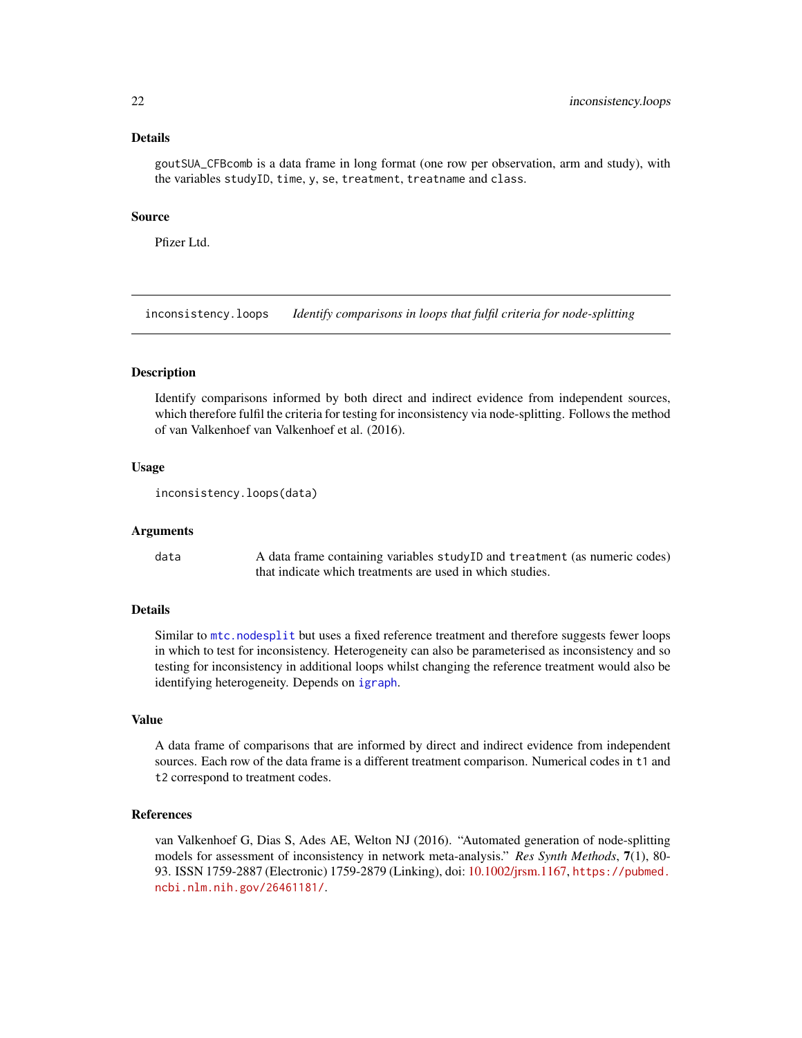#### Details

goutSUA\_CFBcomb is a data frame in long format (one row per observation, arm and study), with the variables studyID, time, y, se, treatment, treatname and class.

#### Source

Pfizer Ltd.

inconsistency.loops *Identify comparisons in loops that fulfil criteria for node-splitting*

#### Description

Identify comparisons informed by both direct and indirect evidence from independent sources, which therefore fulfil the criteria for testing for inconsistency via node-splitting. Follows the method of van Valkenhoef van Valkenhoef et al. (2016).

#### Usage

```
inconsistency.loops(data)
```
#### Arguments

data A data frame containing variables studyID and treatment (as numeric codes) that indicate which treatments are used in which studies.

#### Details

Similar to [mtc.nodesplit](#page-0-0) but uses a fixed reference treatment and therefore suggests fewer loops in which to test for inconsistency. Heterogeneity can also be parameterised as inconsistency and so testing for inconsistency in additional loops whilst changing the reference treatment would also be identifying heterogeneity. Depends on [igraph](#page-0-0).

# Value

A data frame of comparisons that are informed by direct and indirect evidence from independent sources. Each row of the data frame is a different treatment comparison. Numerical codes in t1 and t2 correspond to treatment codes.

# References

van Valkenhoef G, Dias S, Ades AE, Welton NJ (2016). "Automated generation of node-splitting models for assessment of inconsistency in network meta-analysis." *Res Synth Methods*, 7(1), 80- 93. ISSN 1759-2887 (Electronic) 1759-2879 (Linking), doi: [10.1002/jrsm.1167,](https://doi.org/10.1002/jrsm.1167) [https://pubmed.](https://pubmed.ncbi.nlm.nih.gov/26461181/) [ncbi.nlm.nih.gov/26461181/](https://pubmed.ncbi.nlm.nih.gov/26461181/).

<span id="page-21-0"></span>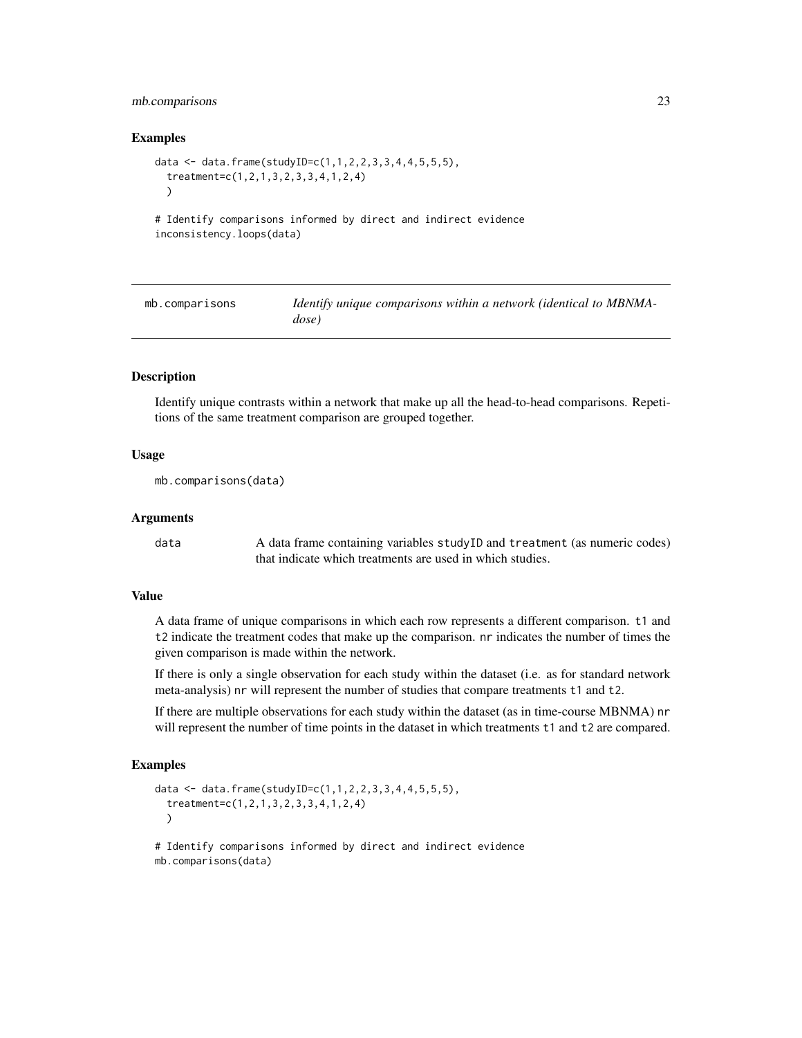# <span id="page-22-0"></span>mb.comparisons 23

#### Examples

```
data <- data.frame(studyID=c(1,1,2,2,3,3,4,4,5,5,5),
 treatment=c(1,2,1,3,2,3,3,4,1,2,4)
 )
```

```
# Identify comparisons informed by direct and indirect evidence
inconsistency.loops(data)
```

| mb.comparisons | Identify unique comparisons within a network (identical to MBNMA- |
|----------------|-------------------------------------------------------------------|
|                | dose)                                                             |

#### Description

Identify unique contrasts within a network that make up all the head-to-head comparisons. Repetitions of the same treatment comparison are grouped together.

# Usage

```
mb.comparisons(data)
```
#### Arguments

data A data frame containing variables studyID and treatment (as numeric codes) that indicate which treatments are used in which studies.

#### Value

A data frame of unique comparisons in which each row represents a different comparison. t1 and t2 indicate the treatment codes that make up the comparison. nr indicates the number of times the given comparison is made within the network.

If there is only a single observation for each study within the dataset (i.e. as for standard network meta-analysis) nr will represent the number of studies that compare treatments t1 and t2.

If there are multiple observations for each study within the dataset (as in time-course MBNMA) nr will represent the number of time points in the dataset in which treatments t1 and t2 are compared.

# Examples

```
data <- data.frame(studyID=c(1,1,2,2,3,3,4,4,5,5,5),
 treatment=c(1,2,1,3,2,3,3,4,1,2,4)
 )
# Identify comparisons informed by direct and indirect evidence
```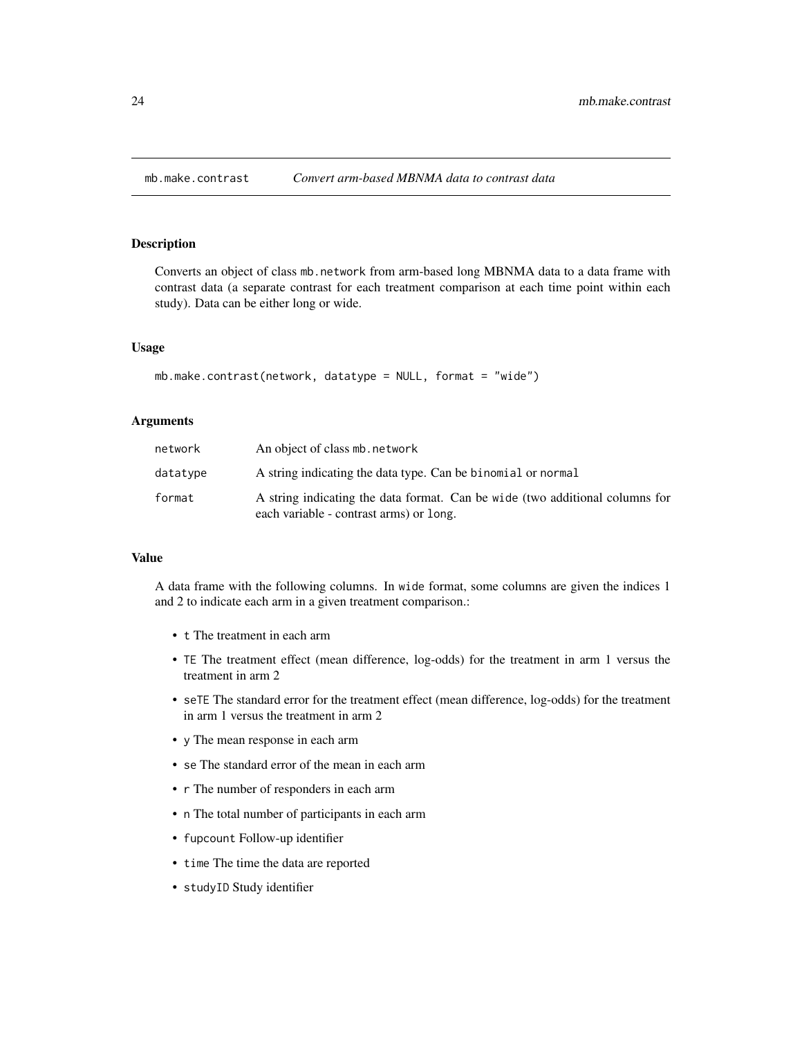<span id="page-23-0"></span>

Converts an object of class mb.network from arm-based long MBNMA data to a data frame with contrast data (a separate contrast for each treatment comparison at each time point within each study). Data can be either long or wide.

#### Usage

```
mb.make.contrast(network, datatype = NULL, format = "wide")
```
#### **Arguments**

| network  | An object of class mb, network                                                                                          |
|----------|-------------------------------------------------------------------------------------------------------------------------|
| datatype | A string indicating the data type. Can be binomial or normal                                                            |
| format   | A string indicating the data format. Can be wide (two additional columns for<br>each variable - contrast arms) or long. |

#### Value

A data frame with the following columns. In wide format, some columns are given the indices 1 and 2 to indicate each arm in a given treatment comparison.:

- t The treatment in each arm
- TE The treatment effect (mean difference, log-odds) for the treatment in arm 1 versus the treatment in arm 2
- seTE The standard error for the treatment effect (mean difference, log-odds) for the treatment in arm 1 versus the treatment in arm 2
- y The mean response in each arm
- se The standard error of the mean in each arm
- r The number of responders in each arm
- n The total number of participants in each arm
- fupcount Follow-up identifier
- time The time the data are reported
- studyID Study identifier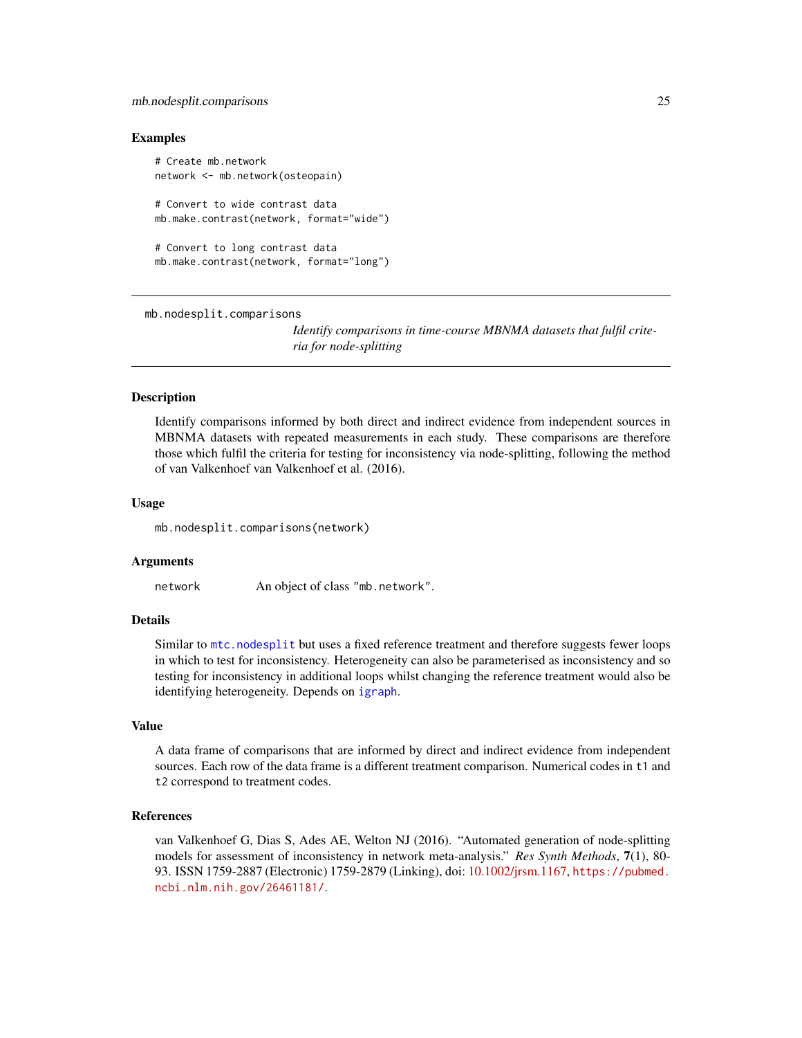#### <span id="page-24-0"></span>mb.nodesplit.comparisons 25

#### Examples

```
# Create mb.network
network <- mb.network(osteopain)
# Convert to wide contrast data
mb.make.contrast(network, format="wide")
# Convert to long contrast data
mb.make.contrast(network, format="long")
```
mb.nodesplit.comparisons

*Identify comparisons in time-course MBNMA datasets that fulfil criteria for node-splitting*

#### Description

Identify comparisons informed by both direct and indirect evidence from independent sources in MBNMA datasets with repeated measurements in each study. These comparisons are therefore those which fulfil the criteria for testing for inconsistency via node-splitting, following the method of van Valkenhoef van Valkenhoef et al. (2016).

#### Usage

mb.nodesplit.comparisons(network)

#### Arguments

network An object of class "mb.network".

# Details

Similar to [mtc.nodesplit](#page-0-0) but uses a fixed reference treatment and therefore suggests fewer loops in which to test for inconsistency. Heterogeneity can also be parameterised as inconsistency and so testing for inconsistency in additional loops whilst changing the reference treatment would also be identifying heterogeneity. Depends on [igraph](#page-0-0).

#### Value

A data frame of comparisons that are informed by direct and indirect evidence from independent sources. Each row of the data frame is a different treatment comparison. Numerical codes in t1 and t2 correspond to treatment codes.

#### References

van Valkenhoef G, Dias S, Ades AE, Welton NJ (2016). "Automated generation of node-splitting models for assessment of inconsistency in network meta-analysis." *Res Synth Methods*, 7(1), 80- 93. ISSN 1759-2887 (Electronic) 1759-2879 (Linking), doi: [10.1002/jrsm.1167,](https://doi.org/10.1002/jrsm.1167) [https://pubmed.](https://pubmed.ncbi.nlm.nih.gov/26461181/) [ncbi.nlm.nih.gov/26461181/](https://pubmed.ncbi.nlm.nih.gov/26461181/).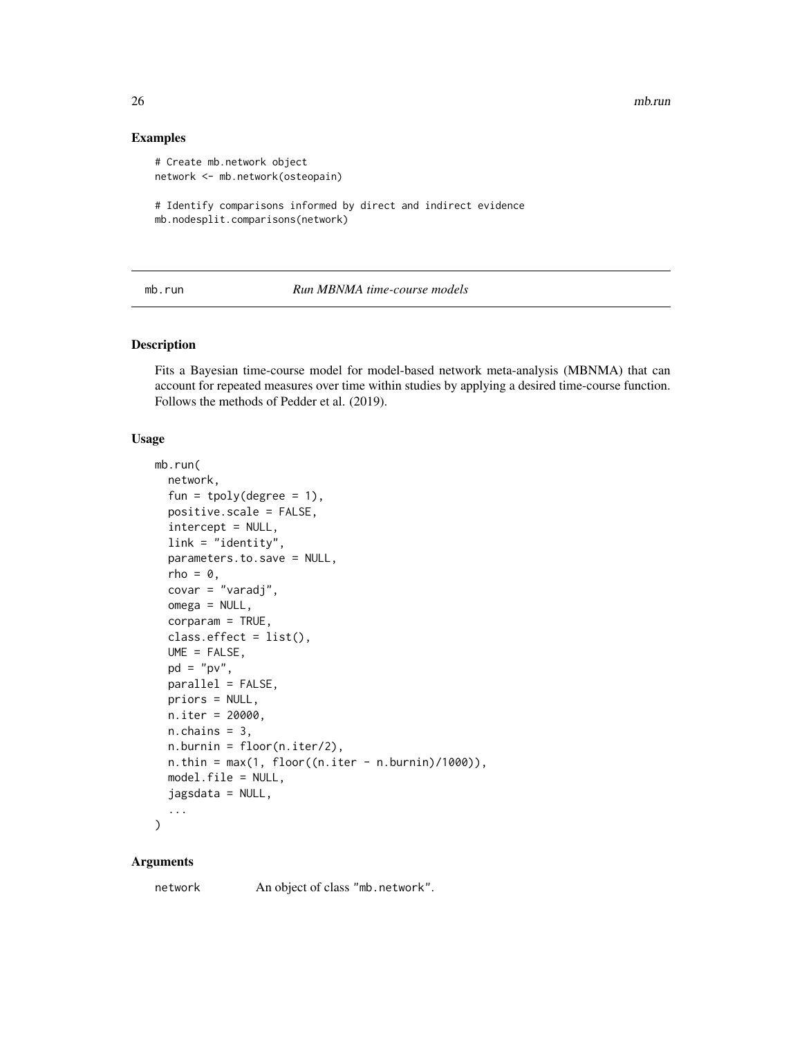#### Examples

```
# Create mb.network object
network <- mb.network(osteopain)
```

```
# Identify comparisons informed by direct and indirect evidence
mb.nodesplit.comparisons(network)
```
mb.run *Run MBNMA time-course models*

# Description

Fits a Bayesian time-course model for model-based network meta-analysis (MBNMA) that can account for repeated measures over time within studies by applying a desired time-course function. Follows the methods of Pedder et al. (2019).

#### Usage

```
mb.run(
  network,
  fun = tpoly(degree = 1),
  positive.scale = FALSE,
  intercept = NULL,
  link = "identity",
  parameters.to.save = NULL,
  rho = 0.
  covar = "varadj",
  omega = NULL,corparam = TRUE,
  class.effect = list(),
  UME = FALSE,pd = "pv",parallel = FALSE,
  priors = NULL,
  n.iter = 20000,
  n.chains = 3,
  n.burnin = floor(n.iter/2),
  n.thin = max(1, floor((n.iter - n.burnin)/1000)),model.file = NULL,
  jagsdata = NULL,
  ...
```
)

#### Arguments

network An object of class "mb.network".

<span id="page-25-0"></span>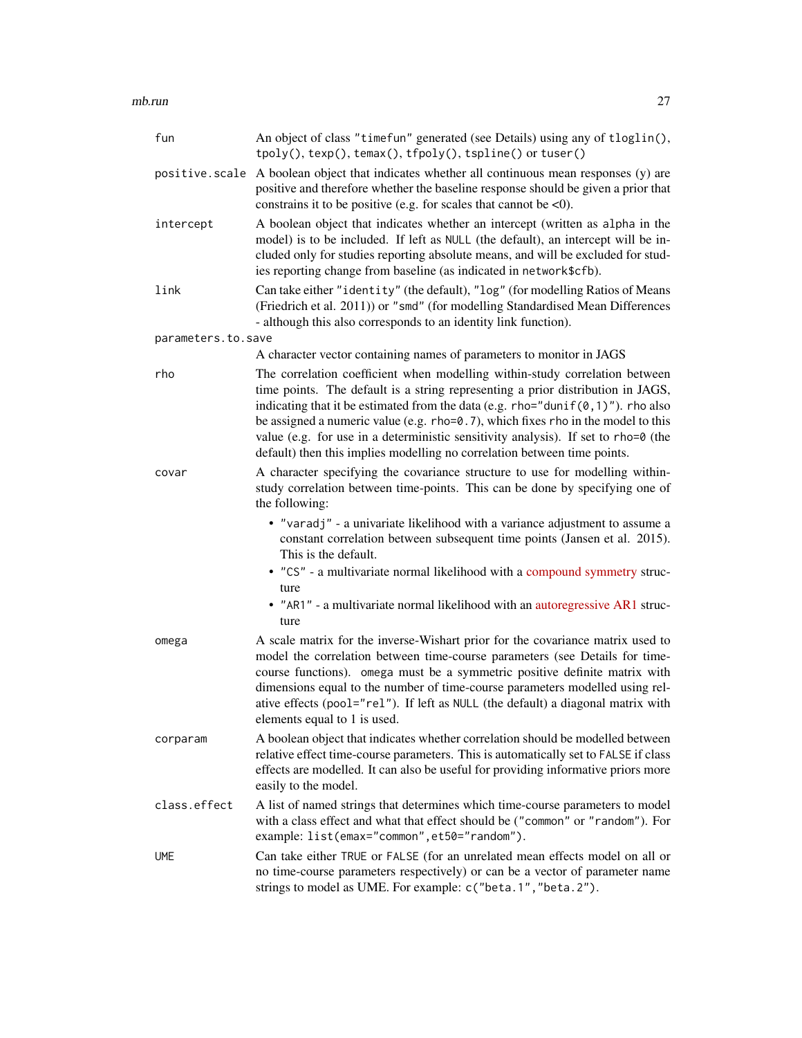| fun                | An object of class "timefun" generated (see Details) using any of tloglin(),<br>tpoly(), texp(), temax(), tfpoly(), tspline() or tuser()                                                                                                                                                                                                                                                                                                                                                                                                        |
|--------------------|-------------------------------------------------------------------------------------------------------------------------------------------------------------------------------------------------------------------------------------------------------------------------------------------------------------------------------------------------------------------------------------------------------------------------------------------------------------------------------------------------------------------------------------------------|
| positive.scale     | A boolean object that indicates whether all continuous mean responses (y) are<br>positive and therefore whether the baseline response should be given a prior that<br>constrains it to be positive (e.g. for scales that cannot be $\langle 0 \rangle$ ).                                                                                                                                                                                                                                                                                       |
| intercept          | A boolean object that indicates whether an intercept (written as alpha in the<br>model) is to be included. If left as NULL (the default), an intercept will be in-<br>cluded only for studies reporting absolute means, and will be excluded for stud-<br>ies reporting change from baseline (as indicated in network\$cfb).                                                                                                                                                                                                                    |
| link               | Can take either "identity" (the default), "log" (for modelling Ratios of Means<br>(Friedrich et al. 2011)) or "smd" (for modelling Standardised Mean Differences<br>- although this also corresponds to an identity link function).                                                                                                                                                                                                                                                                                                             |
| parameters.to.save |                                                                                                                                                                                                                                                                                                                                                                                                                                                                                                                                                 |
|                    | A character vector containing names of parameters to monitor in JAGS                                                                                                                                                                                                                                                                                                                                                                                                                                                                            |
| rho                | The correlation coefficient when modelling within-study correlation between<br>time points. The default is a string representing a prior distribution in JAGS,<br>indicating that it be estimated from the data (e.g. rho="dunif( $\theta$ , 1)"). rho also<br>be assigned a numeric value (e.g. rho=0.7), which fixes rho in the model to this<br>value (e.g. for use in a deterministic sensitivity analysis). If set to rho=0 (the<br>default) then this implies modelling no correlation between time points.                               |
| covar              | A character specifying the covariance structure to use for modelling within-<br>study correlation between time-points. This can be done by specifying one of<br>the following:<br>• "varadj" - a univariate likelihood with a variance adjustment to assume a<br>constant correlation between subsequent time points (Jansen et al. 2015).<br>This is the default.<br>• "CS" - a multivariate normal likelihood with a compound symmetry struc-<br>ture<br>• "AR1" - a multivariate normal likelihood with an autoregressive AR1 struc-<br>ture |
| omega              | A scale matrix for the inverse-Wishart prior for the covariance matrix used to<br>model the correlation between time-course parameters (see Details for time-<br>course functions). omega must be a symmetric positive definite matrix with<br>dimensions equal to the number of time-course parameters modelled using rel-<br>ative effects (pool="rel"). If left as NULL (the default) a diagonal matrix with<br>elements equal to 1 is used.                                                                                                 |
| corparam           | A boolean object that indicates whether correlation should be modelled between<br>relative effect time-course parameters. This is automatically set to FALSE if class<br>effects are modelled. It can also be useful for providing informative priors more<br>easily to the model.                                                                                                                                                                                                                                                              |
| class.effect       | A list of named strings that determines which time-course parameters to model<br>with a class effect and what that effect should be ("common" or "random"). For<br>example: list(emax="common", et50="random").                                                                                                                                                                                                                                                                                                                                 |
| <b>UME</b>         | Can take either TRUE or FALSE (for an unrelated mean effects model on all or<br>no time-course parameters respectively) or can be a vector of parameter name<br>strings to model as UME. For example: c("beta.1", "beta.2").                                                                                                                                                                                                                                                                                                                    |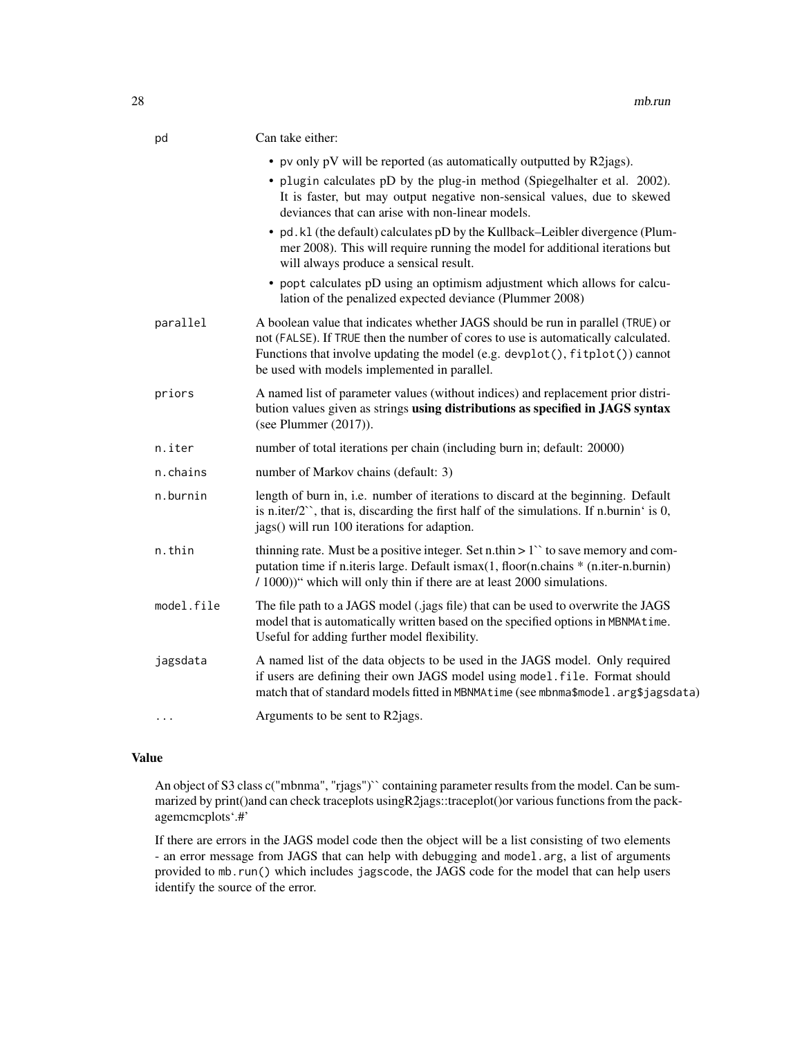| pd         | Can take either:                                                                                                                                                                                                                                                                                     |
|------------|------------------------------------------------------------------------------------------------------------------------------------------------------------------------------------------------------------------------------------------------------------------------------------------------------|
|            | • pv only pV will be reported (as automatically outputted by R2jags).                                                                                                                                                                                                                                |
|            | • plugin calculates pD by the plug-in method (Spiegelhalter et al. 2002).<br>It is faster, but may output negative non-sensical values, due to skewed<br>deviances that can arise with non-linear models.                                                                                            |
|            | • pd. k1 (the default) calculates pD by the Kullback–Leibler divergence (Plum-<br>mer 2008). This will require running the model for additional iterations but<br>will always produce a sensical result.                                                                                             |
|            | • popt calculates pD using an optimism adjustment which allows for calcu-<br>lation of the penalized expected deviance (Plummer 2008)                                                                                                                                                                |
| parallel   | A boolean value that indicates whether JAGS should be run in parallel (TRUE) or<br>not (FALSE). If TRUE then the number of cores to use is automatically calculated.<br>Functions that involve updating the model (e.g. devplot(), fitplot()) cannot<br>be used with models implemented in parallel. |
| priors     | A named list of parameter values (without indices) and replacement prior distri-<br>bution values given as strings using distributions as specified in JAGS syntax<br>(see Plummer $(2017)$ ).                                                                                                       |
| n.iter     | number of total iterations per chain (including burn in; default: 20000)                                                                                                                                                                                                                             |
| n.chains   | number of Markov chains (default: 3)                                                                                                                                                                                                                                                                 |
| n.burnin   | length of burn in, i.e. number of iterations to discard at the beginning. Default<br>is n.iter/2", that is, discarding the first half of the simulations. If n.burnin' is $0$ ,<br>jags() will run 100 iterations for adaption.                                                                      |
| n.thin     | thinning rate. Must be a positive integer. Set n.thin $> 1$ " to save memory and com-<br>putation time if n.iteris large. Default ismax(1, floor(n.chains * (n.iter-n.burnin)<br>/ 1000))" which will only thin if there are at least 2000 simulations.                                              |
| model.file | The file path to a JAGS model (.jags file) that can be used to overwrite the JAGS<br>model that is automatically written based on the specified options in MBNMAtime.<br>Useful for adding further model flexibility.                                                                                |
| jagsdata   | A named list of the data objects to be used in the JAGS model. Only required<br>if users are defining their own JAGS model using model. file. Format should<br>match that of standard models fitted in MBNMAtime (see mbnma\$model.arg\$jagsdata)                                                    |
| .          | Arguments to be sent to R2jags.                                                                                                                                                                                                                                                                      |

# Value

An object of S3 class c("mbnma", "rjags")`` containing parameter results from the model. Can be summarized by print()and can check traceplots usingR2jags::traceplot()or various functions from the packagemcmcplots'.#'

If there are errors in the JAGS model code then the object will be a list consisting of two elements - an error message from JAGS that can help with debugging and model.arg, a list of arguments provided to mb.run() which includes jagscode, the JAGS code for the model that can help users identify the source of the error.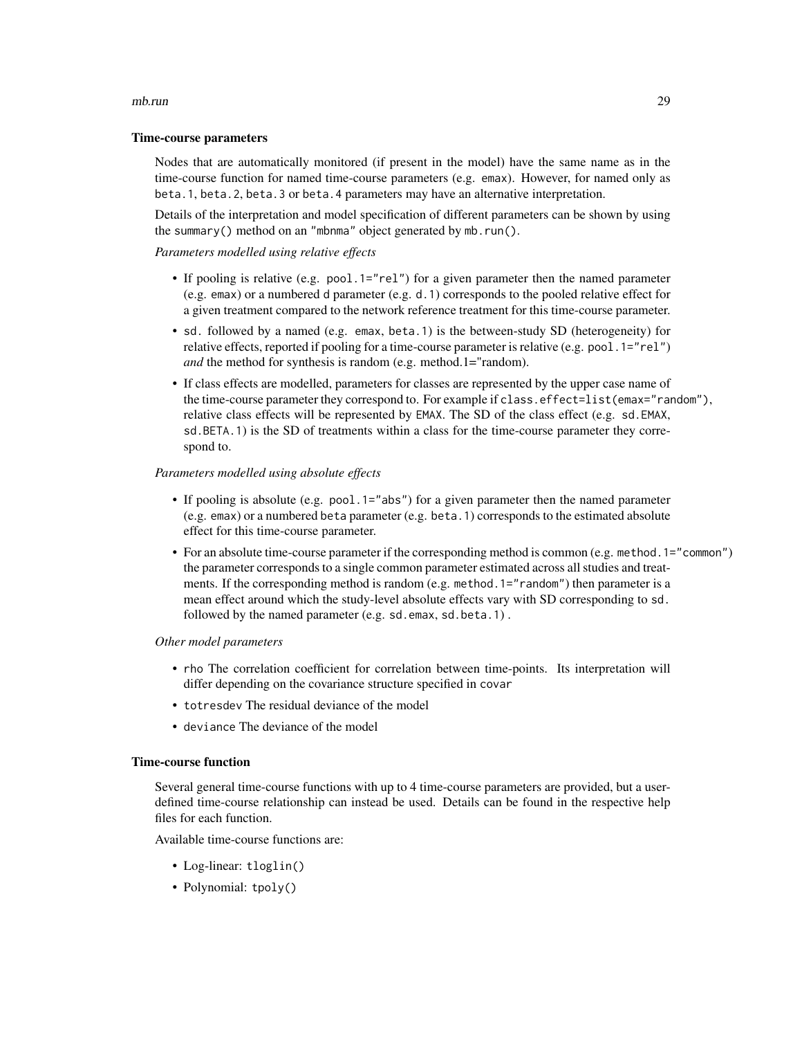#### Time-course parameters

Nodes that are automatically monitored (if present in the model) have the same name as in the time-course function for named time-course parameters (e.g. emax). However, for named only as beta.1, beta.2, beta.3 or beta.4 parameters may have an alternative interpretation.

Details of the interpretation and model specification of different parameters can be shown by using the summary() method on an "mbnma" object generated by mb.run().

# *Parameters modelled using relative effects*

- If pooling is relative (e.g. pool.1="rel") for a given parameter then the named parameter (e.g. emax) or a numbered d parameter (e.g. d.1) corresponds to the pooled relative effect for a given treatment compared to the network reference treatment for this time-course parameter.
- sd. followed by a named (e.g. emax, beta.1) is the between-study SD (heterogeneity) for relative effects, reported if pooling for a time-course parameter is relative (e.g. pool.1="rel") *and* the method for synthesis is random (e.g. method.1="random).
- If class effects are modelled, parameters for classes are represented by the upper case name of the time-course parameter they correspond to. For example if class.effect=list(emax="random"), relative class effects will be represented by EMAX. The SD of the class effect (e.g. sd.EMAX, sd.BETA.1) is the SD of treatments within a class for the time-course parameter they correspond to.

#### *Parameters modelled using absolute effects*

- If pooling is absolute (e.g. pool.1="abs") for a given parameter then the named parameter (e.g. emax) or a numbered beta parameter (e.g. beta.1) corresponds to the estimated absolute effect for this time-course parameter.
- For an absolute time-course parameter if the corresponding method is common (e.g. method.1="common") the parameter corresponds to a single common parameter estimated across all studies and treatments. If the corresponding method is random (e.g. method.1="random") then parameter is a mean effect around which the study-level absolute effects vary with SD corresponding to sd. followed by the named parameter (e.g. sd.emax, sd.beta.1).

#### *Other model parameters*

- rho The correlation coefficient for correlation between time-points. Its interpretation will differ depending on the covariance structure specified in covar
- totresdev The residual deviance of the model
- deviance The deviance of the model

#### Time-course function

Several general time-course functions with up to 4 time-course parameters are provided, but a userdefined time-course relationship can instead be used. Details can be found in the respective help files for each function.

Available time-course functions are:

- Log-linear: tloglin()
- Polynomial: tpoly()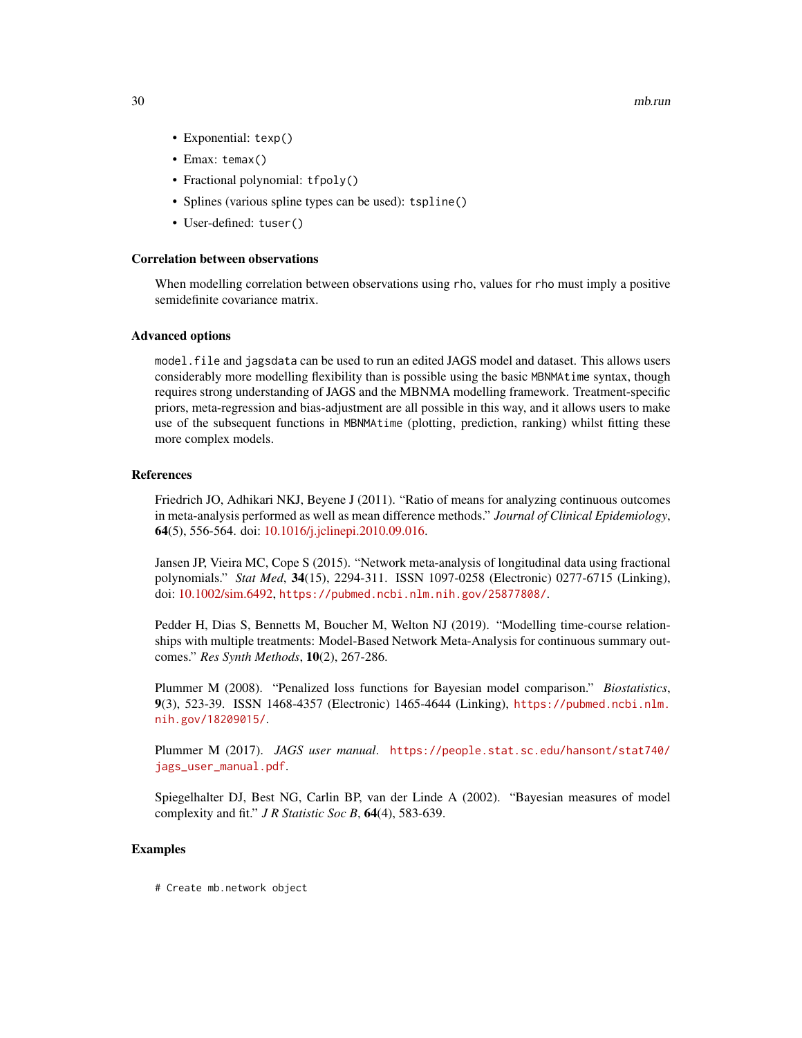- Exponential: texp()
- Emax: temax()
- Fractional polynomial: tfpoly()
- Splines (various spline types can be used): tspline()
- User-defined: tuser()

#### Correlation between observations

When modelling correlation between observations using rho, values for rho must imply a positive semidefinite covariance matrix.

#### Advanced options

model.file and jagsdata can be used to run an edited JAGS model and dataset. This allows users considerably more modelling flexibility than is possible using the basic MBNMAtime syntax, though requires strong understanding of JAGS and the MBNMA modelling framework. Treatment-specific priors, meta-regression and bias-adjustment are all possible in this way, and it allows users to make use of the subsequent functions in MBNMAtime (plotting, prediction, ranking) whilst fitting these more complex models.

# References

Friedrich JO, Adhikari NKJ, Beyene J (2011). "Ratio of means for analyzing continuous outcomes in meta-analysis performed as well as mean difference methods." *Journal of Clinical Epidemiology*, 64(5), 556-564. doi: [10.1016/j.jclinepi.2010.09.016.](https://doi.org/10.1016/j.jclinepi.2010.09.016)

Jansen JP, Vieira MC, Cope S (2015). "Network meta-analysis of longitudinal data using fractional polynomials." *Stat Med*, 34(15), 2294-311. ISSN 1097-0258 (Electronic) 0277-6715 (Linking), doi: [10.1002/sim.6492,](https://doi.org/10.1002/sim.6492) <https://pubmed.ncbi.nlm.nih.gov/25877808/>.

Pedder H, Dias S, Bennetts M, Boucher M, Welton NJ (2019). "Modelling time-course relationships with multiple treatments: Model-Based Network Meta-Analysis for continuous summary outcomes." *Res Synth Methods*, 10(2), 267-286.

Plummer M (2008). "Penalized loss functions for Bayesian model comparison." *Biostatistics*, 9(3), 523-39. ISSN 1468-4357 (Electronic) 1465-4644 (Linking), [https://pubmed.ncbi.nlm.](https://pubmed.ncbi.nlm.nih.gov/18209015/) [nih.gov/18209015/](https://pubmed.ncbi.nlm.nih.gov/18209015/).

Plummer M (2017). *JAGS user manual*. [https://people.stat.sc.edu/hansont/stat740/](https://people.stat.sc.edu/hansont/stat740/jags_user_manual.pdf) [jags\\_user\\_manual.pdf](https://people.stat.sc.edu/hansont/stat740/jags_user_manual.pdf).

Spiegelhalter DJ, Best NG, Carlin BP, van der Linde A (2002). "Bayesian measures of model complexity and fit." *J R Statistic Soc B*, 64(4), 583-639.

#### Examples

# Create mb.network object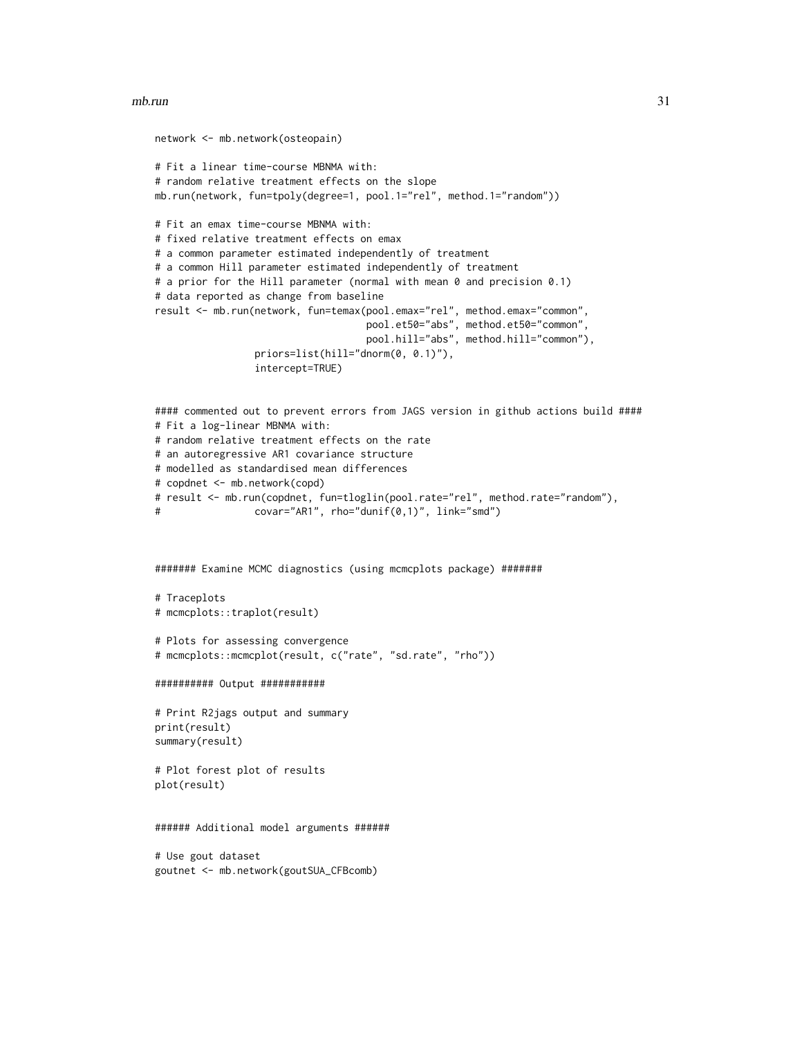```
network <- mb.network(osteopain)
# Fit a linear time-course MBNMA with:
# random relative treatment effects on the slope
mb.run(network, fun=tpoly(degree=1, pool.1="rel", method.1="random"))
# Fit an emax time-course MBNMA with:
# fixed relative treatment effects on emax
# a common parameter estimated independently of treatment
# a common Hill parameter estimated independently of treatment
# a prior for the Hill parameter (normal with mean 0 and precision 0.1)
# data reported as change from baseline
result <- mb.run(network, fun=temax(pool.emax="rel", method.emax="common",
                                    pool.et50="abs", method.et50="common",
                                    pool.hill="abs", method.hill="common"),
                 priors=list(hill="dnorm(0, 0.1)"),
                 intercept=TRUE)
#### commented out to prevent errors from JAGS version in github actions build ####
# Fit a log-linear MBNMA with:
# random relative treatment effects on the rate
# an autoregressive AR1 covariance structure
# modelled as standardised mean differences
# copdnet <- mb.network(copd)
# result <- mb.run(copdnet, fun=tloglin(pool.rate="rel", method.rate="random"),
# covar="AR1", rho="dunif(0,1)", link="smd")
######## Examine MCMC diagnostics (using mcmcplots package) ########
# Traceplots
# mcmcplots::traplot(result)
# Plots for assessing convergence
# mcmcplots::mcmcplot(result, c("rate", "sd.rate", "rho"))
########## Output ###########
# Print R2jags output and summary
print(result)
summary(result)
# Plot forest plot of results
plot(result)
###### Additional model arguments ######
# Use gout dataset
goutnet <- mb.network(goutSUA_CFBcomb)
```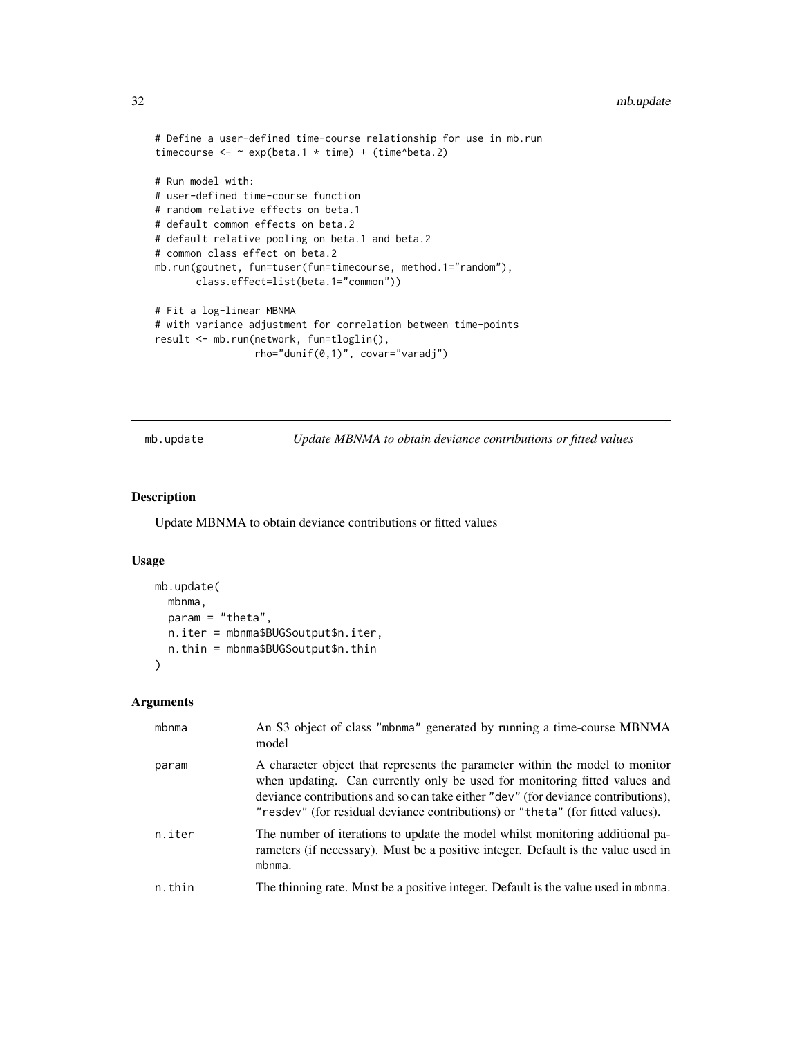```
# Define a user-defined time-course relationship for use in mb.run
timecourse \leq -\infty exp(beta.1 \star time) + (time^beta.2)
# Run model with:
# user-defined time-course function
# random relative effects on beta.1
# default common effects on beta.2
# default relative pooling on beta.1 and beta.2
# common class effect on beta.2
mb.run(goutnet, fun=tuser(fun=timecourse, method.1="random"),
       class.effect=list(beta.1="common"))
# Fit a log-linear MBNMA
# with variance adjustment for correlation between time-points
result <- mb.run(network, fun=tloglin(),
                 rho="dunif(0,1)", covar="varadj")
```
mb.update *Update MBNMA to obtain deviance contributions or fitted values*

# Description

Update MBNMA to obtain deviance contributions or fitted values

# Usage

```
mb.update(
  mbnma,
 param = "theta",
 n.iter = mbnma$BUGSoutput$n.iter,
  n.thin = mbnma$BUGSoutput$n.thin
)
```
#### Arguments

| mbnma  | An S3 object of class "mbnma" generated by running a time-course MBNMA<br>model                                                                                                                                                                                                                                                   |
|--------|-----------------------------------------------------------------------------------------------------------------------------------------------------------------------------------------------------------------------------------------------------------------------------------------------------------------------------------|
| param  | A character object that represents the parameter within the model to monitor<br>when updating. Can currently only be used for monitoring fitted values and<br>deviance contributions and so can take either "dev" (for deviance contributions),<br>"resdev" (for residual deviance contributions) or "theta" (for fitted values). |
| n.iter | The number of iterations to update the model whilst monitoring additional pa-<br>rameters (if necessary). Must be a positive integer. Default is the value used in<br>mbnma.                                                                                                                                                      |
| n.thin | The thinning rate. Must be a positive integer. Default is the value used in mbnma.                                                                                                                                                                                                                                                |

<span id="page-31-0"></span>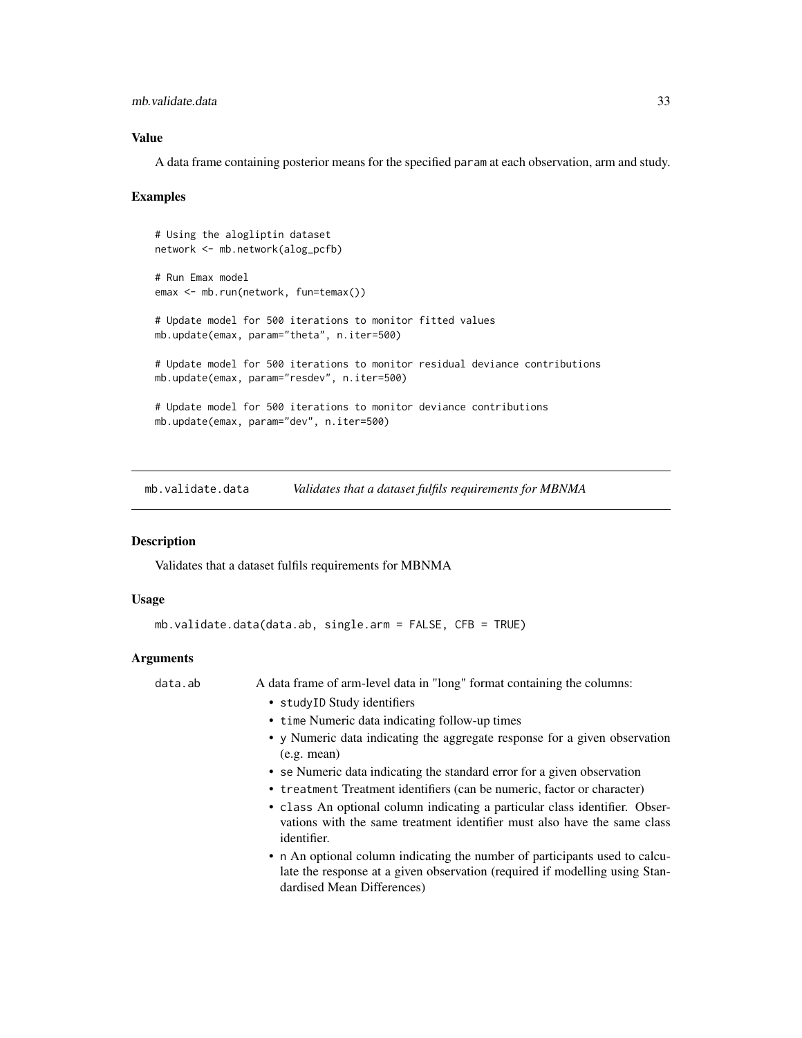### <span id="page-32-0"></span>mb.validate.data 33

# Value

A data frame containing posterior means for the specified param at each observation, arm and study.

#### Examples

```
# Using the alogliptin dataset
network <- mb.network(alog_pcfb)
# Run Emax model
emax <- mb.run(network, fun=temax())
# Update model for 500 iterations to monitor fitted values
mb.update(emax, param="theta", n.iter=500)
# Update model for 500 iterations to monitor residual deviance contributions
mb.update(emax, param="resdev", n.iter=500)
# Update model for 500 iterations to monitor deviance contributions
mb.update(emax, param="dev", n.iter=500)
```
mb.validate.data *Validates that a dataset fulfils requirements for MBNMA*

# **Description**

Validates that a dataset fulfils requirements for MBNMA

#### Usage

```
mb.validate.data(data.ab, single.arm = FALSE, CFB = TRUE)
```
#### **Arguments**

data.ab A data frame of arm-level data in "long" format containing the columns:

- studyID Study identifiers
- time Numeric data indicating follow-up times
- y Numeric data indicating the aggregate response for a given observation (e.g. mean)
- se Numeric data indicating the standard error for a given observation
- treatment Treatment identifiers (can be numeric, factor or character)
- class An optional column indicating a particular class identifier. Observations with the same treatment identifier must also have the same class identifier.
- n An optional column indicating the number of participants used to calculate the response at a given observation (required if modelling using Standardised Mean Differences)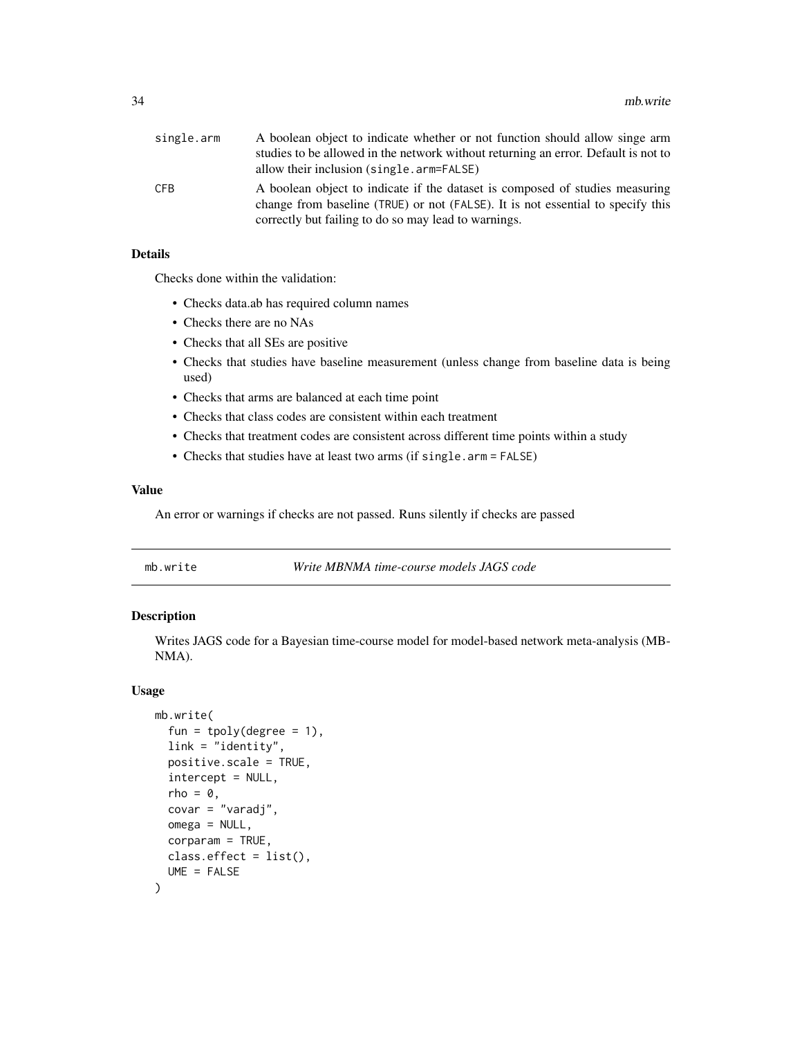<span id="page-33-0"></span>

| single.arm | A boolean object to indicate whether or not function should allow singe arm        |
|------------|------------------------------------------------------------------------------------|
|            | studies to be allowed in the network without returning an error. Default is not to |
|            | allow their inclusion (single.arm=FALSE)                                           |
| CFB        | A boolean object to indicate if the dataset is composed of studies measuring       |
|            | change from baseline (TRUE) or not (FALSE). It is not essential to specify this    |
|            | correctly but failing to do so may lead to warnings.                               |

# Details

Checks done within the validation:

- Checks data.ab has required column names
- Checks there are no NAs
- Checks that all SEs are positive
- Checks that studies have baseline measurement (unless change from baseline data is being used)
- Checks that arms are balanced at each time point
- Checks that class codes are consistent within each treatment
- Checks that treatment codes are consistent across different time points within a study
- Checks that studies have at least two arms (if single.arm = FALSE)

#### Value

An error or warnings if checks are not passed. Runs silently if checks are passed

| mb.write | Write MBNMA time-course models JAGS code |
|----------|------------------------------------------|
|          |                                          |

## Description

Writes JAGS code for a Bayesian time-course model for model-based network meta-analysis (MB-NMA).

# Usage

```
mb.write(
  fun = tpoly(degree = 1),
  link = "identity",
  positive.scale = TRUE,
  intercept = NULL,
  rho = 0,
  covar = "varadj",
  omega = NULL,
  corparam = TRUE,class.effect = list(),
  UME = FALSE
)
```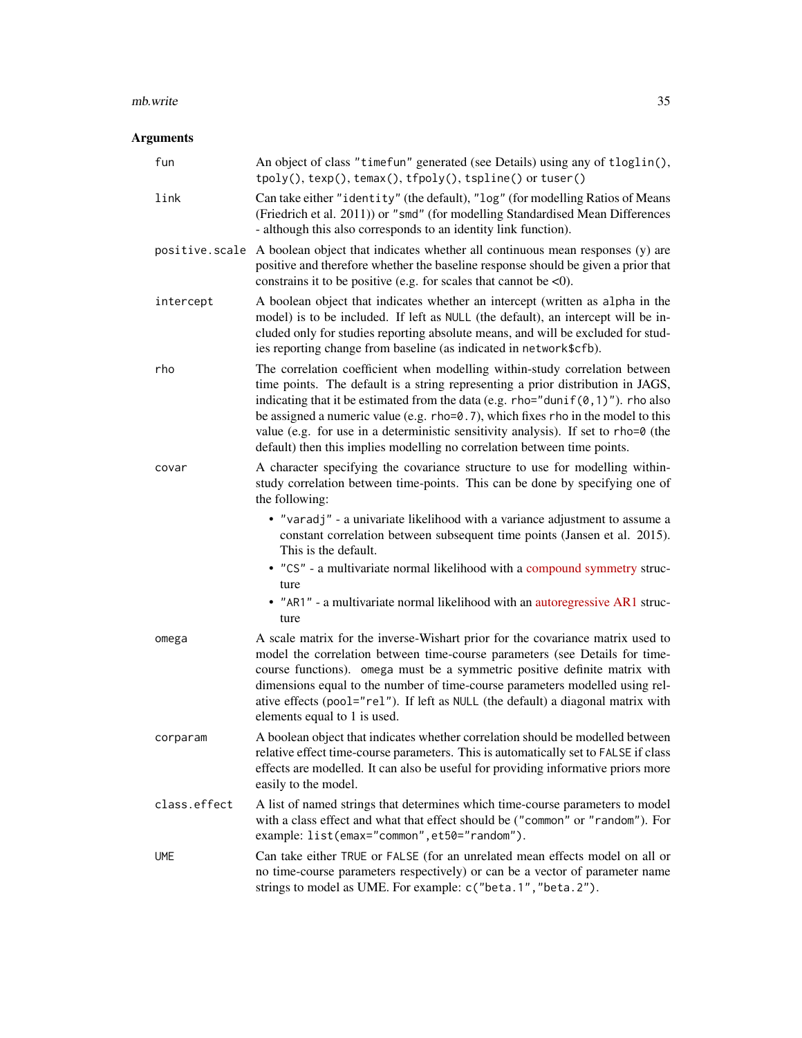#### mb.write 35

# Arguments

| fun            | An object of class "timefun" generated (see Details) using any of tloglin(),<br>tpoly(), texp(), temax(), tfpoly(), tspline() or tuser()                                                                                                                                                                                                                                                                                                                                                                             |
|----------------|----------------------------------------------------------------------------------------------------------------------------------------------------------------------------------------------------------------------------------------------------------------------------------------------------------------------------------------------------------------------------------------------------------------------------------------------------------------------------------------------------------------------|
| link           | Can take either "identity" (the default), "log" (for modelling Ratios of Means<br>(Friedrich et al. 2011)) or "smd" (for modelling Standardised Mean Differences<br>- although this also corresponds to an identity link function).                                                                                                                                                                                                                                                                                  |
| positive.scale | A boolean object that indicates whether all continuous mean responses (y) are<br>positive and therefore whether the baseline response should be given a prior that<br>constrains it to be positive (e.g. for scales that cannot be $\langle 0 \rangle$ ).                                                                                                                                                                                                                                                            |
| intercept      | A boolean object that indicates whether an intercept (written as alpha in the<br>model) is to be included. If left as NULL (the default), an intercept will be in-<br>cluded only for studies reporting absolute means, and will be excluded for stud-<br>ies reporting change from baseline (as indicated in network\$cfb).                                                                                                                                                                                         |
| rho            | The correlation coefficient when modelling within-study correlation between<br>time points. The default is a string representing a prior distribution in JAGS,<br>indicating that it be estimated from the data (e.g. rho="dunif( $\emptyset$ , 1)"). rho also<br>be assigned a numeric value (e.g. rho=0.7), which fixes rho in the model to this<br>value (e.g. for use in a deterministic sensitivity analysis). If set to rho=0 (the<br>default) then this implies modelling no correlation between time points. |
| covar          | A character specifying the covariance structure to use for modelling within-<br>study correlation between time-points. This can be done by specifying one of<br>the following:                                                                                                                                                                                                                                                                                                                                       |
|                | • "varadj" - a univariate likelihood with a variance adjustment to assume a<br>constant correlation between subsequent time points (Jansen et al. 2015).<br>This is the default.                                                                                                                                                                                                                                                                                                                                     |
|                | • "CS" - a multivariate normal likelihood with a compound symmetry struc-<br>ture                                                                                                                                                                                                                                                                                                                                                                                                                                    |
|                | • "AR1" - a multivariate normal likelihood with an autoregressive AR1 struc-<br>ture                                                                                                                                                                                                                                                                                                                                                                                                                                 |
| omega          | A scale matrix for the inverse-Wishart prior for the covariance matrix used to<br>model the correlation between time-course parameters (see Details for time-<br>course functions). omega must be a symmetric positive definite matrix with<br>dimensions equal to the number of time-course parameters modelled using rel-<br>ative effects (pool="rel"). If left as NULL (the default) a diagonal matrix with<br>elements equal to 1 is used.                                                                      |
| corparam       | A boolean object that indicates whether correlation should be modelled between<br>relative effect time-course parameters. This is automatically set to FALSE if class<br>effects are modelled. It can also be useful for providing informative priors more<br>easily to the model.                                                                                                                                                                                                                                   |
| class.effect   | A list of named strings that determines which time-course parameters to model<br>with a class effect and what that effect should be ("common" or "random"). For<br>example: list(emax="common", et50="random").                                                                                                                                                                                                                                                                                                      |
| <b>UME</b>     | Can take either TRUE or FALSE (for an unrelated mean effects model on all or<br>no time-course parameters respectively) or can be a vector of parameter name<br>strings to model as UME. For example: c("beta.1", "beta.2").                                                                                                                                                                                                                                                                                         |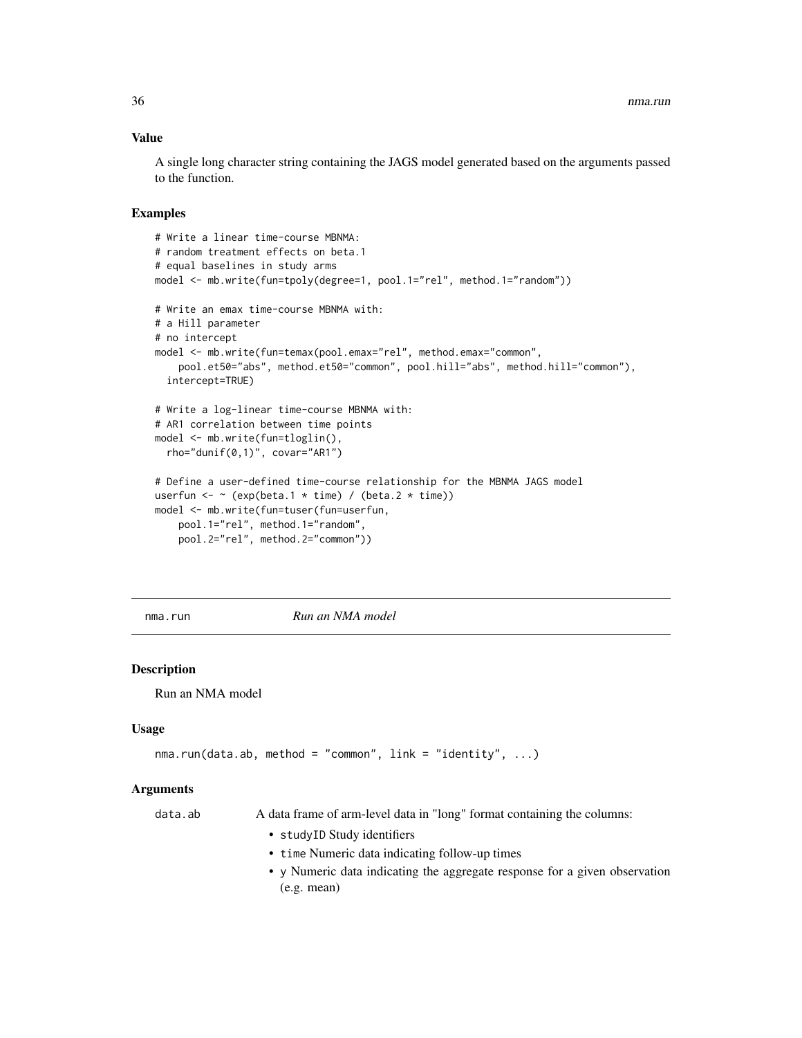#### <span id="page-35-0"></span>Value

A single long character string containing the JAGS model generated based on the arguments passed to the function.

### Examples

```
# Write a linear time-course MBNMA:
# random treatment effects on beta.1
# equal baselines in study arms
model <- mb.write(fun=tpoly(degree=1, pool.1="rel", method.1="random"))
# Write an emax time-course MBNMA with:
# a Hill parameter
# no intercept
model <- mb.write(fun=temax(pool.emax="rel", method.emax="common",
    pool.et50="abs", method.et50="common", pool.hill="abs", method.hill="common"),
  intercept=TRUE)
# Write a log-linear time-course MBNMA with:
# AR1 correlation between time points
model <- mb.write(fun=tloglin(),
  rho="dunif(0,1)", covar="AR1")
# Define a user-defined time-course relationship for the MBNMA JAGS model
userfun <- \sim (exp(beta.1 * time) / (beta.2 * time))
model <- mb.write(fun=tuser(fun=userfun,
    pool.1="rel", method.1="random",
   pool.2="rel", method.2="common"))
```
nma.run *Run an NMA model*

# **Description**

Run an NMA model

#### Usage

```
nma.run(data.ab, method = "common", link = "identity", ...)
```
#### Arguments

data.ab A data frame of arm-level data in "long" format containing the columns:

- studyID Study identifiers
- time Numeric data indicating follow-up times
- y Numeric data indicating the aggregate response for a given observation (e.g. mean)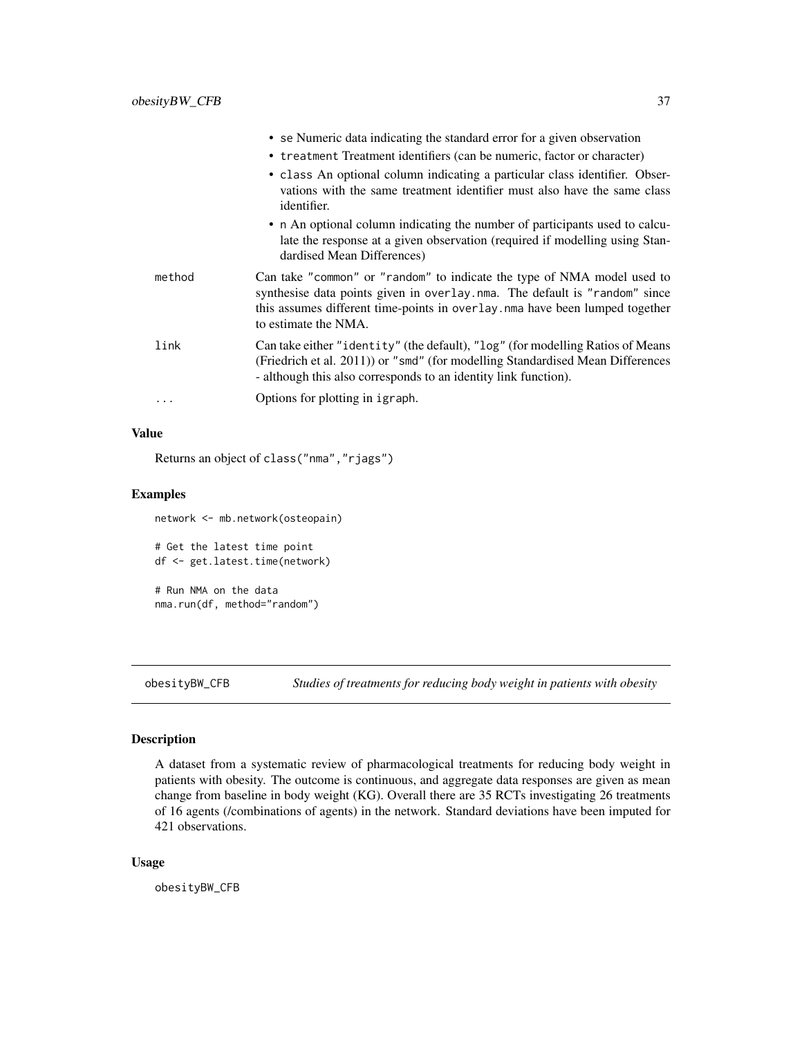|        | • se Numeric data indicating the standard error for a given observation                                                                                                                                                                                       |
|--------|---------------------------------------------------------------------------------------------------------------------------------------------------------------------------------------------------------------------------------------------------------------|
|        | • treatment Treatment identifiers (can be numeric, factor or character)                                                                                                                                                                                       |
|        | • class An optional column indicating a particular class identifier. Obser-<br>vations with the same treatment identifier must also have the same class<br>identifier.                                                                                        |
|        | • n An optional column indicating the number of participants used to calcu-<br>late the response at a given observation (required if modelling using Stan-<br>dardised Mean Differences)                                                                      |
| method | Can take "common" or "random" to indicate the type of NMA model used to<br>synthesise data points given in overlay.nma. The default is "random" since<br>this assumes different time-points in overlay. nma have been lumped together<br>to estimate the NMA. |
| link   | Can take either "identity" (the default), "log" (for modelling Ratios of Means<br>(Friedrich et al. 2011)) or "smd" (for modelling Standardised Mean Differences<br>- although this also corresponds to an identity link function).                           |
|        | Options for plotting in igraph.                                                                                                                                                                                                                               |

## Value

Returns an object of class("nma","rjags")

#### Examples

```
network <- mb.network(osteopain)
# Get the latest time point
df <- get.latest.time(network)
# Run NMA on the data
nma.run(df, method="random")
```
obesityBW\_CFB *Studies of treatments for reducing body weight in patients with obesity*

## Description

A dataset from a systematic review of pharmacological treatments for reducing body weight in patients with obesity. The outcome is continuous, and aggregate data responses are given as mean change from baseline in body weight (KG). Overall there are 35 RCTs investigating 26 treatments of 16 agents (/combinations of agents) in the network. Standard deviations have been imputed for 421 observations.

#### Usage

obesityBW\_CFB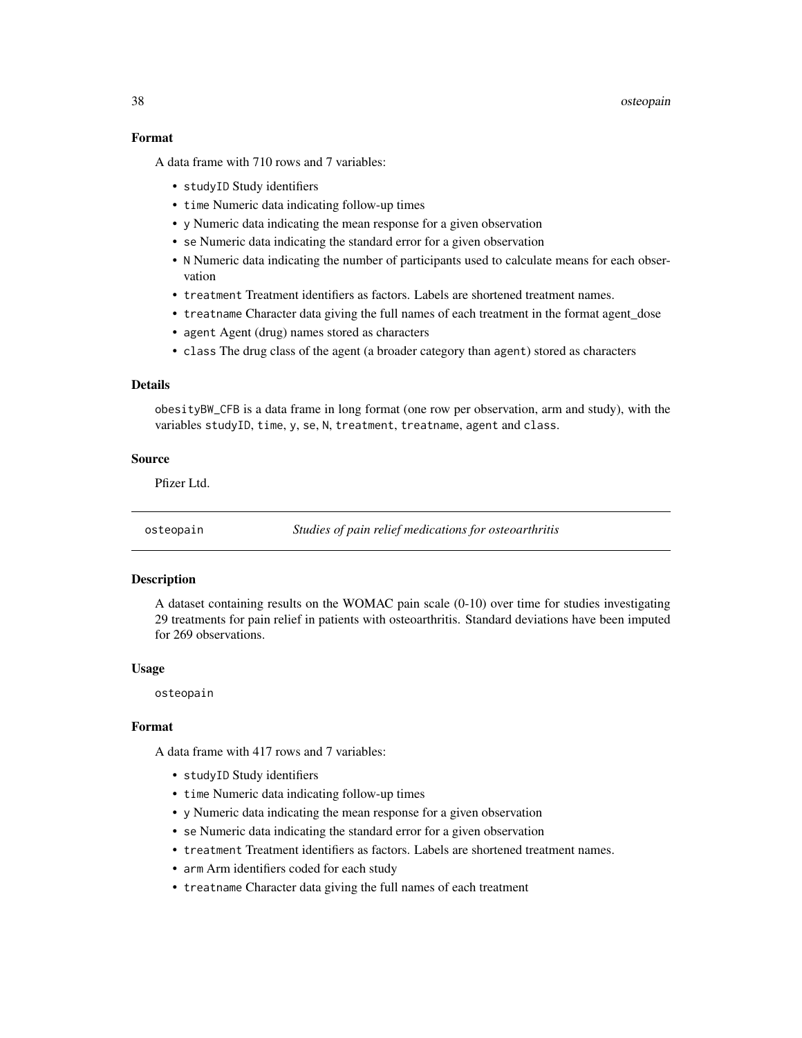#### 38 osteopain

## Format

A data frame with 710 rows and 7 variables:

- studyID Study identifiers
- time Numeric data indicating follow-up times
- y Numeric data indicating the mean response for a given observation
- se Numeric data indicating the standard error for a given observation
- N Numeric data indicating the number of participants used to calculate means for each observation
- treatment Treatment identifiers as factors. Labels are shortened treatment names.
- treatname Character data giving the full names of each treatment in the format agent\_dose
- agent Agent (drug) names stored as characters
- class The drug class of the agent (a broader category than agent) stored as characters

## Details

obesityBW\_CFB is a data frame in long format (one row per observation, arm and study), with the variables studyID, time, y, se, N, treatment, treatname, agent and class.

#### Source

Pfizer Ltd.

osteopain *Studies of pain relief medications for osteoarthritis*

#### Description

A dataset containing results on the WOMAC pain scale (0-10) over time for studies investigating 29 treatments for pain relief in patients with osteoarthritis. Standard deviations have been imputed for 269 observations.

#### Usage

osteopain

#### Format

A data frame with 417 rows and 7 variables:

- studyID Study identifiers
- time Numeric data indicating follow-up times
- y Numeric data indicating the mean response for a given observation
- se Numeric data indicating the standard error for a given observation
- treatment Treatment identifiers as factors. Labels are shortened treatment names.
- arm Arm identifiers coded for each study
- treatname Character data giving the full names of each treatment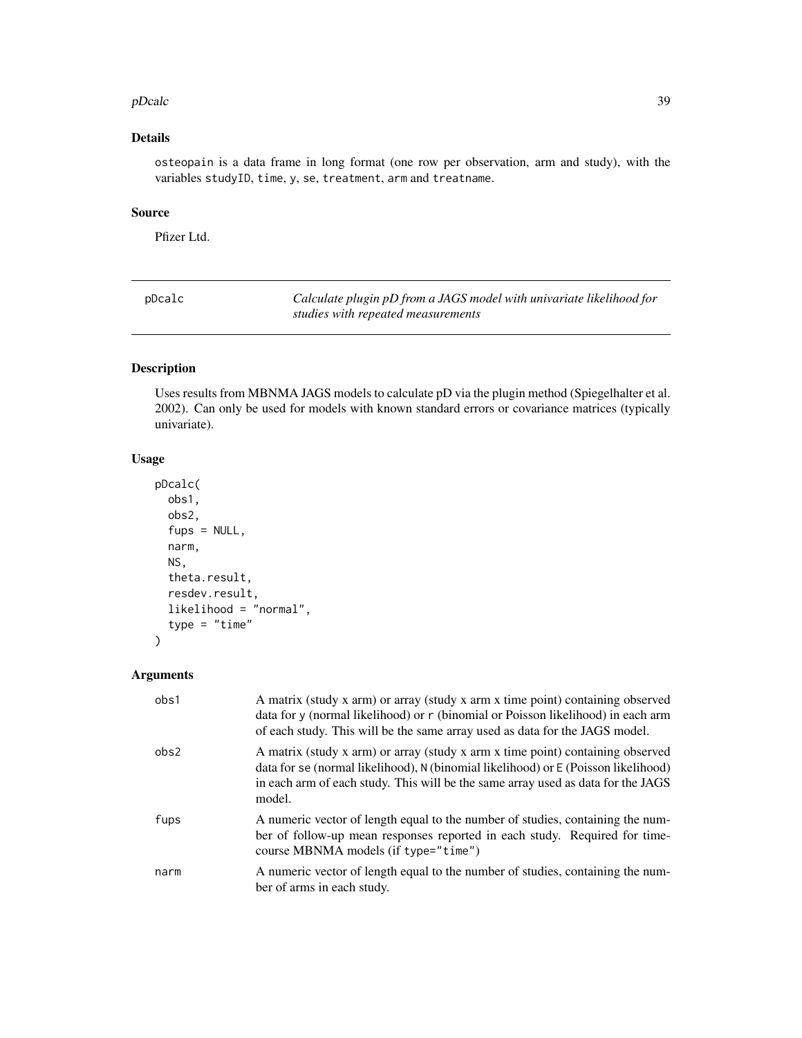#### pDcalc 39

## Details

osteopain is a data frame in long format (one row per observation, arm and study), with the variables studyID, time, y, se, treatment, arm and treatname.

## Source

Pfizer Ltd.

| pDcalc | Calculate plugin pD from a JAGS model with univariate likelihood for |
|--------|----------------------------------------------------------------------|
|        | studies with repeated measurements                                   |

## Description

Uses results from MBNMA JAGS models to calculate pD via the plugin method (Spiegelhalter et al. 2002). Can only be used for models with known standard errors or covariance matrices (typically univariate).

## Usage

```
pDcalc(
 obs1,
  obs2,
 fups = NULL,narm,
 NS,
  theta.result,
  resdev.result,
 likelihood = "normal",
  type = "time")
```

| obs1 | A matrix (study x arm) or array (study x arm x time point) containing observed<br>data for y (normal likelihood) or r (binomial or Poisson likelihood) in each arm<br>of each study. This will be the same array used as data for the JAGS model.                  |
|------|--------------------------------------------------------------------------------------------------------------------------------------------------------------------------------------------------------------------------------------------------------------------|
| obs2 | A matrix (study x arm) or array (study x arm x time point) containing observed<br>data for se (normal likelihood), N (binomial likelihood) or E (Poisson likelihood)<br>in each arm of each study. This will be the same array used as data for the JAGS<br>model. |
| fups | A numeric vector of length equal to the number of studies, containing the num-<br>ber of follow-up mean responses reported in each study. Required for time-<br>course MBNMA models (if type="time")                                                               |
| narm | A numeric vector of length equal to the number of studies, containing the num-<br>ber of arms in each study.                                                                                                                                                       |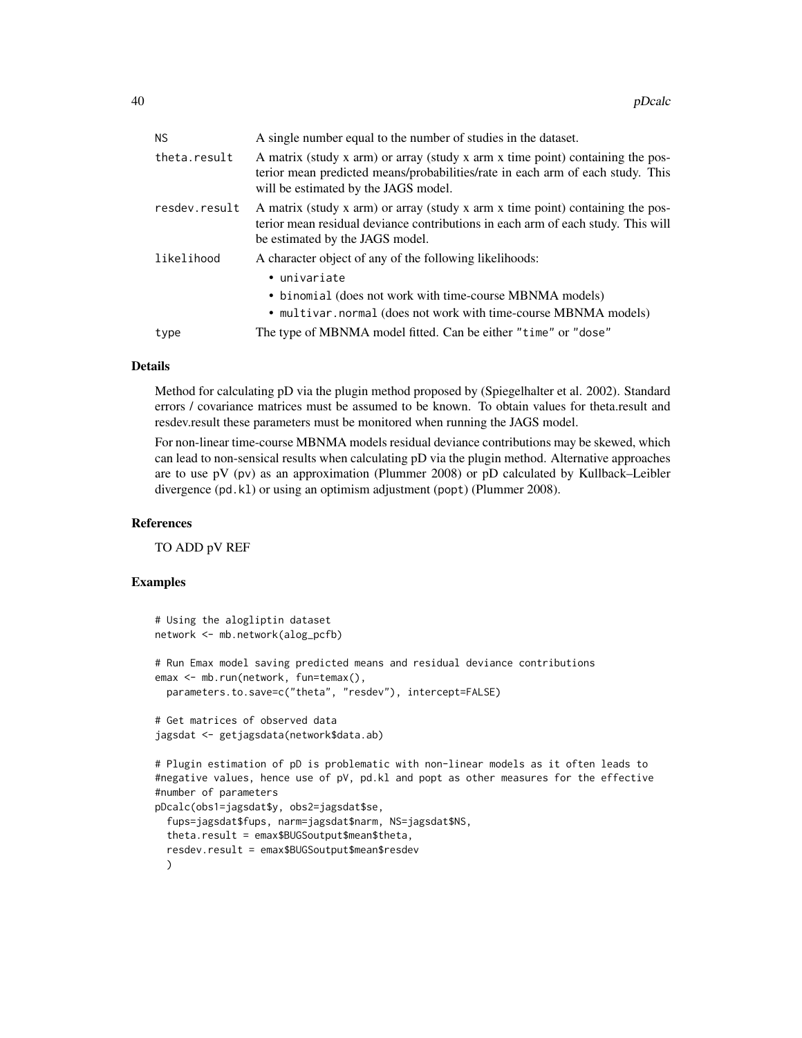| <b>NS</b>     | A single number equal to the number of studies in the dataset.                                                                                                                                           |
|---------------|----------------------------------------------------------------------------------------------------------------------------------------------------------------------------------------------------------|
| theta.result  | A matrix (study x arm) or array (study x arm x time point) containing the pos-<br>terior mean predicted means/probabilities/rate in each arm of each study. This<br>will be estimated by the JAGS model. |
| resdev.result | A matrix (study x arm) or array (study x arm x time point) containing the pos-<br>terior mean residual deviance contributions in each arm of each study. This will<br>be estimated by the JAGS model.    |
| likelihood    | A character object of any of the following likelihoods:                                                                                                                                                  |
|               | • univariate                                                                                                                                                                                             |
|               | • binomial (does not work with time-course MBNMA models)                                                                                                                                                 |
|               | • multivar.normal (does not work with time-course MBNMA models)                                                                                                                                          |
| type          | The type of MBNMA model fitted. Can be either "time" or "dose"                                                                                                                                           |

#### Details

Method for calculating pD via the plugin method proposed by (Spiegelhalter et al. 2002). Standard errors / covariance matrices must be assumed to be known. To obtain values for theta.result and resdev.result these parameters must be monitored when running the JAGS model.

For non-linear time-course MBNMA models residual deviance contributions may be skewed, which can lead to non-sensical results when calculating pD via the plugin method. Alternative approaches are to use pV (pv) as an approximation (Plummer 2008) or pD calculated by Kullback–Leibler divergence (pd.kl) or using an optimism adjustment (popt) (Plummer 2008).

#### References

TO ADD pV REF

## Examples

```
# Using the alogliptin dataset
network <- mb.network(alog_pcfb)
# Run Emax model saving predicted means and residual deviance contributions
emax <- mb.run(network, fun=temax(),
 parameters.to.save=c("theta", "resdev"), intercept=FALSE)
# Get matrices of observed data
jagsdat <- getjagsdata(network$data.ab)
# Plugin estimation of pD is problematic with non-linear models as it often leads to
#negative values, hence use of pV, pd.kl and popt as other measures for the effective
#number of parameters
pDcalc(obs1=jagsdat$y, obs2=jagsdat$se,
 fups=jagsdat$fups, narm=jagsdat$narm, NS=jagsdat$NS,
 theta.result = emax$BUGSoutput$mean$theta,
 resdev.result = emax$BUGSoutput$mean$resdev
 )
```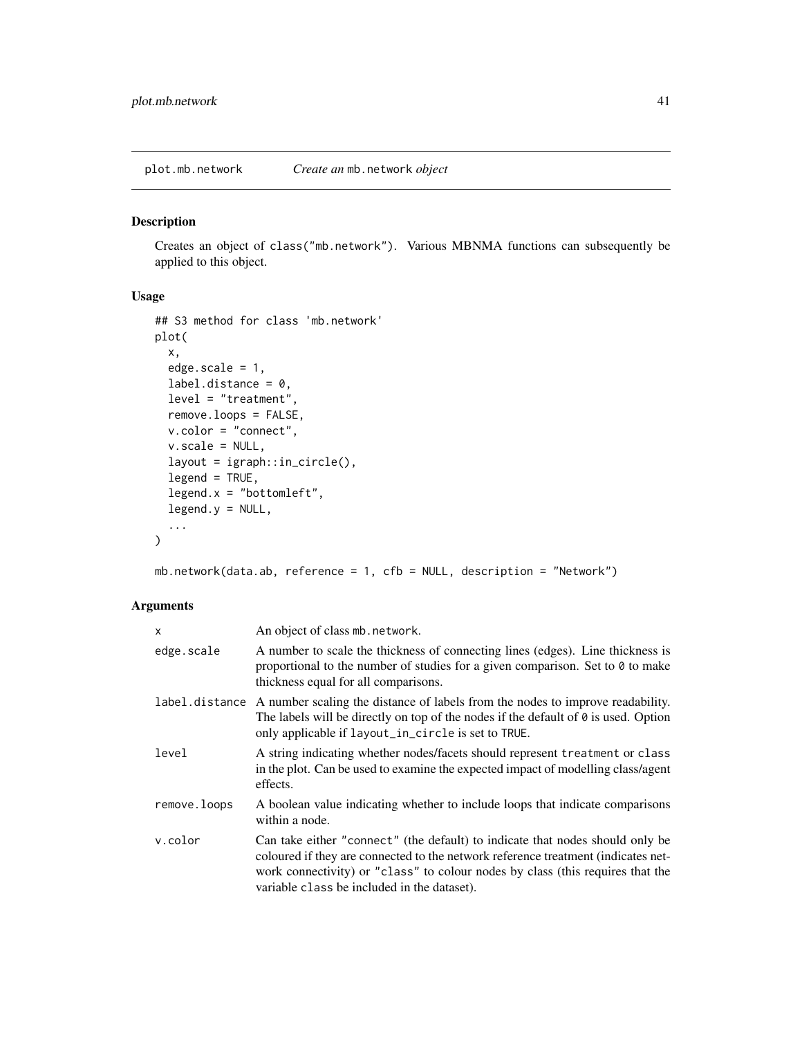plot.mb.network *Create an* mb.network *object*

#### Description

Creates an object of class("mb.network"). Various MBNMA functions can subsequently be applied to this object.

## Usage

```
## S3 method for class 'mb.network'
plot(
  x,
 edge.scale = 1,
  label.distance = 0,
  level = "treatment",
  remove.loops = FALSE,
 v.color = "connect",
  v.scale = NULL,
  layout = igraph::in_circle(),
  legend = TRUE,
  legend.x = "bottomleft",
  legend.y = NULL,...
)
```
mb.network(data.ab, reference = 1, cfb = NULL, description = "Network")

| x              | An object of class mb. network.                                                                                                                                                                                                                                                                     |
|----------------|-----------------------------------------------------------------------------------------------------------------------------------------------------------------------------------------------------------------------------------------------------------------------------------------------------|
| edge.scale     | A number to scale the thickness of connecting lines (edges). Line thickness is<br>proportional to the number of studies for a given comparison. Set to $\theta$ to make<br>thickness equal for all comparisons.                                                                                     |
| label.distance | A number scaling the distance of labels from the nodes to improve readability.<br>The labels will be directly on top of the nodes if the default of $\theta$ is used. Option<br>only applicable if layout_in_circle is set to TRUE.                                                                 |
| level          | A string indicating whether nodes/facets should represent treatment or class<br>in the plot. Can be used to examine the expected impact of modelling class/agent<br>effects.                                                                                                                        |
| remove.loops   | A boolean value indicating whether to include loops that indicate comparisons<br>within a node.                                                                                                                                                                                                     |
| v.color        | Can take either "connect" (the default) to indicate that nodes should only be<br>coloured if they are connected to the network reference treatment (indicates net-<br>work connectivity) or "class" to colour nodes by class (this requires that the<br>variable class be included in the dataset). |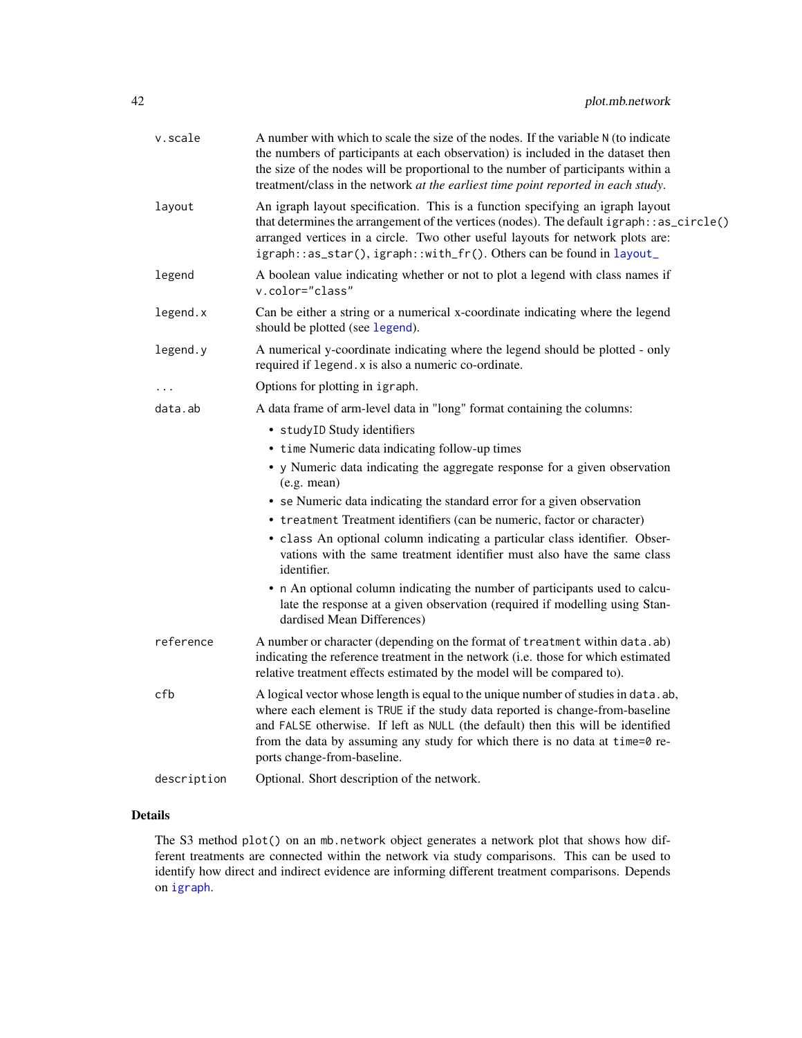| v.scale     | A number with which to scale the size of the nodes. If the variable N (to indicate<br>the numbers of participants at each observation) is included in the dataset then<br>the size of the nodes will be proportional to the number of participants within a<br>treatment/class in the network at the earliest time point reported in each study.                       |
|-------------|------------------------------------------------------------------------------------------------------------------------------------------------------------------------------------------------------------------------------------------------------------------------------------------------------------------------------------------------------------------------|
| layout      | An igraph layout specification. This is a function specifying an igraph layout<br>that determines the arrangement of the vertices (nodes). The default igraph::as_circle()<br>arranged vertices in a circle. Two other useful layouts for network plots are:<br>igraph::as_star(), igraph::with_fr(). Others can be found in layout_                                   |
| legend      | A boolean value indicating whether or not to plot a legend with class names if<br>v.color="class"                                                                                                                                                                                                                                                                      |
| legend.x    | Can be either a string or a numerical x-coordinate indicating where the legend<br>should be plotted (see legend).                                                                                                                                                                                                                                                      |
| legend.y    | A numerical y-coordinate indicating where the legend should be plotted - only<br>required if legend. x is also a numeric co-ordinate.                                                                                                                                                                                                                                  |
| $\cdots$    | Options for plotting in igraph.                                                                                                                                                                                                                                                                                                                                        |
| data.ab     | A data frame of arm-level data in "long" format containing the columns:                                                                                                                                                                                                                                                                                                |
|             | · studyID Study identifiers                                                                                                                                                                                                                                                                                                                                            |
|             | • time Numeric data indicating follow-up times                                                                                                                                                                                                                                                                                                                         |
|             | • y Numeric data indicating the aggregate response for a given observation<br>(e.g. mean)                                                                                                                                                                                                                                                                              |
|             | • se Numeric data indicating the standard error for a given observation                                                                                                                                                                                                                                                                                                |
|             | • treatment Treatment identifiers (can be numeric, factor or character)                                                                                                                                                                                                                                                                                                |
|             | • class An optional column indicating a particular class identifier. Obser-<br>vations with the same treatment identifier must also have the same class<br>identifier.                                                                                                                                                                                                 |
|             | • n An optional column indicating the number of participants used to calcu-<br>late the response at a given observation (required if modelling using Stan-<br>dardised Mean Differences)                                                                                                                                                                               |
| reference   | A number or character (depending on the format of treatment within data.ab)<br>indicating the reference treatment in the network (i.e. those for which estimated<br>relative treatment effects estimated by the model will be compared to).                                                                                                                            |
| cfb         | A logical vector whose length is equal to the unique number of studies in data. ab,<br>where each element is TRUE if the study data reported is change-from-baseline<br>and FALSE otherwise. If left as NULL (the default) then this will be identified<br>from the data by assuming any study for which there is no data at time=0 re-<br>ports change-from-baseline. |
| description | Optional. Short description of the network.                                                                                                                                                                                                                                                                                                                            |
|             |                                                                                                                                                                                                                                                                                                                                                                        |

## Details

The S3 method plot() on an mb.network object generates a network plot that shows how different treatments are connected within the network via study comparisons. This can be used to identify how direct and indirect evidence are informing different treatment comparisons. Depends on [igraph](#page-0-0).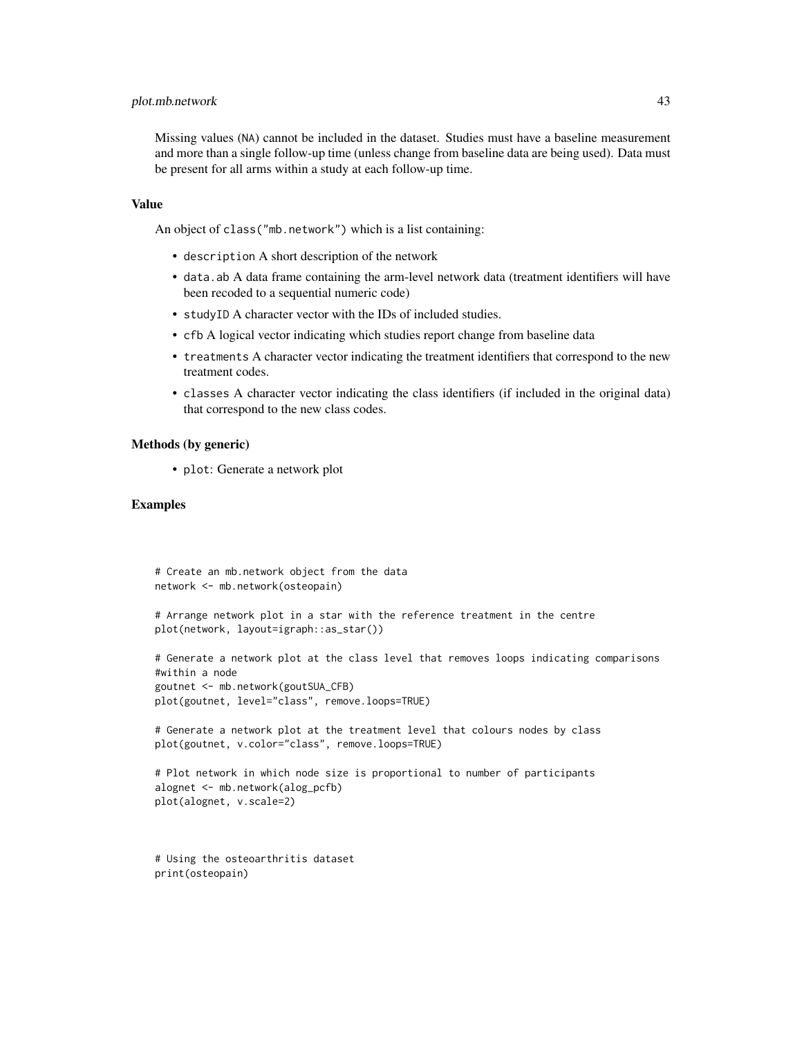## plot.mb.network 43

Missing values (NA) cannot be included in the dataset. Studies must have a baseline measurement and more than a single follow-up time (unless change from baseline data are being used). Data must be present for all arms within a study at each follow-up time.

#### Value

An object of class("mb.network") which is a list containing:

- description A short description of the network
- data.ab A data frame containing the arm-level network data (treatment identifiers will have been recoded to a sequential numeric code)
- studyID A character vector with the IDs of included studies.
- cfb A logical vector indicating which studies report change from baseline data
- treatments A character vector indicating the treatment identifiers that correspond to the new treatment codes.
- classes A character vector indicating the class identifiers (if included in the original data) that correspond to the new class codes.

#### Methods (by generic)

• plot: Generate a network plot

## Examples

```
# Create an mb.network object from the data
network <- mb.network(osteopain)
# Arrange network plot in a star with the reference treatment in the centre
plot(network, layout=igraph::as_star())
# Generate a network plot at the class level that removes loops indicating comparisons
#within a node
goutnet <- mb.network(goutSUA_CFB)
plot(goutnet, level="class", remove.loops=TRUE)
# Generate a network plot at the treatment level that colours nodes by class
plot(goutnet, v.color="class", remove.loops=TRUE)
# Plot network in which node size is proportional to number of participants
```

```
alognet <- mb.network(alog_pcfb)
plot(alognet, v.scale=2)
```

```
# Using the osteoarthritis dataset
print(osteopain)
```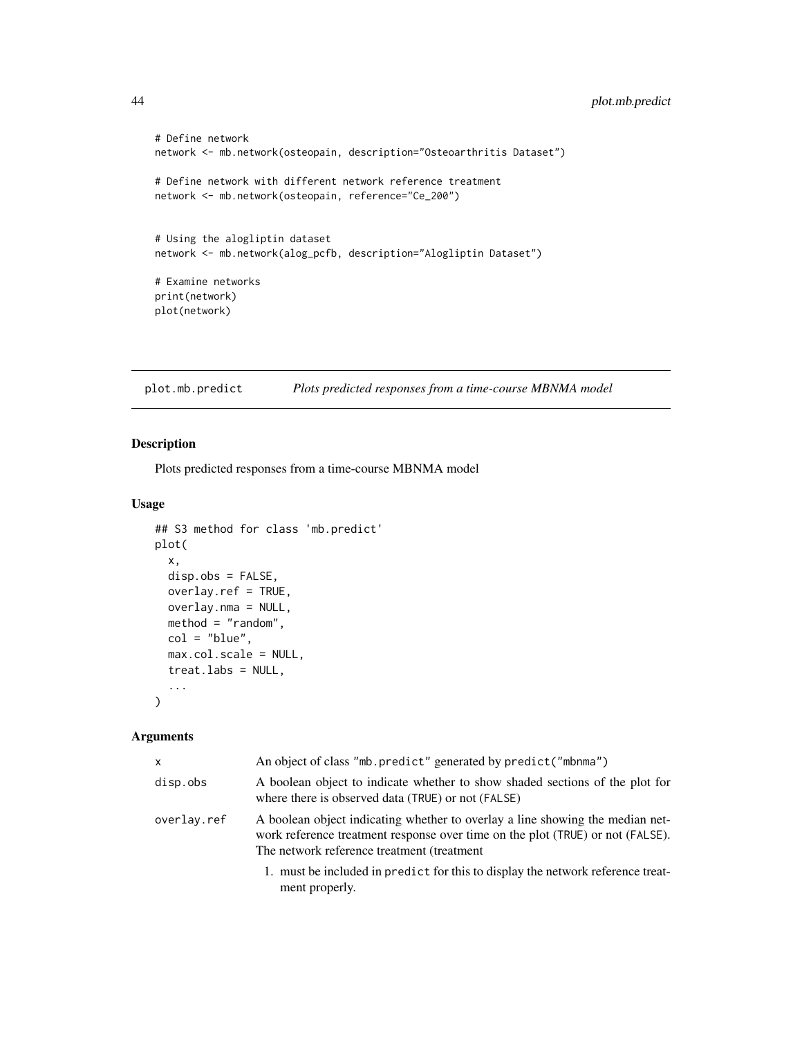```
# Define network
network <- mb.network(osteopain, description="Osteoarthritis Dataset")
# Define network with different network reference treatment
network <- mb.network(osteopain, reference="Ce_200")
# Using the alogliptin dataset
network <- mb.network(alog_pcfb, description="Alogliptin Dataset")
# Examine networks
print(network)
plot(network)
```
plot.mb.predict *Plots predicted responses from a time-course MBNMA model*

## Description

Plots predicted responses from a time-course MBNMA model

## Usage

```
## S3 method for class 'mb.predict'
plot(
  x,
 disp.obs = FALSE,
 overlay.ref = TRUE,
 overlay.nma = NULL,
 method = "random",
 col = "blue",max.col.scale = NULL,
  treat.labs = NULL,
  ...
)
```

| $\mathsf{x}$ | An object of class "mb. predict" generated by predict ("mbnma")                                                                                                                                               |
|--------------|---------------------------------------------------------------------------------------------------------------------------------------------------------------------------------------------------------------|
| disp.obs     | A boolean object to indicate whether to show shaded sections of the plot for<br>where there is observed data (TRUE) or not (FALSE)                                                                            |
| overlay.ref  | A boolean object indicating whether to overlay a line showing the median net-<br>work reference treatment response over time on the plot (TRUE) or not (FALSE).<br>The network reference treatment (treatment |
|              | 1. must be included in predict for this to display the network reference treat-<br>ment properly.                                                                                                             |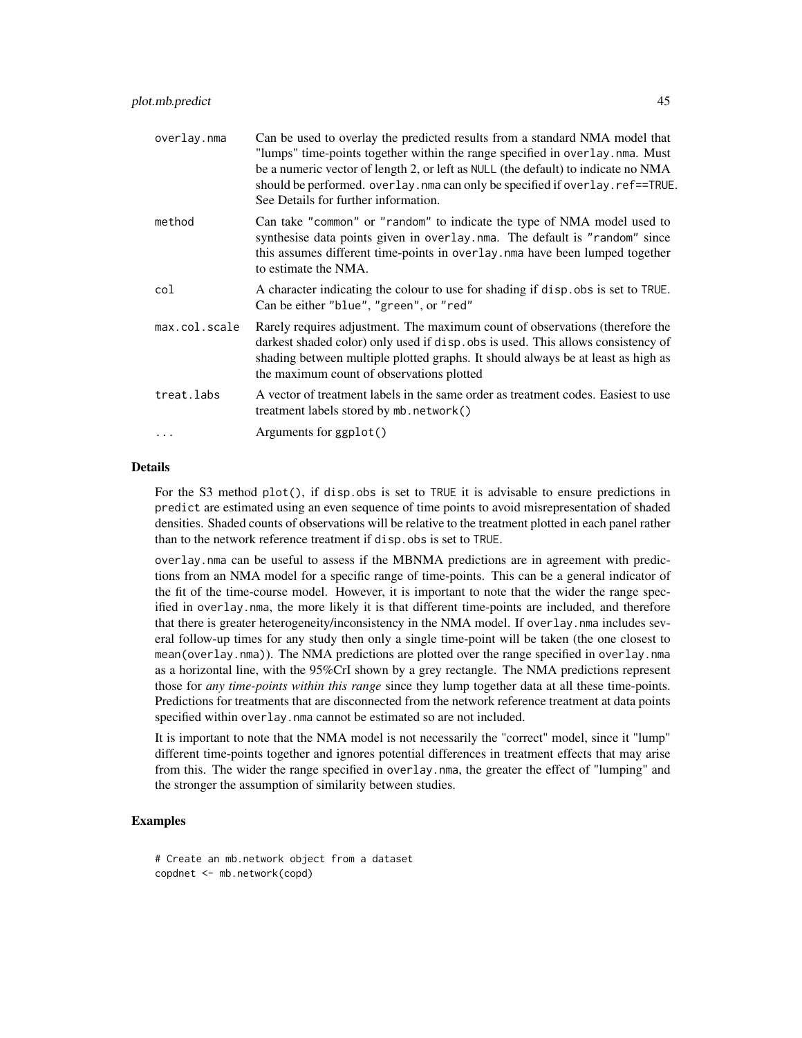| overlay.nma   | Can be used to overlay the predicted results from a standard NMA model that<br>"lumps" time-points together within the range specified in overlay.nma. Must<br>be a numeric vector of length 2, or left as NULL (the default) to indicate no NMA<br>should be performed. overlay. nma can only be specified if overlay. ref==TRUE.<br>See Details for further information. |
|---------------|----------------------------------------------------------------------------------------------------------------------------------------------------------------------------------------------------------------------------------------------------------------------------------------------------------------------------------------------------------------------------|
| method        | Can take "common" or "random" to indicate the type of NMA model used to<br>synthesise data points given in overlay mma. The default is "random" since<br>this assumes different time-points in overlay, nma have been lumped together<br>to estimate the NMA.                                                                                                              |
| col           | A character indicating the colour to use for shading if disp.obs is set to TRUE.<br>Can be either "blue", "green", or "red"                                                                                                                                                                                                                                                |
| max.col.scale | Rarely requires adjustment. The maximum count of observations (therefore the<br>darkest shaded color) only used if disp. obs is used. This allows consistency of<br>shading between multiple plotted graphs. It should always be at least as high as<br>the maximum count of observations plotted                                                                          |
| treat.labs    | A vector of treatment labels in the same order as treatment codes. Easiest to use<br>(contract treatment labels stored by mb. network()                                                                                                                                                                                                                                    |
|               | Arguments for ggplot()                                                                                                                                                                                                                                                                                                                                                     |

#### Details

For the S3 method plot(), if disp.obs is set to TRUE it is advisable to ensure predictions in predict are estimated using an even sequence of time points to avoid misrepresentation of shaded densities. Shaded counts of observations will be relative to the treatment plotted in each panel rather than to the network reference treatment if disp.obs is set to TRUE.

overlay.nma can be useful to assess if the MBNMA predictions are in agreement with predictions from an NMA model for a specific range of time-points. This can be a general indicator of the fit of the time-course model. However, it is important to note that the wider the range specified in overlay.nma, the more likely it is that different time-points are included, and therefore that there is greater heterogeneity/inconsistency in the NMA model. If overlay.nma includes several follow-up times for any study then only a single time-point will be taken (the one closest to mean(overlay.nma)). The NMA predictions are plotted over the range specified in overlay.nma as a horizontal line, with the 95%CrI shown by a grey rectangle. The NMA predictions represent those for *any time-points within this range* since they lump together data at all these time-points. Predictions for treatments that are disconnected from the network reference treatment at data points specified within overlay.nma cannot be estimated so are not included.

It is important to note that the NMA model is not necessarily the "correct" model, since it "lump" different time-points together and ignores potential differences in treatment effects that may arise from this. The wider the range specified in overlay.nma, the greater the effect of "lumping" and the stronger the assumption of similarity between studies.

## Examples

```
# Create an mb.network object from a dataset
copdnet <- mb.network(copd)
```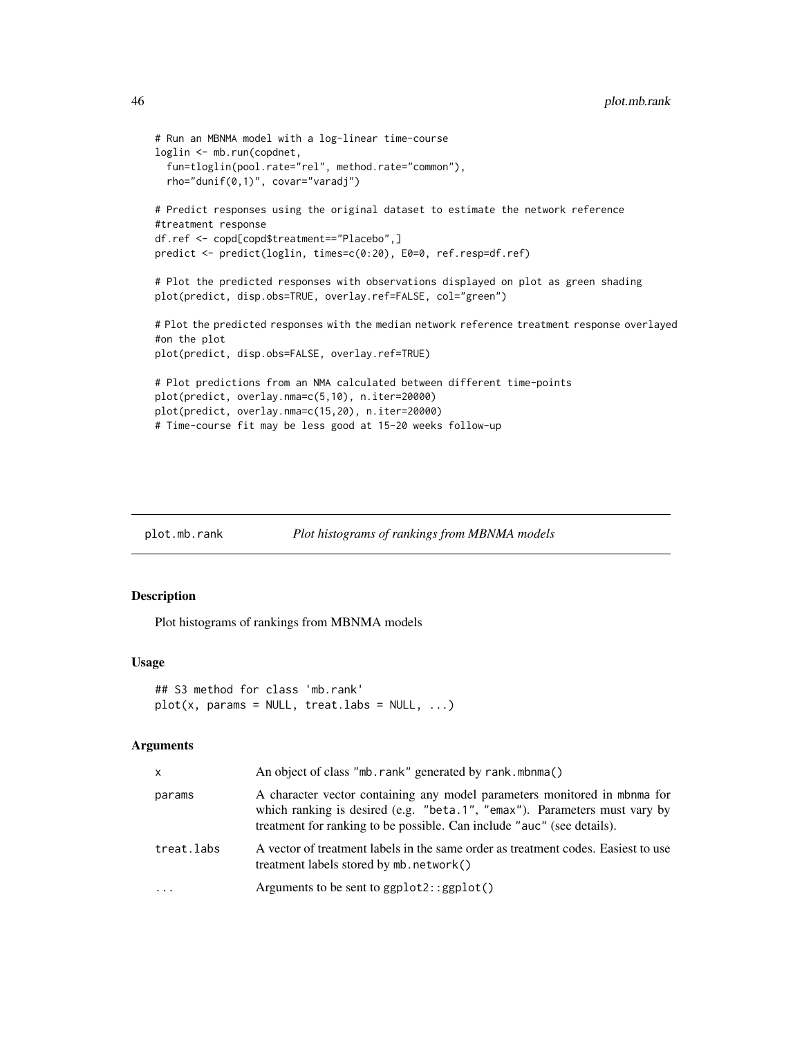```
# Run an MBNMA model with a log-linear time-course
loglin <- mb.run(copdnet,
  fun=tloglin(pool.rate="rel", method.rate="common"),
  rho="dunif(0,1)", covar="varadj")
# Predict responses using the original dataset to estimate the network reference
#treatment response
df.ref <- copd[copd$treatment=="Placebo",]
predict <- predict(loglin, times=c(0:20), E0=0, ref.resp=df.ref)
# Plot the predicted responses with observations displayed on plot as green shading
plot(predict, disp.obs=TRUE, overlay.ref=FALSE, col="green")
# Plot the predicted responses with the median network reference treatment response overlayed
#on the plot
plot(predict, disp.obs=FALSE, overlay.ref=TRUE)
# Plot predictions from an NMA calculated between different time-points
plot(predict, overlay.nma=c(5,10), n.iter=20000)
plot(predict, overlay.nma=c(15,20), n.iter=20000)
# Time-course fit may be less good at 15-20 weeks follow-up
```
plot.mb.rank *Plot histograms of rankings from MBNMA models*

## Description

Plot histograms of rankings from MBNMA models

#### Usage

```
## S3 method for class 'mb.rank'
plot(x, params = NULL, treat.labs = NULL, ...)
```

| X          | An object of class "mb. rank" generated by rank. mbnma()                                                                                                                                                                         |
|------------|----------------------------------------------------------------------------------------------------------------------------------------------------------------------------------------------------------------------------------|
| params     | A character vector containing any model parameters monitored in mbnma for<br>which ranking is desired (e.g. "beta.1", "emax"). Parameters must vary by<br>treatment for ranking to be possible. Can include "auc" (see details). |
| treat.labs | A vector of treatment labels in the same order as treatment codes. Easiest to use<br>treatment labels stored by $mb$ . network $()$                                                                                              |
| $\cdots$   | Arguments to be sent to $ggplot2::ggplot()$                                                                                                                                                                                      |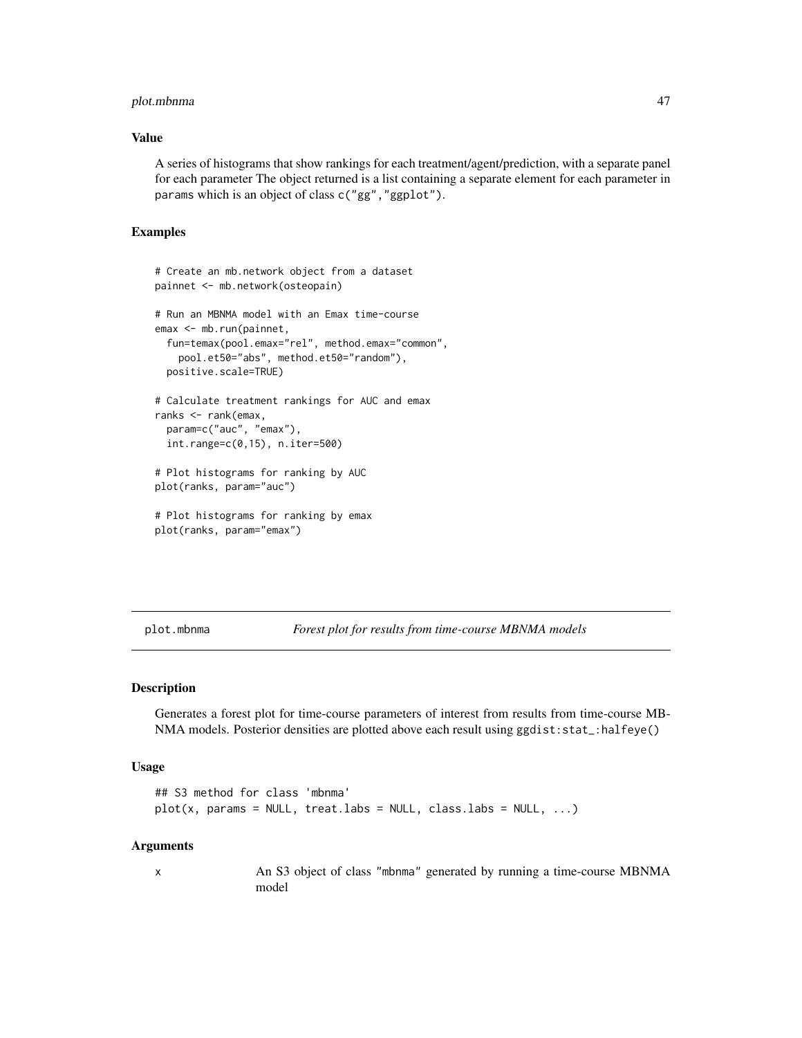## plot.mbnma 47

#### Value

A series of histograms that show rankings for each treatment/agent/prediction, with a separate panel for each parameter The object returned is a list containing a separate element for each parameter in params which is an object of class c("gg","ggplot").

#### Examples

```
# Create an mb.network object from a dataset
painnet <- mb.network(osteopain)
# Run an MBNMA model with an Emax time-course
emax <- mb.run(painnet,
 fun=temax(pool.emax="rel", method.emax="common",
   pool.et50="abs", method.et50="random"),
 positive.scale=TRUE)
# Calculate treatment rankings for AUC and emax
ranks <- rank(emax,
 param=c("auc", "emax"),
 int.range=c(0,15), n.iter=500)
# Plot histograms for ranking by AUC
plot(ranks, param="auc")
# Plot histograms for ranking by emax
```
plot(ranks, param="emax")

plot.mbnma *Forest plot for results from time-course MBNMA models*

#### Description

Generates a forest plot for time-course parameters of interest from results from time-course MB-NMA models. Posterior densities are plotted above each result using ggdist:stat\_:halfeye()

#### Usage

## S3 method for class 'mbnma'  $plot(x, parents = NULL, treat.labs = NULL, class.labs = NULL, ...)$ 

#### Arguments

x An S3 object of class "mbnma" generated by running a time-course MBNMA model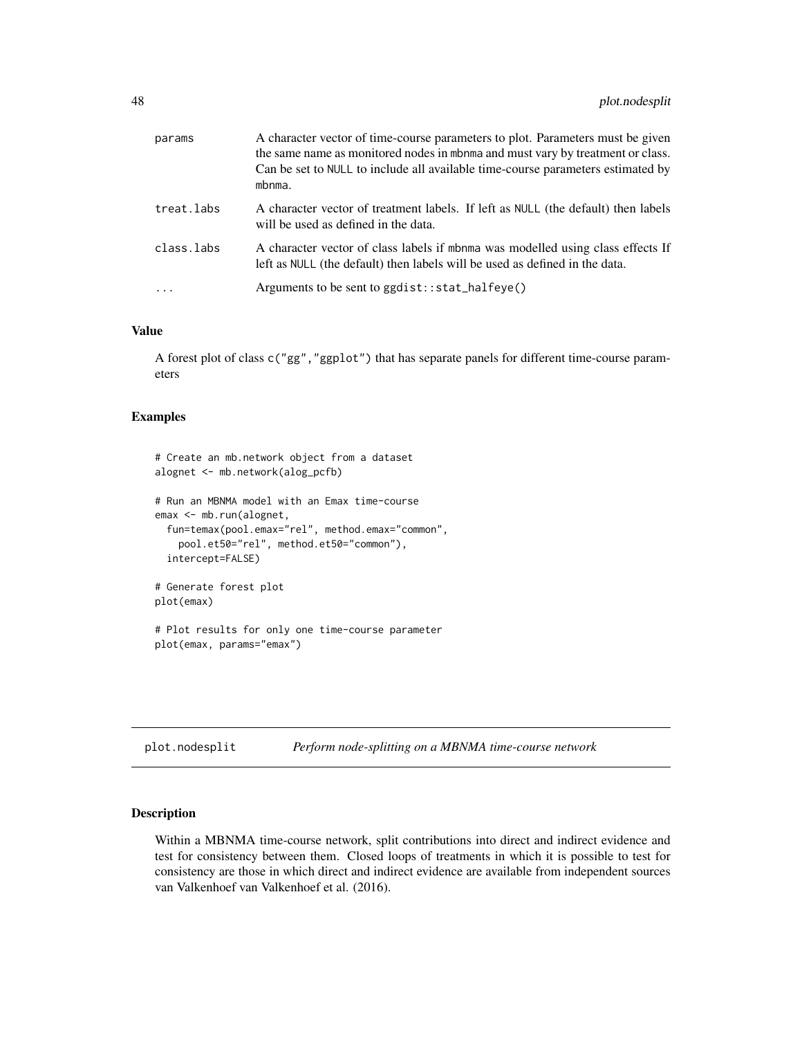| params     | A character vector of time-course parameters to plot. Parameters must be given<br>the same name as monitored nodes in mbnma and must vary by treatment or class.<br>Can be set to NULL to include all available time-course parameters estimated by<br>mbnma. |
|------------|---------------------------------------------------------------------------------------------------------------------------------------------------------------------------------------------------------------------------------------------------------------|
| treat.labs | A character vector of treatment labels. If left as NULL (the default) then labels<br>will be used as defined in the data.                                                                                                                                     |
| class.labs | A character vector of class labels if mbnma was modelled using class effects If<br>left as NULL (the default) then labels will be used as defined in the data.                                                                                                |
| $\cdots$   | Arguments to be sent to ggdist::stat_halfeye()                                                                                                                                                                                                                |

#### Value

A forest plot of class c("gg","ggplot") that has separate panels for different time-course parameters

#### Examples

```
# Create an mb.network object from a dataset
alognet <- mb.network(alog_pcfb)
# Run an MBNMA model with an Emax time-course
emax <- mb.run(alognet,
 fun=temax(pool.emax="rel", method.emax="common",
   pool.et50="rel", method.et50="common"),
 intercept=FALSE)
# Generate forest plot
plot(emax)
# Plot results for only one time-course parameter
plot(emax, params="emax")
```
plot.nodesplit *Perform node-splitting on a MBNMA time-course network*

#### Description

Within a MBNMA time-course network, split contributions into direct and indirect evidence and test for consistency between them. Closed loops of treatments in which it is possible to test for consistency are those in which direct and indirect evidence are available from independent sources van Valkenhoef van Valkenhoef et al. (2016).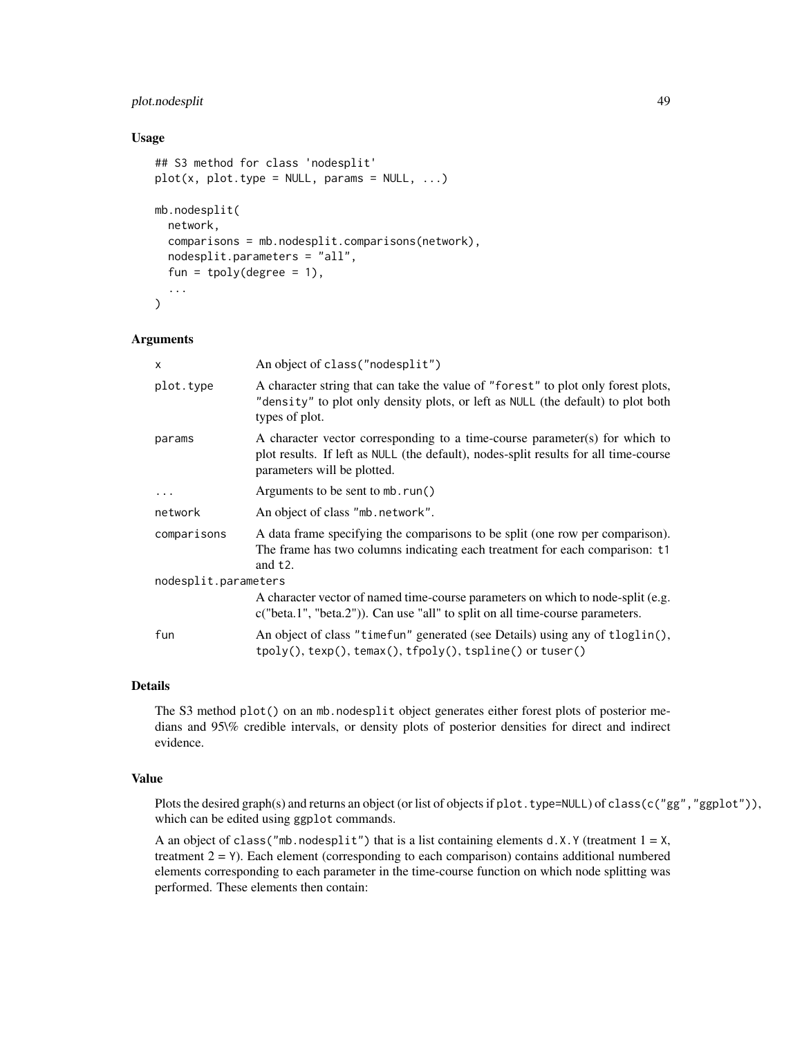## plot.nodesplit 49

### Usage

```
## S3 method for class 'nodesplit'
plot(x, plot_type = NULL, params = NULL, ...)mb.nodesplit(
  network,
  comparisons = mb.nodesplit.comparisons(network),
  nodesplit.parameters = "all",
  fun = tpoly(degree = 1),
  ...
)
```
## Arguments

| X                    | An object of class ("nodesplit")                                                                                                                                                                   |  |
|----------------------|----------------------------------------------------------------------------------------------------------------------------------------------------------------------------------------------------|--|
| plot.type            | A character string that can take the value of "forest" to plot only forest plots,<br>"density" to plot only density plots, or left as NULL (the default) to plot both<br>types of plot.            |  |
| params               | A character vector corresponding to a time-course parameter(s) for which to<br>plot results. If left as NULL (the default), nodes-split results for all time-course<br>parameters will be plotted. |  |
| $\ddots$             | Arguments to be sent to mb. run()                                                                                                                                                                  |  |
| network              | An object of class "mb. network".                                                                                                                                                                  |  |
| comparisons          | A data frame specifying the comparisons to be split (one row per comparison).<br>The frame has two columns indicating each treatment for each comparison: t1<br>and $t2$ .                         |  |
| nodesplit.parameters |                                                                                                                                                                                                    |  |
|                      | A character vector of named time-course parameters on which to node-split (e.g.<br>c("beta.1", "beta.2")). Can use "all" to split on all time-course parameters.                                   |  |
| fun                  | An object of class "timefun" generated (see Details) using any of tloglin(),<br>tpoly(), texp(), temax(), tfpoly(), tspline() or tuser()                                                           |  |

#### Details

The S3 method plot() on an mb.nodesplit object generates either forest plots of posterior medians and 95\% credible intervals, or density plots of posterior densities for direct and indirect evidence.

#### Value

Plots the desired graph(s) and returns an object (or list of objects if plot.type=NULL) of class(c("gg","ggplot")), which can be edited using ggplot commands.

A an object of class("mb.nodesplit") that is a list containing elements d.X.Y (treatment  $1 = X$ , treatment  $2 = Y$ ). Each element (corresponding to each comparison) contains additional numbered elements corresponding to each parameter in the time-course function on which node splitting was performed. These elements then contain: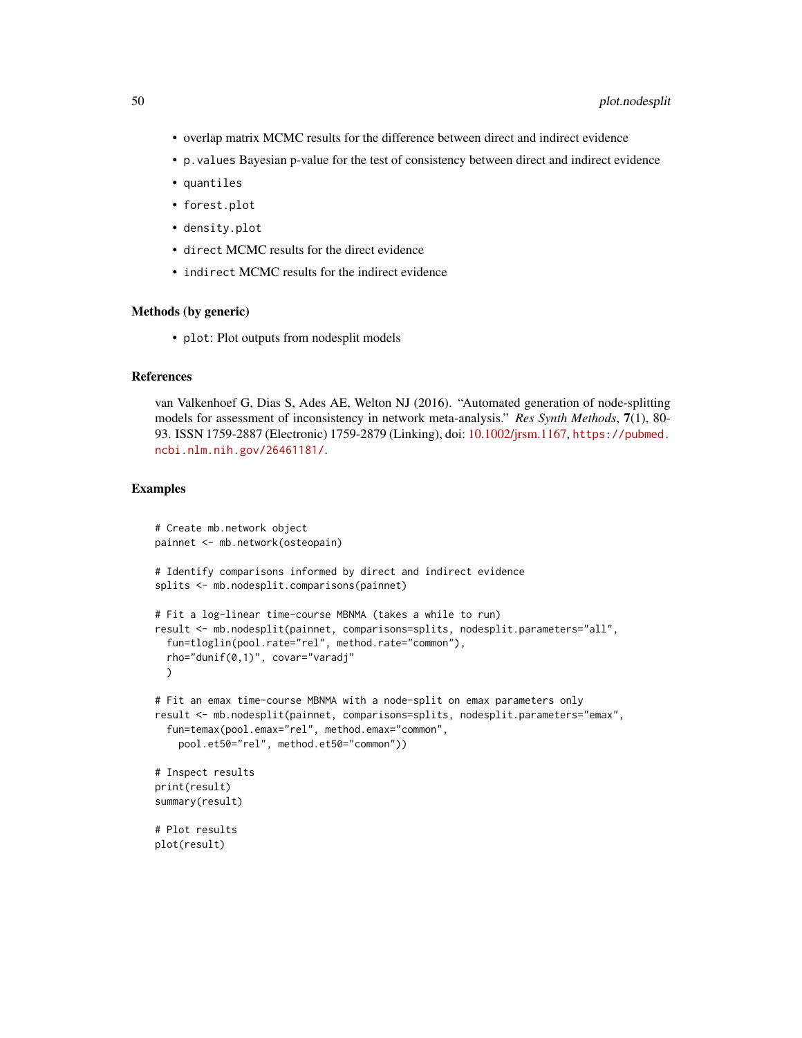- overlap matrix MCMC results for the difference between direct and indirect evidence
- p.values Bayesian p-value for the test of consistency between direct and indirect evidence
- quantiles
- forest.plot
- density.plot
- direct MCMC results for the direct evidence
- indirect MCMC results for the indirect evidence

#### Methods (by generic)

• plot: Plot outputs from nodesplit models

## References

van Valkenhoef G, Dias S, Ades AE, Welton NJ (2016). "Automated generation of node-splitting models for assessment of inconsistency in network meta-analysis." *Res Synth Methods*, 7(1), 80- 93. ISSN 1759-2887 (Electronic) 1759-2879 (Linking), doi: [10.1002/jrsm.1167,](https://doi.org/10.1002/jrsm.1167) [https://pubmed.](https://pubmed.ncbi.nlm.nih.gov/26461181/) [ncbi.nlm.nih.gov/26461181/](https://pubmed.ncbi.nlm.nih.gov/26461181/).

## Examples

```
# Create mb.network object
painnet <- mb.network(osteopain)
# Identify comparisons informed by direct and indirect evidence
splits <- mb.nodesplit.comparisons(painnet)
# Fit a log-linear time-course MBNMA (takes a while to run)
result <- mb.nodesplit(painnet, comparisons=splits, nodesplit.parameters="all",
 fun=tloglin(pool.rate="rel", method.rate="common"),
 rho="dunif(0,1)", covar="varadj"
 \lambda# Fit an emax time-course MBNMA with a node-split on emax parameters only
result <- mb.nodesplit(painnet, comparisons=splits, nodesplit.parameters="emax",
 fun=temax(pool.emax="rel", method.emax="common",
   pool.et50="rel", method.et50="common"))
# Inspect results
print(result)
summary(result)
# Plot results
plot(result)
```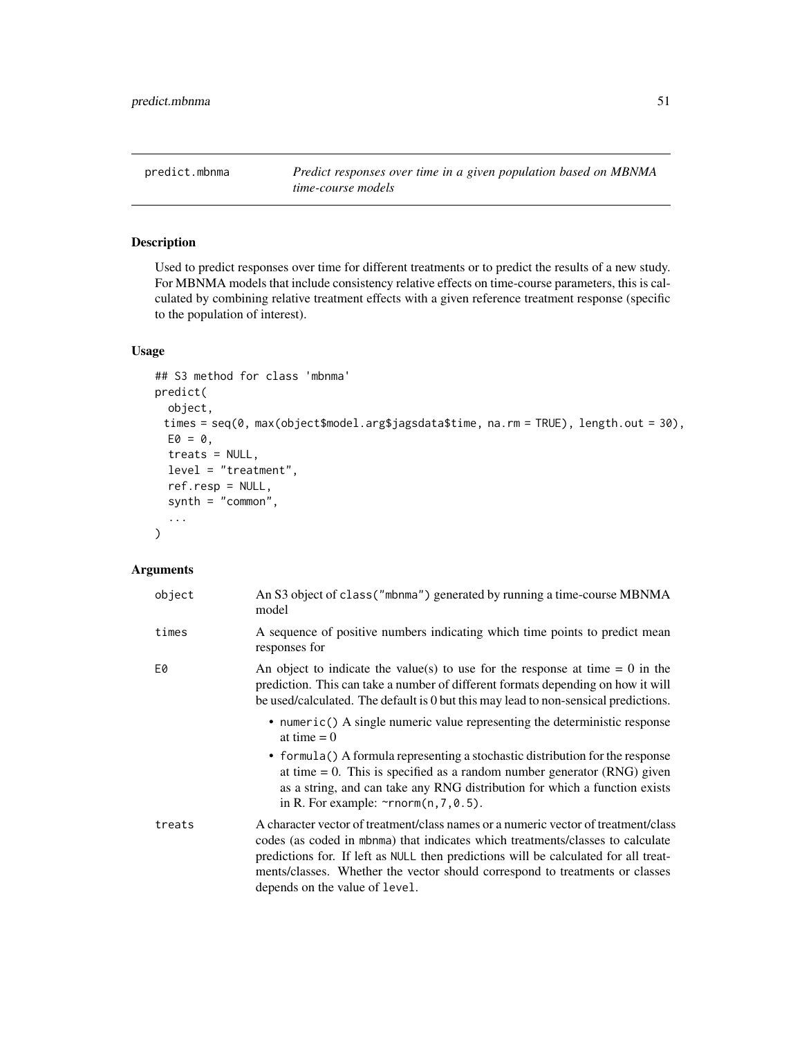Used to predict responses over time for different treatments or to predict the results of a new study. For MBNMA models that include consistency relative effects on time-course parameters, this is calculated by combining relative treatment effects with a given reference treatment response (specific to the population of interest).

## Usage

```
## S3 method for class 'mbnma'
predict(
  object,
 times = seq(0, max(object$model.arg$jagsdata$time, na.rm = TRUE), length.out = 30),
 E0 = 0,
  treats = NULL,
  level = "treatment",
  ref.resp = NULL,
  synth = "common",
  ...
\mathcal{L}
```

| object | An S3 object of class ("mbnma") generated by running a time-course MBNMA<br>model                                                                                                                                                                                                                                                                                             |
|--------|-------------------------------------------------------------------------------------------------------------------------------------------------------------------------------------------------------------------------------------------------------------------------------------------------------------------------------------------------------------------------------|
| times  | A sequence of positive numbers indicating which time points to predict mean<br>responses for                                                                                                                                                                                                                                                                                  |
| E0     | An object to indicate the value(s) to use for the response at time $= 0$ in the<br>prediction. This can take a number of different formats depending on how it will<br>be used/calculated. The default is 0 but this may lead to non-sensical predictions.                                                                                                                    |
|        | • numeric() A single numeric value representing the deterministic response<br>at time $= 0$                                                                                                                                                                                                                                                                                   |
|        | • formula () A formula representing a stochastic distribution for the response<br>at time $= 0$ . This is specified as a random number generator (RNG) given<br>as a string, and can take any RNG distribution for which a function exists<br>in R. For example: $\sim$ rnorm(n, 7, 0.5).                                                                                     |
| treats | A character vector of treatment/class names or a numeric vector of treatment/class<br>codes (as coded in mbnma) that indicates which treatments/classes to calculate<br>predictions for. If left as NULL then predictions will be calculated for all treat-<br>ments/classes. Whether the vector should correspond to treatments or classes<br>depends on the value of level. |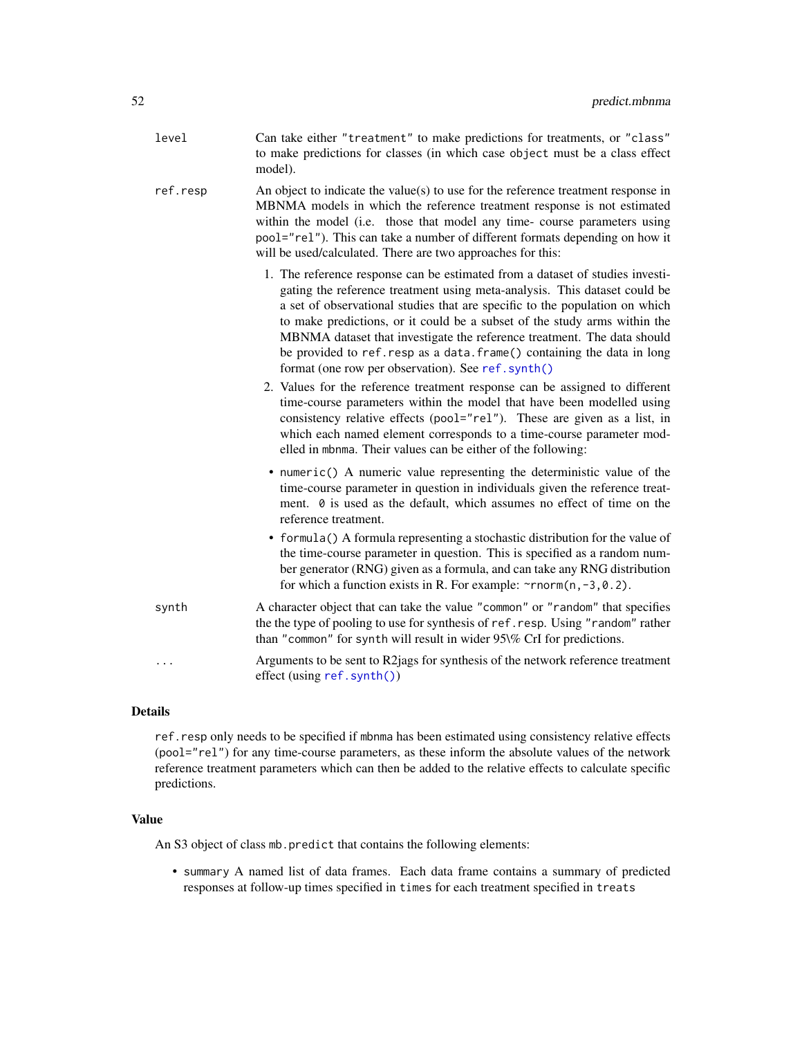| level | Can take either "treatment" to make predictions for treatments, or "class"   |
|-------|------------------------------------------------------------------------------|
|       | to make predictions for classes (in which case object must be a class effect |
|       | model).                                                                      |

- ref.resp An object to indicate the value(s) to use for the reference treatment response in MBNMA models in which the reference treatment response is not estimated within the model (i.e. those that model any time- course parameters using pool="rel"). This can take a number of different formats depending on how it will be used/calculated. There are two approaches for this:
	- 1. The reference response can be estimated from a dataset of studies investigating the reference treatment using meta-analysis. This dataset could be a set of observational studies that are specific to the population on which to make predictions, or it could be a subset of the study arms within the MBNMA dataset that investigate the reference treatment. The data should be provided to ref.resp as a data.frame() containing the data in long format (one row per observation). See [ref.synth\(\)](#page-61-0)
	- 2. Values for the reference treatment response can be assigned to different time-course parameters within the model that have been modelled using consistency relative effects (pool="rel"). These are given as a list, in which each named element corresponds to a time-course parameter modelled in mbnma. Their values can be either of the following:
	- numeric() A numeric value representing the deterministic value of the time-course parameter in question in individuals given the reference treatment. 0 is used as the default, which assumes no effect of time on the reference treatment.
	- formula() A formula representing a stochastic distribution for the value of the time-course parameter in question. This is specified as a random number generator (RNG) given as a formula, and can take any RNG distribution for which a function exists in R. For example: ~rnorm(n,-3,0.2).
- synth A character object that can take the value "common" or "random" that specifies the the type of pooling to use for synthesis of ref.resp. Using "random" rather than "common" for synth will result in wider 95\% CrI for predictions.
- ... Arguments to be sent to R2jags for synthesis of the network reference treatment effect (using [ref.synth\(\)](#page-61-0))

#### Details

ref.resp only needs to be specified if mbnma has been estimated using consistency relative effects (pool="rel") for any time-course parameters, as these inform the absolute values of the network reference treatment parameters which can then be added to the relative effects to calculate specific predictions.

#### Value

An S3 object of class mb.predict that contains the following elements:

• summary A named list of data frames. Each data frame contains a summary of predicted responses at follow-up times specified in times for each treatment specified in treats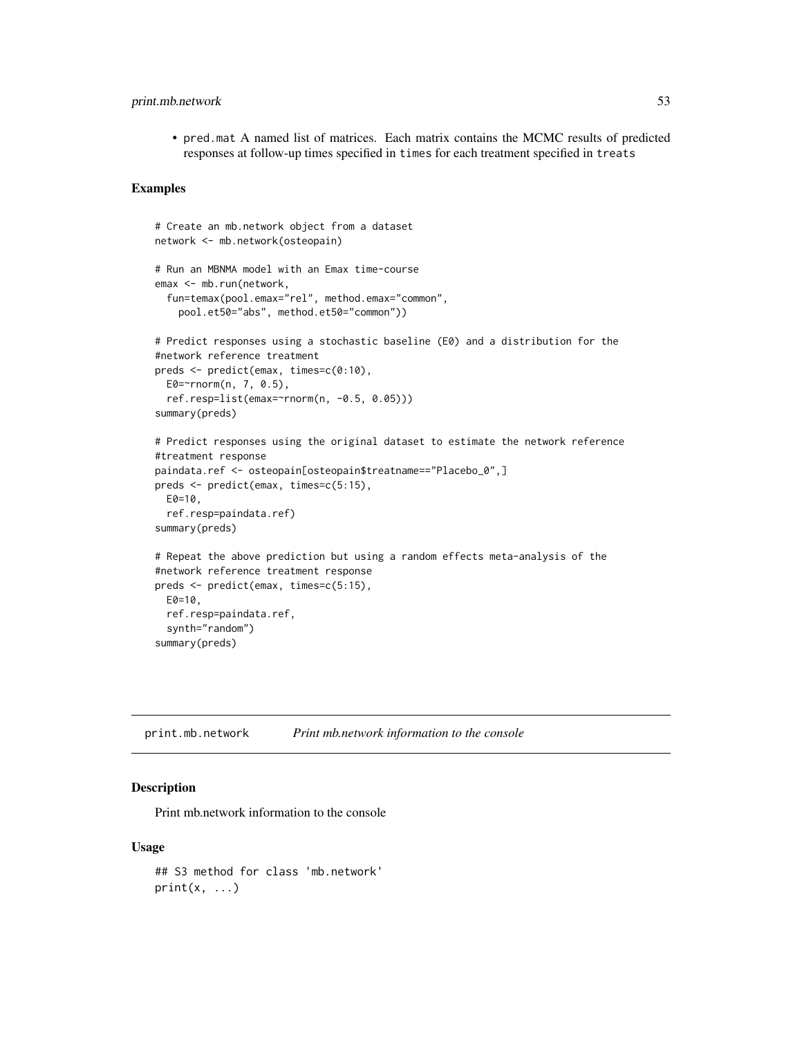## print.mb.network 53

• pred.mat A named list of matrices. Each matrix contains the MCMC results of predicted responses at follow-up times specified in times for each treatment specified in treats

#### Examples

```
# Create an mb.network object from a dataset
network <- mb.network(osteopain)
# Run an MBNMA model with an Emax time-course
emax <- mb.run(network,
  fun=temax(pool.emax="rel", method.emax="common",
    pool.et50="abs", method.et50="common"))
# Predict responses using a stochastic baseline (E0) and a distribution for the
#network reference treatment
preds <- predict(emax, times=c(0:10),
  E0 = \text{Trnorm}(n, 7, 0.5),
  ref.resp=list(emax=~rnorm(n, -0.5, 0.05)))
summary(preds)
# Predict responses using the original dataset to estimate the network reference
#treatment response
paindata.ref <- osteopain[osteopain$treatname=="Placebo_0",]
preds <- predict(emax, times=c(5:15),
  E0=10,
  ref.resp=paindata.ref)
summary(preds)
# Repeat the above prediction but using a random effects meta-analysis of the
#network reference treatment response
preds <- predict(emax, times=c(5:15),
  E0 = 10,
  ref.resp=paindata.ref,
  synth="random")
summary(preds)
```
print.mb.network *Print mb.network information to the console*

#### **Description**

Print mb.network information to the console

#### Usage

```
## S3 method for class 'mb.network'
print(x, \ldots)
```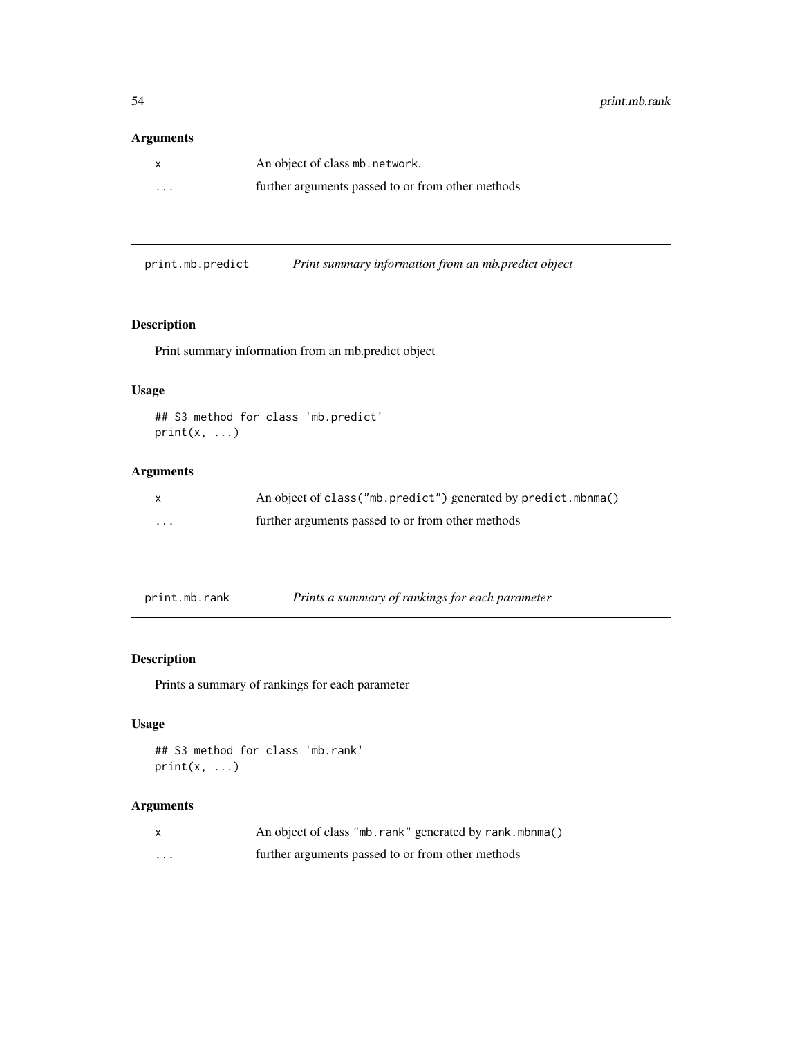## Arguments

| X | An object of class mb. network.                   |
|---|---------------------------------------------------|
| . | further arguments passed to or from other methods |

print.mb.predict *Print summary information from an mb.predict object*

## Description

Print summary information from an mb.predict object

## Usage

```
## S3 method for class 'mb.predict'
print(x, \ldots)
```
## Arguments

|   | An object of class ("mb.predict") generated by predict.mbnma() |
|---|----------------------------------------------------------------|
| . | further arguments passed to or from other methods              |

## Description

Prints a summary of rankings for each parameter

## Usage

```
## S3 method for class 'mb.rank'
print(x, \ldots)
```

|   | An object of class "mb. rank" generated by rank. mbnma() |
|---|----------------------------------------------------------|
| . | further arguments passed to or from other methods        |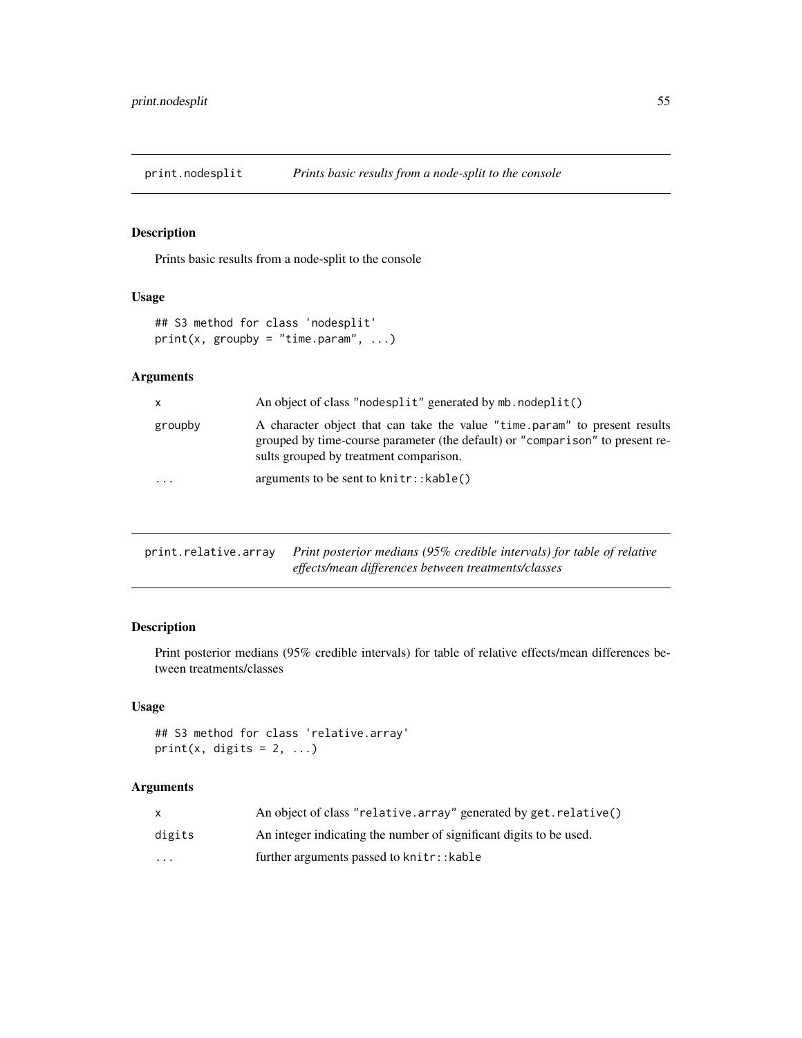print.nodesplit *Prints basic results from a node-split to the console*

# Description

Prints basic results from a node-split to the console

## Usage

```
## S3 method for class 'nodesplit'
print(x, groupby = "time.param", ...)
```
## Arguments

| $\mathsf{X}$            | An object of class "nodesplit" generated by mb. nodeplit()                                                                                                                                            |
|-------------------------|-------------------------------------------------------------------------------------------------------------------------------------------------------------------------------------------------------|
| groupby                 | A character object that can take the value "time param" to present results<br>grouped by time-course parameter (the default) or "comparison" to present re-<br>sults grouped by treatment comparison. |
| $\cdot$ $\cdot$ $\cdot$ | arguments to be sent to $k$ nitr:: $k$ able()                                                                                                                                                         |

| print.relative.array Print posterior medians (95% credible intervals) for table of relative |
|---------------------------------------------------------------------------------------------|
| effects/mean differences between treatments/classes                                         |

## Description

Print posterior medians (95% credible intervals) for table of relative effects/mean differences between treatments/classes

## Usage

## S3 method for class 'relative.array' print(x, digits =  $2, ...$ )

| x                       | An object of class "relative.array" generated by get.relative()    |
|-------------------------|--------------------------------------------------------------------|
| digits                  | An integer indicating the number of significant digits to be used. |
| $\cdot$ $\cdot$ $\cdot$ | further arguments passed to knitr:: kable                          |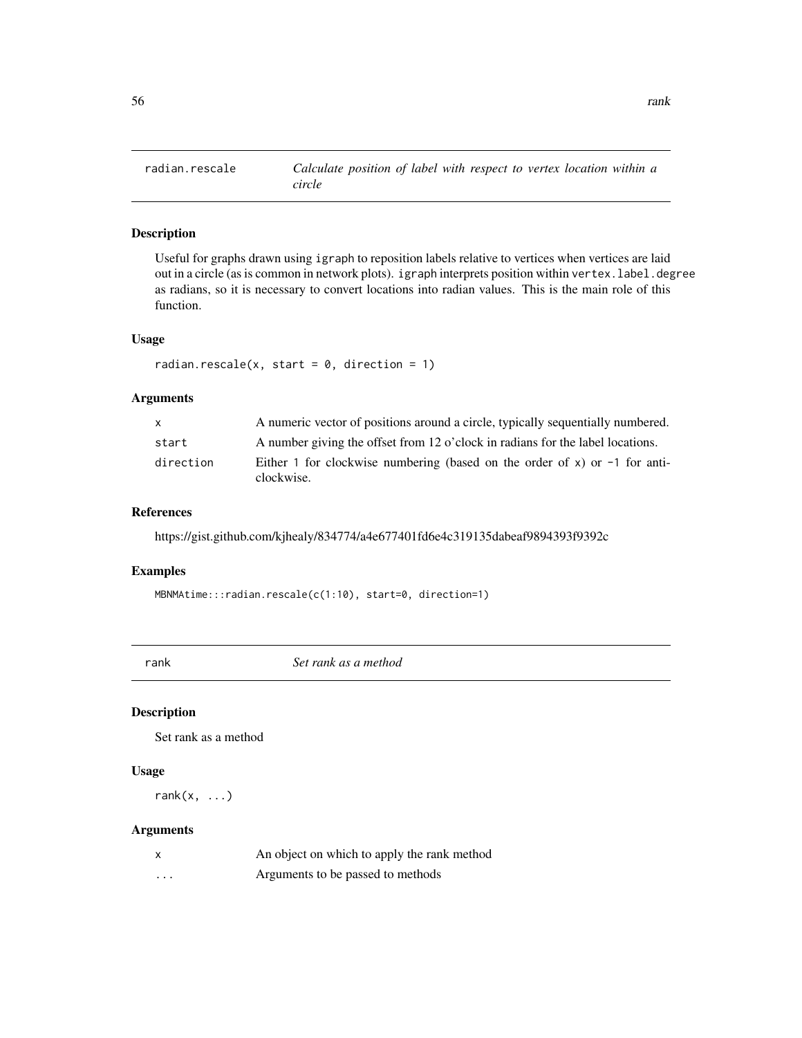Useful for graphs drawn using igraph to reposition labels relative to vertices when vertices are laid out in a circle (as is common in network plots). igraph interprets position within vertex. label.degree as radians, so it is necessary to convert locations into radian values. This is the main role of this function.

## Usage

```
radian.rescale(x, start = 0, direction = 1)
```
## Arguments

| $\mathsf{x}$ | A numeric vector of positions around a circle, typically sequentially numbered.            |
|--------------|--------------------------------------------------------------------------------------------|
| start        | A number giving the offset from 12 o'clock in radians for the label locations.             |
| direction    | Either 1 for clockwise numbering (based on the order of x) or $-1$ for anti-<br>clockwise. |

#### References

https://gist.github.com/kjhealy/834774/a4e677401fd6e4c319135dabeaf9894393f9392c

#### Examples

MBNMAtime:::radian.rescale(c(1:10), start=0, direction=1)

rank *Set rank as a method*

## Description

Set rank as a method

#### Usage

rank $(x, \ldots)$ 

| X | An object on which to apply the rank method |
|---|---------------------------------------------|
| . | Arguments to be passed to methods           |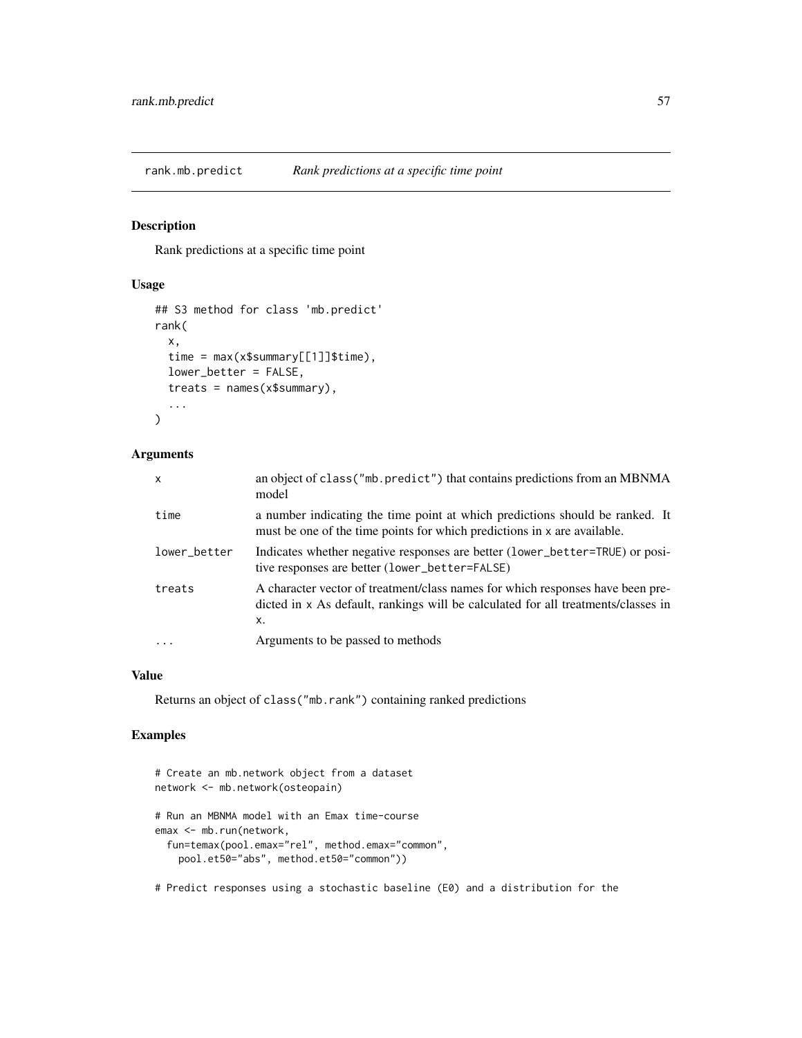Rank predictions at a specific time point

#### Usage

```
## S3 method for class 'mb.predict'
rank(
  x,
  time = max(x$summary[[1]]$time),
  lower_better = FALSE,
  treats = names(x$summary),
  ...
\mathcal{L}
```
## Arguments

| $\mathsf{x}$ | an object of class ("mb. predict") that contains predictions from an MBNMA<br>model                                                                                       |
|--------------|---------------------------------------------------------------------------------------------------------------------------------------------------------------------------|
| time         | a number indicating the time point at which predictions should be ranked. It<br>must be one of the time points for which predictions in x are available.                  |
| lower_better | Indicates whether negative responses are better (lower_better=TRUE) or posi-<br>tive responses are better (lower_better=FALSE)                                            |
| treats       | A character vector of treatment/class names for which responses have been pre-<br>dicted in x As default, rankings will be calculated for all treatments/classes in<br>х. |
|              | Arguments to be passed to methods                                                                                                                                         |

## Value

Returns an object of class("mb.rank") containing ranked predictions

## Examples

```
# Create an mb.network object from a dataset
network <- mb.network(osteopain)
# Run an MBNMA model with an Emax time-course
emax <- mb.run(network,
  fun=temax(pool.emax="rel", method.emax="common",
   pool.et50="abs", method.et50="common"))
```
# Predict responses using a stochastic baseline (E0) and a distribution for the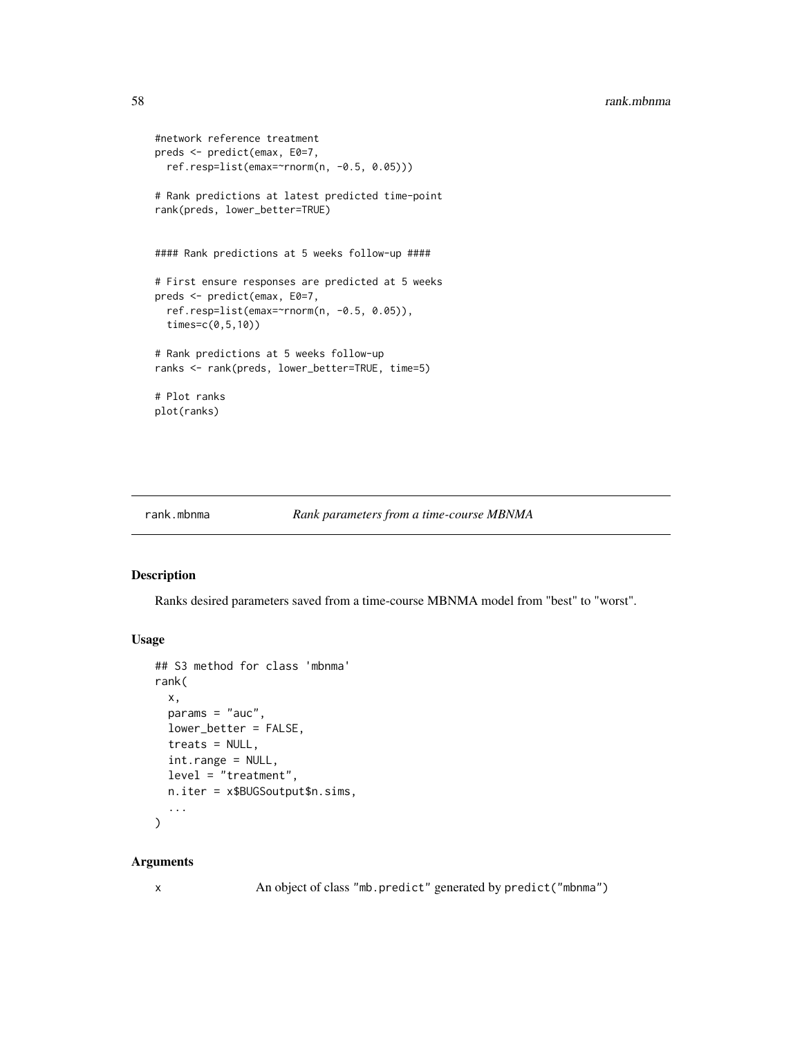```
#network reference treatment
preds <- predict(emax, E0=7,
 ref.resp=list(emax=~rnorm(n, -0.5, 0.05)))
# Rank predictions at latest predicted time-point
rank(preds, lower_better=TRUE)
#### Rank predictions at 5 weeks follow-up ####
# First ensure responses are predicted at 5 weeks
preds <- predict(emax, E0=7,
 ref.resp=list(emax=~rnorm(n, -0.5, 0.05)),
 times=c(0,5,10))
# Rank predictions at 5 weeks follow-up
ranks <- rank(preds, lower_better=TRUE, time=5)
# Plot ranks
plot(ranks)
```

| Rank parameters from a time-course MBNMA<br>rank.mbnma |  |
|--------------------------------------------------------|--|
|--------------------------------------------------------|--|

Ranks desired parameters saved from a time-course MBNMA model from "best" to "worst".

#### Usage

```
## S3 method for class 'mbnma'
rank(
 x,
 params = "auc",
 lower_better = FALSE,
  treats = NULL,int.range = NULL,
 level = "treatment",
 n.iter = x$BUGSoutput$n.sims,
  ...
\mathcal{L}
```
#### Arguments

x An object of class "mb.predict" generated by predict("mbnma")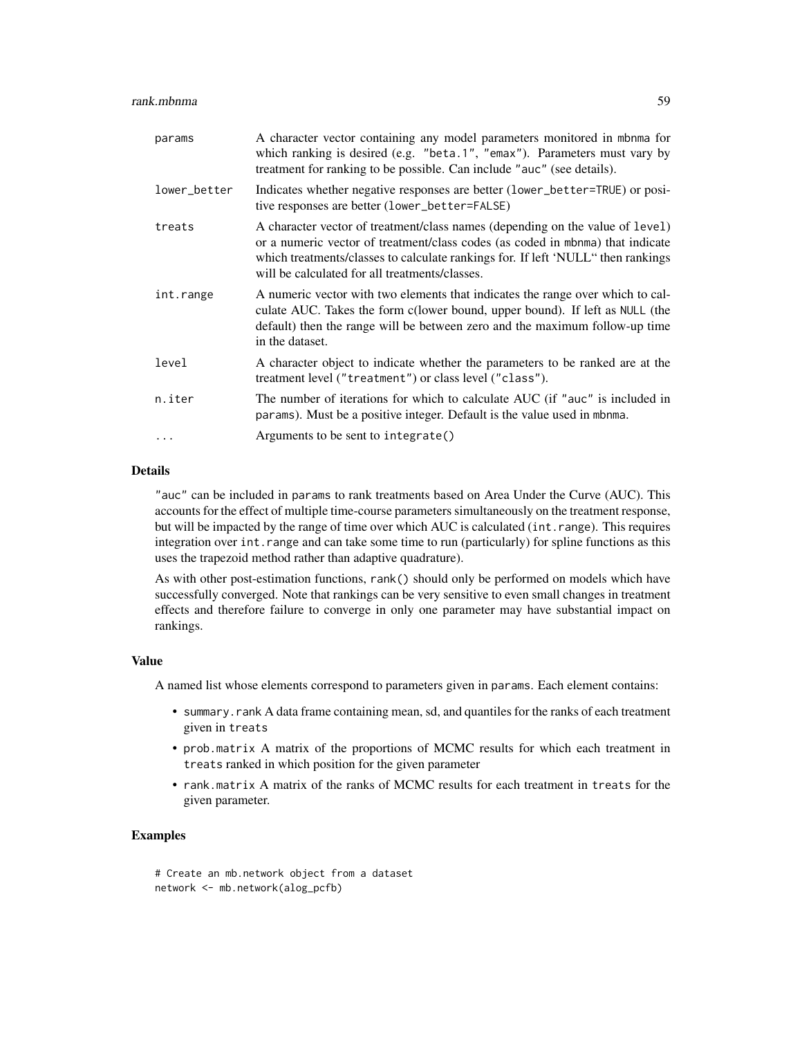| params       | A character vector containing any model parameters monitored in mbnma for<br>which ranking is desired (e.g. "beta.1", "emax"). Parameters must vary by<br>treatment for ranking to be possible. Can include "auc" (see details).                                                                      |
|--------------|-------------------------------------------------------------------------------------------------------------------------------------------------------------------------------------------------------------------------------------------------------------------------------------------------------|
| lower_better | Indicates whether negative responses are better (lower_better=TRUE) or posi-<br>tive responses are better (lower_better=FALSE)                                                                                                                                                                        |
| treats       | A character vector of treatment/class names (depending on the value of level)<br>or a numeric vector of treatment/class codes (as coded in mbnma) that indicate<br>which treatments/classes to calculate rankings for. If left 'NULL" then rankings<br>will be calculated for all treatments/classes. |
| int.range    | A numeric vector with two elements that indicates the range over which to cal-<br>culate AUC. Takes the form c(lower bound, upper bound). If left as NULL (the<br>default) then the range will be between zero and the maximum follow-up time<br>in the dataset.                                      |
| level        | A character object to indicate whether the parameters to be ranked are at the<br>treatment level ("treatment") or class level ("class").                                                                                                                                                              |
| n.iter       | The number of iterations for which to calculate AUC (if "auc" is included in<br>params). Must be a positive integer. Default is the value used in mbnma.                                                                                                                                              |
|              | Arguments to be sent to integrate()                                                                                                                                                                                                                                                                   |

#### Details

"auc" can be included in params to rank treatments based on Area Under the Curve (AUC). This accounts for the effect of multiple time-course parameters simultaneously on the treatment response, but will be impacted by the range of time over which AUC is calculated (int.range). This requires integration over int. range and can take some time to run (particularly) for spline functions as this uses the trapezoid method rather than adaptive quadrature).

As with other post-estimation functions, rank() should only be performed on models which have successfully converged. Note that rankings can be very sensitive to even small changes in treatment effects and therefore failure to converge in only one parameter may have substantial impact on rankings.

#### Value

A named list whose elements correspond to parameters given in params. Each element contains:

- summary.rank A data frame containing mean, sd, and quantiles for the ranks of each treatment given in treats
- prob.matrix A matrix of the proportions of MCMC results for which each treatment in treats ranked in which position for the given parameter
- rank.matrix A matrix of the ranks of MCMC results for each treatment in treats for the given parameter.

## Examples

```
# Create an mb.network object from a dataset
network <- mb.network(alog_pcfb)
```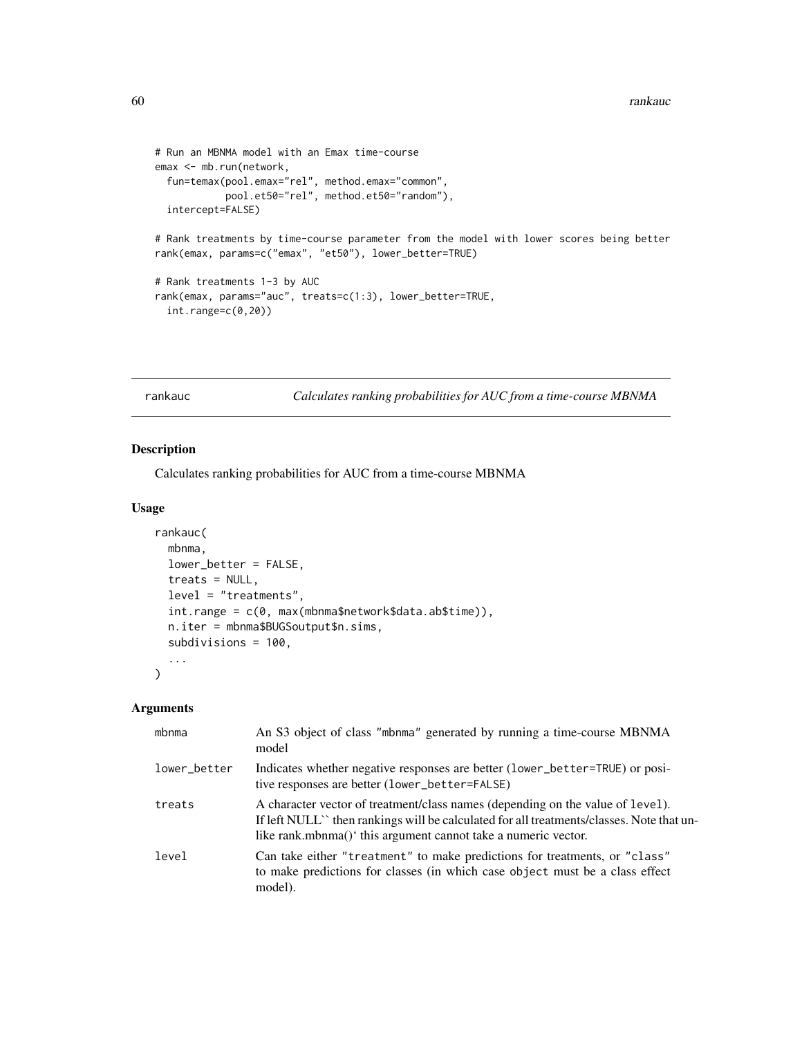```
# Run an MBNMA model with an Emax time-course
emax <- mb.run(network,
 fun=temax(pool.emax="rel", method.emax="common",
            pool.et50="rel", method.et50="random"),
 intercept=FALSE)
# Rank treatments by time-course parameter from the model with lower scores being better
rank(emax, params=c("emax", "et50"), lower_better=TRUE)
# Rank treatments 1-3 by AUC
rank(emax, params="auc", treats=c(1:3), lower_better=TRUE,
 int.range=c(0,20))
```
rankauc *Calculates ranking probabilities for AUC from a time-course MBNMA*

#### Description

Calculates ranking probabilities for AUC from a time-course MBNMA

#### Usage

```
rankauc(
 mbnma,
 lower_better = FALSE,
  treats = NULL,level = "treatments",
  int.range = c(0, max(mbnma$network$data.ab$time)),
 n.iter = mbnma$BUGSoutput$n.sims,
  subdivisions = 100,
  ...
)
```

| mbnma        | An S3 object of class "mbnma" generated by running a time-course MBNMA<br>model                                                                                                                                                              |
|--------------|----------------------------------------------------------------------------------------------------------------------------------------------------------------------------------------------------------------------------------------------|
| lower_better | Indicates whether negative responses are better (lower_better=TRUE) or posi-<br>tive responses are better (lower_better=FALSE)                                                                                                               |
| treats       | A character vector of treatment/class names (depending on the value of level).<br>If left NULL" then rankings will be calculated for all treatments/classes. Note that un-<br>like rank.mbnma()' this argument cannot take a numeric vector. |
| level        | Can take either "treatment" to make predictions for treatments, or "class"<br>to make predictions for classes (in which case object must be a class effect<br>model).                                                                        |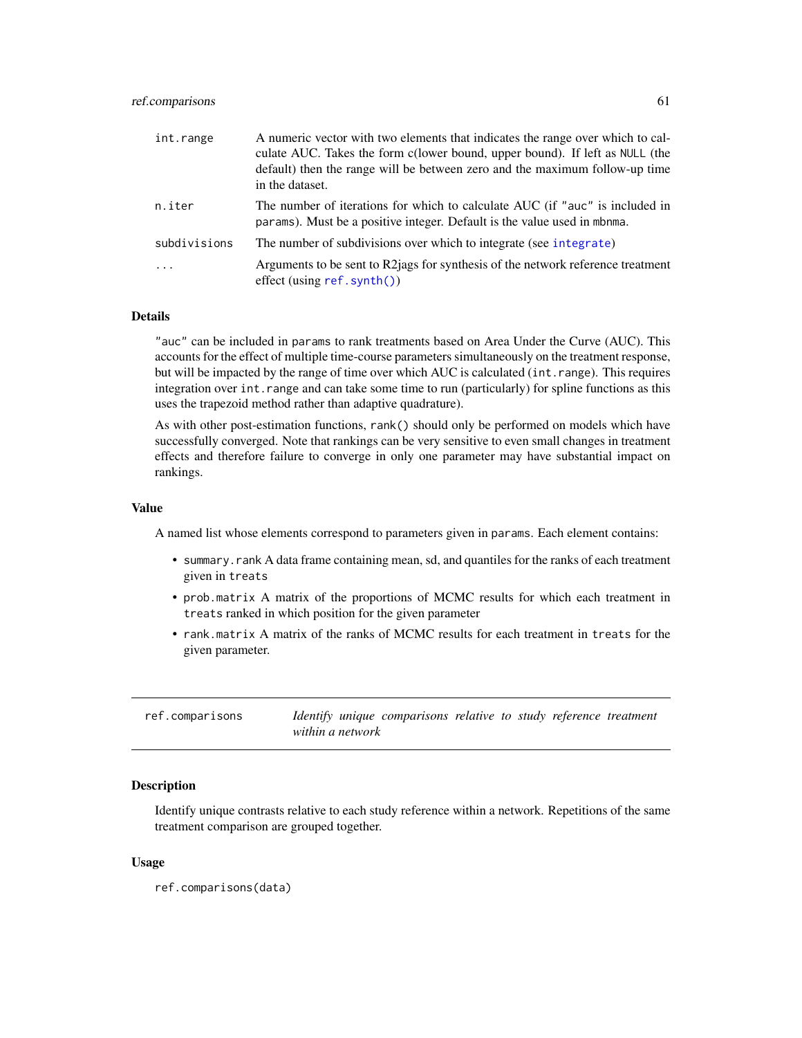#### ref.comparisons 61

| int.range    | A numeric vector with two elements that indicates the range over which to cal-<br>culate AUC. Takes the form c(lower bound, upper bound). If left as NULL (the<br>default) then the range will be between zero and the maximum follow-up time<br>in the dataset. |
|--------------|------------------------------------------------------------------------------------------------------------------------------------------------------------------------------------------------------------------------------------------------------------------|
| n.iter       | The number of iterations for which to calculate AUC (if "auc" is included in<br>params). Must be a positive integer. Default is the value used in mbnma.                                                                                                         |
| subdivisions | The number of subdivisions over which to integrate (see integrate)                                                                                                                                                                                               |
|              | Arguments to be sent to R2 jags for synthesis of the network reference treatment<br>$effect$ (using ref. synth())                                                                                                                                                |

## **Details**

"auc" can be included in params to rank treatments based on Area Under the Curve (AUC). This accounts for the effect of multiple time-course parameters simultaneously on the treatment response, but will be impacted by the range of time over which AUC is calculated (int.range). This requires integration over int. range and can take some time to run (particularly) for spline functions as this uses the trapezoid method rather than adaptive quadrature).

As with other post-estimation functions, rank() should only be performed on models which have successfully converged. Note that rankings can be very sensitive to even small changes in treatment effects and therefore failure to converge in only one parameter may have substantial impact on rankings.

#### Value

A named list whose elements correspond to parameters given in params. Each element contains:

- summary.rank A data frame containing mean, sd, and quantiles for the ranks of each treatment given in treats
- prob.matrix A matrix of the proportions of MCMC results for which each treatment in treats ranked in which position for the given parameter
- rank.matrix A matrix of the ranks of MCMC results for each treatment in treats for the given parameter.

ref.comparisons *Identify unique comparisons relative to study reference treatment within a network*

## Description

Identify unique contrasts relative to each study reference within a network. Repetitions of the same treatment comparison are grouped together.

#### Usage

ref.comparisons(data)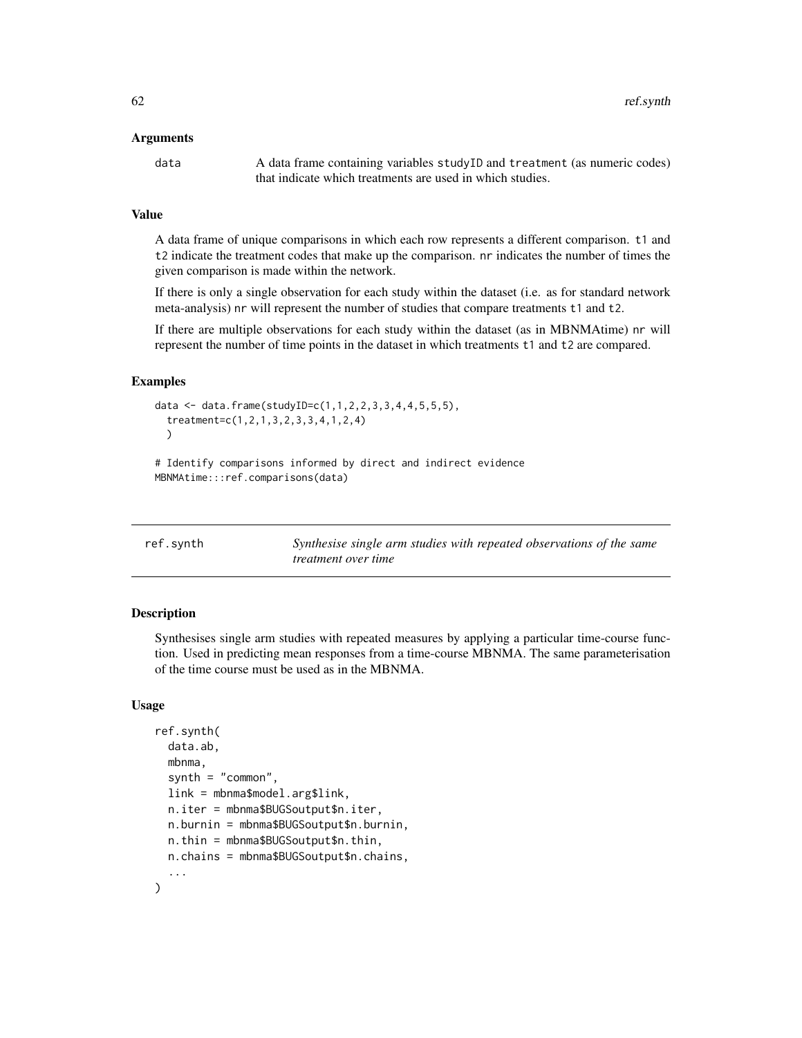#### Arguments

data A data frame containing variables study ID and treatment (as numeric codes) that indicate which treatments are used in which studies.

## Value

A data frame of unique comparisons in which each row represents a different comparison. t1 and t2 indicate the treatment codes that make up the comparison. nr indicates the number of times the given comparison is made within the network.

If there is only a single observation for each study within the dataset (i.e. as for standard network meta-analysis) nr will represent the number of studies that compare treatments t1 and t2.

If there are multiple observations for each study within the dataset (as in MBNMAtime) nr will represent the number of time points in the dataset in which treatments t1 and t2 are compared.

## Examples

```
data <- data.frame(studyID=c(1,1,2,2,3,3,4,4,5,5,5),
 treatment=c(1,2,1,3,2,3,3,4,1,2,4)
 )
# Identify comparisons informed by direct and indirect evidence
MBNMAtime:::ref.comparisons(data)
```
<span id="page-61-0"></span>

| ref.synth | Synthesise single arm studies with repeated observations of the same |
|-----------|----------------------------------------------------------------------|
|           | <i>treatment over time</i>                                           |

## **Description**

Synthesises single arm studies with repeated measures by applying a particular time-course function. Used in predicting mean responses from a time-course MBNMA. The same parameterisation of the time course must be used as in the MBNMA.

#### Usage

```
ref.synth(
  data.ab,
  mbnma,
  synth = "common",
  link = mbnma$model.arg$link,
  n.iter = mbnma$BUGSoutput$n.iter,
  n.burnin = mbnma$BUGSoutput$n.burnin,
  n.thin = mbnma$BUGSoutput$n.thin,
 n.chains = mbnma$BUGSoutput$n.chains,
  ...
)
```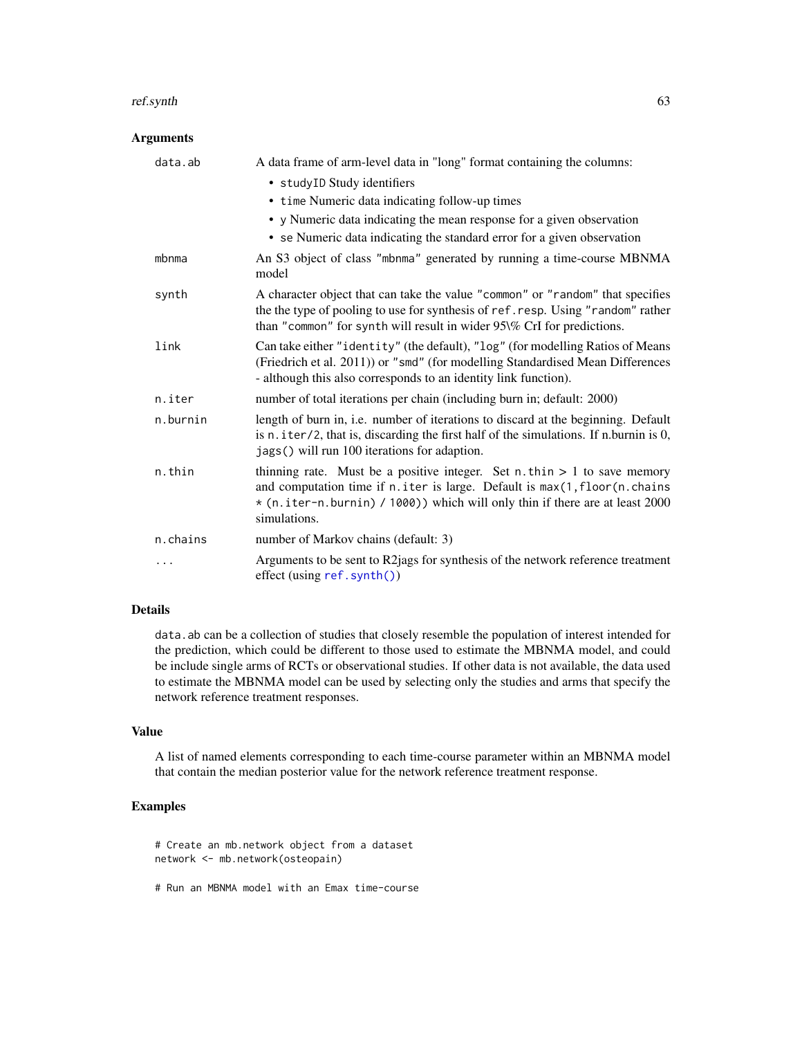#### ref.synth 63

## Arguments

| data.ab  | A data frame of arm-level data in "long" format containing the columns:                                                                                                                                                                                       |
|----------|---------------------------------------------------------------------------------------------------------------------------------------------------------------------------------------------------------------------------------------------------------------|
|          | • studyID Study identifiers                                                                                                                                                                                                                                   |
|          | • time Numeric data indicating follow-up times                                                                                                                                                                                                                |
|          | • y Numeric data indicating the mean response for a given observation                                                                                                                                                                                         |
|          | • se Numeric data indicating the standard error for a given observation                                                                                                                                                                                       |
| mbnma    | An S3 object of class "mbnma" generated by running a time-course MBNMA<br>model                                                                                                                                                                               |
| synth    | A character object that can take the value "common" or "random" that specifies<br>the the type of pooling to use for synthesis of ref. resp. Using "random" rather<br>than "common" for synth will result in wider 95\% CrI for predictions.                  |
| link     | Can take either "identity" (the default), "log" (for modelling Ratios of Means<br>(Friedrich et al. 2011)) or "smd" (for modelling Standardised Mean Differences<br>- although this also corresponds to an identity link function).                           |
| n.iter   | number of total iterations per chain (including burn in; default: 2000)                                                                                                                                                                                       |
| n.burnin | length of burn in, i.e. number of iterations to discard at the beginning. Default<br>is $n$ . iter/2, that is, discarding the first half of the simulations. If n.burnin is $0$ ,<br>jags() will run 100 iterations for adaption.                             |
| n.thin   | thinning rate. Must be a positive integer. Set $n$ . thin $> 1$ to save memory<br>and computation time if n. iter is large. Default is max(1, floor(n. chains<br>* (n.iter-n.burnin) / 1000)) which will only thin if there are at least 2000<br>simulations. |
| n.chains | number of Markov chains (default: 3)                                                                                                                                                                                                                          |
| .        | Arguments to be sent to R2jags for synthesis of the network reference treatment<br>effect (using ref. synth())                                                                                                                                                |

## Details

data.ab can be a collection of studies that closely resemble the population of interest intended for the prediction, which could be different to those used to estimate the MBNMA model, and could be include single arms of RCTs or observational studies. If other data is not available, the data used to estimate the MBNMA model can be used by selecting only the studies and arms that specify the network reference treatment responses.

## Value

A list of named elements corresponding to each time-course parameter within an MBNMA model that contain the median posterior value for the network reference treatment response.

## Examples

```
# Create an mb.network object from a dataset
network <- mb.network(osteopain)
```
# Run an MBNMA model with an Emax time-course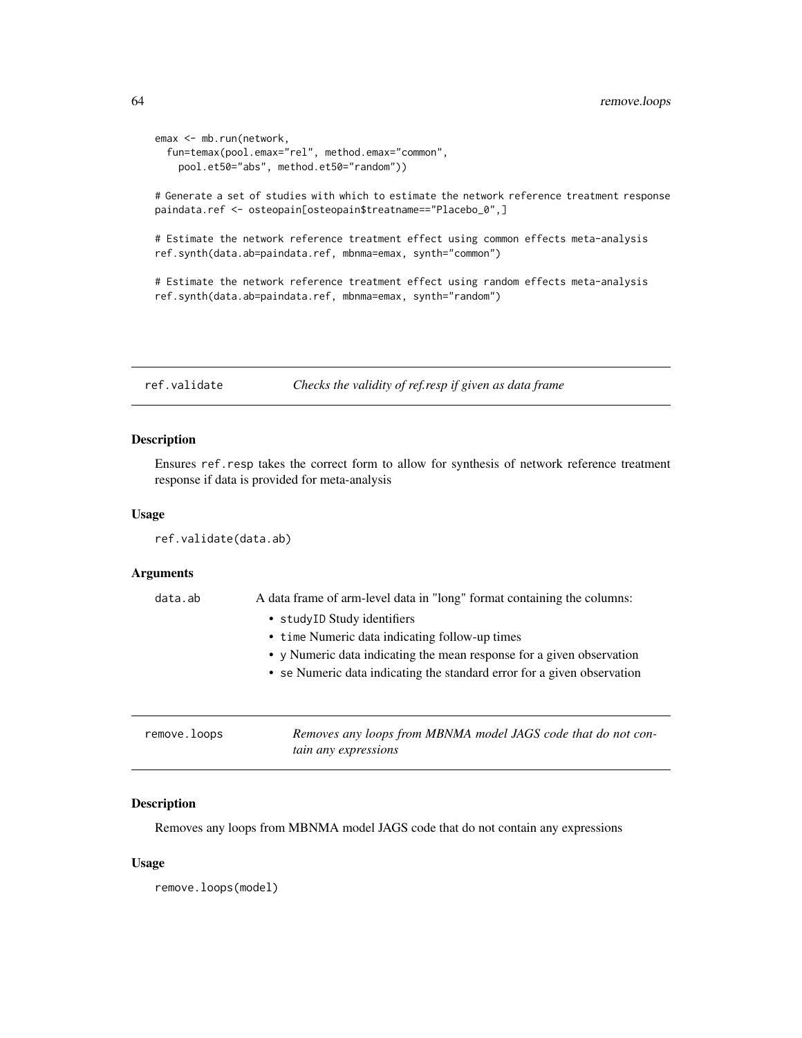```
emax <- mb.run(network,
 fun=temax(pool.emax="rel", method.emax="common",
   pool.et50="abs", method.et50="random"))
# Generate a set of studies with which to estimate the network reference treatment response
paindata.ref <- osteopain[osteopain$treatname=="Placebo_0",]
# Estimate the network reference treatment effect using common effects meta-analysis
ref.synth(data.ab=paindata.ref, mbnma=emax, synth="common")
# Estimate the network reference treatment effect using random effects meta-analysis
ref.synth(data.ab=paindata.ref, mbnma=emax, synth="random")
```
ref.validate *Checks the validity of ref.resp if given as data frame*

## Description

Ensures ref.resp takes the correct form to allow for synthesis of network reference treatment response if data is provided for meta-analysis

#### Usage

```
ref.validate(data.ab)
```
#### Arguments

| data.ab | A data frame of arm-level data in "long" format containing the columns: |
|---------|-------------------------------------------------------------------------|
|         | • studyID Study identifiers                                             |
|         | • time Numeric data indicating follow-up times                          |
|         | • y Numeric data indicating the mean response for a given observation   |
|         | • se Numeric data indicating the standard error for a given observation |
|         |                                                                         |
|         |                                                                         |
|         |                                                                         |

remove.loops *Removes any loops from MBNMA model JAGS code that do not con-*

| tain any expressions |
|----------------------|
|                      |

## Description

Removes any loops from MBNMA model JAGS code that do not contain any expressions

#### Usage

remove.loops(model)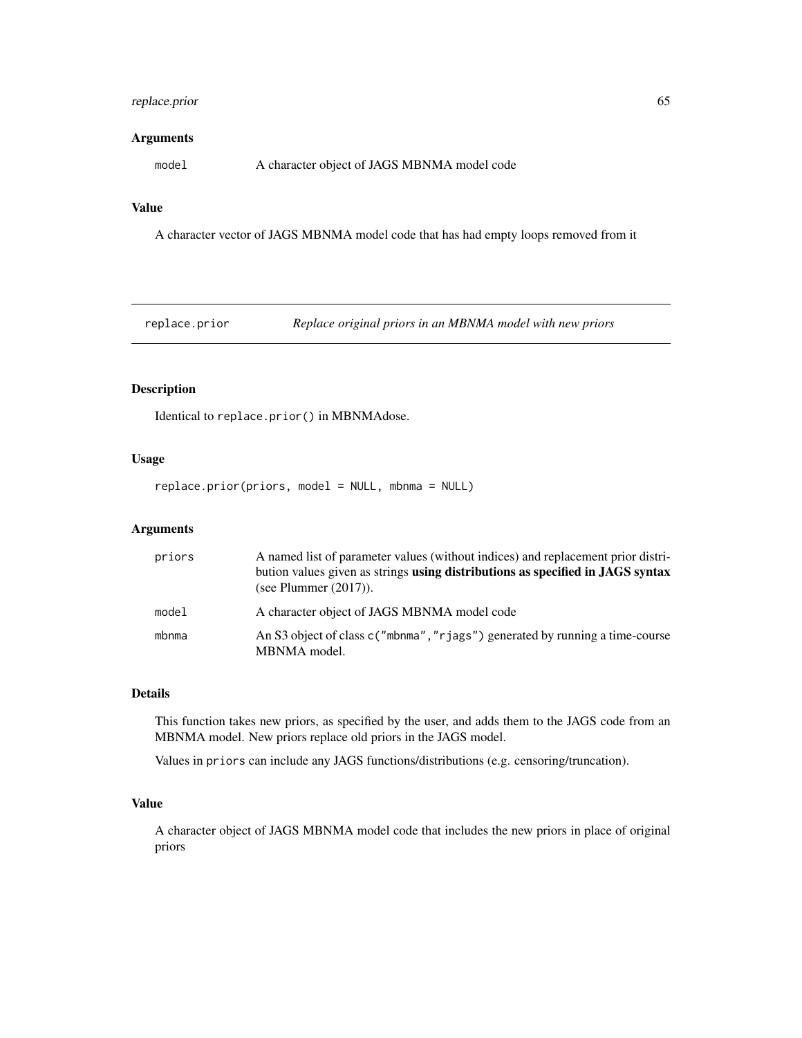## replace.prior 65

## Arguments

model A character object of JAGS MBNMA model code

## Value

A character vector of JAGS MBNMA model code that has had empty loops removed from it

replace.prior *Replace original priors in an MBNMA model with new priors*

## Description

Identical to replace.prior() in MBNMAdose.

## Usage

replace.prior(priors, model = NULL, mbnma = NULL)

## Arguments

| priors | A named list of parameter values (without indices) and replacement prior distri-<br>bution values given as strings using distributions as specified in JAGS syntax<br>(see Plummer (2017)). |
|--------|---------------------------------------------------------------------------------------------------------------------------------------------------------------------------------------------|
| model  | A character object of JAGS MBNMA model code                                                                                                                                                 |
| mbnma  | An S3 object of class c ("mbnma", "rjags") generated by running a time-course<br>MBNMA model.                                                                                               |

## Details

This function takes new priors, as specified by the user, and adds them to the JAGS code from an MBNMA model. New priors replace old priors in the JAGS model.

Values in priors can include any JAGS functions/distributions (e.g. censoring/truncation).

## Value

A character object of JAGS MBNMA model code that includes the new priors in place of original priors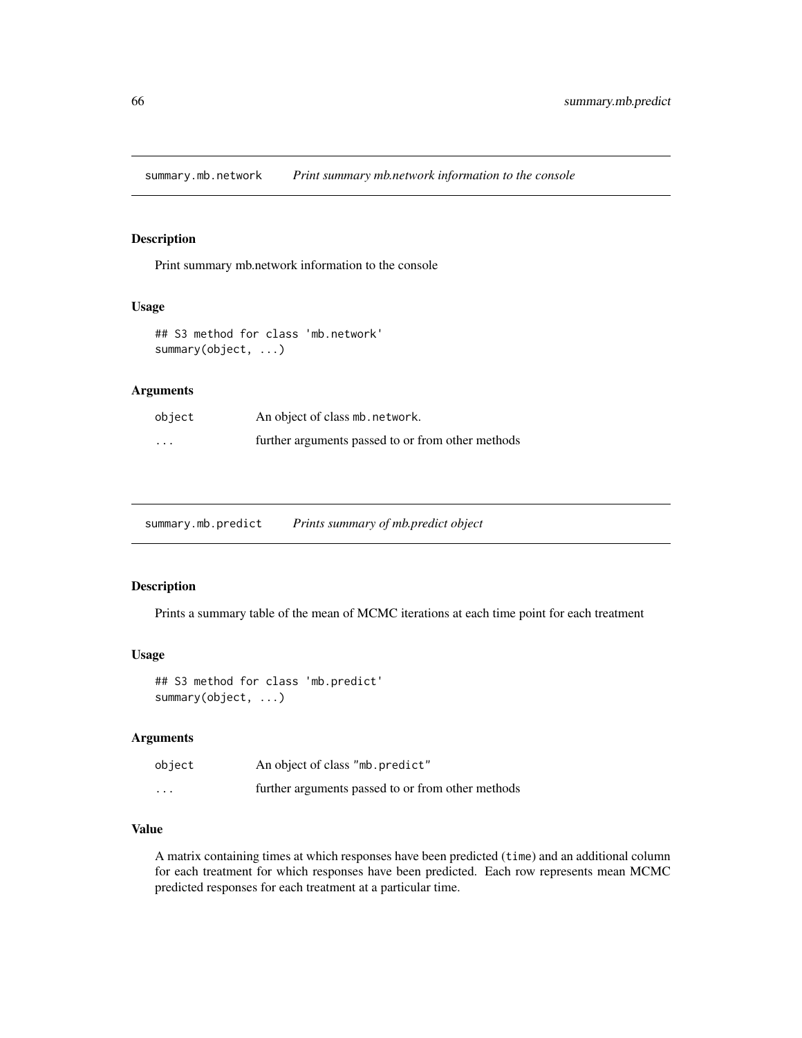summary.mb.network *Print summary mb.network information to the console*

## Description

Print summary mb.network information to the console

#### Usage

```
## S3 method for class 'mb.network'
summary(object, ...)
```
#### Arguments

| object   | An object of class mb. network.                   |
|----------|---------------------------------------------------|
| $\cdots$ | further arguments passed to or from other methods |

summary.mb.predict *Prints summary of mb.predict object*

## Description

Prints a summary table of the mean of MCMC iterations at each time point for each treatment

#### Usage

```
## S3 method for class 'mb.predict'
summary(object, ...)
```
## Arguments

| object   | An object of class "mb. predict"                  |
|----------|---------------------------------------------------|
| $\cdots$ | further arguments passed to or from other methods |

## Value

A matrix containing times at which responses have been predicted (time) and an additional column for each treatment for which responses have been predicted. Each row represents mean MCMC predicted responses for each treatment at a particular time.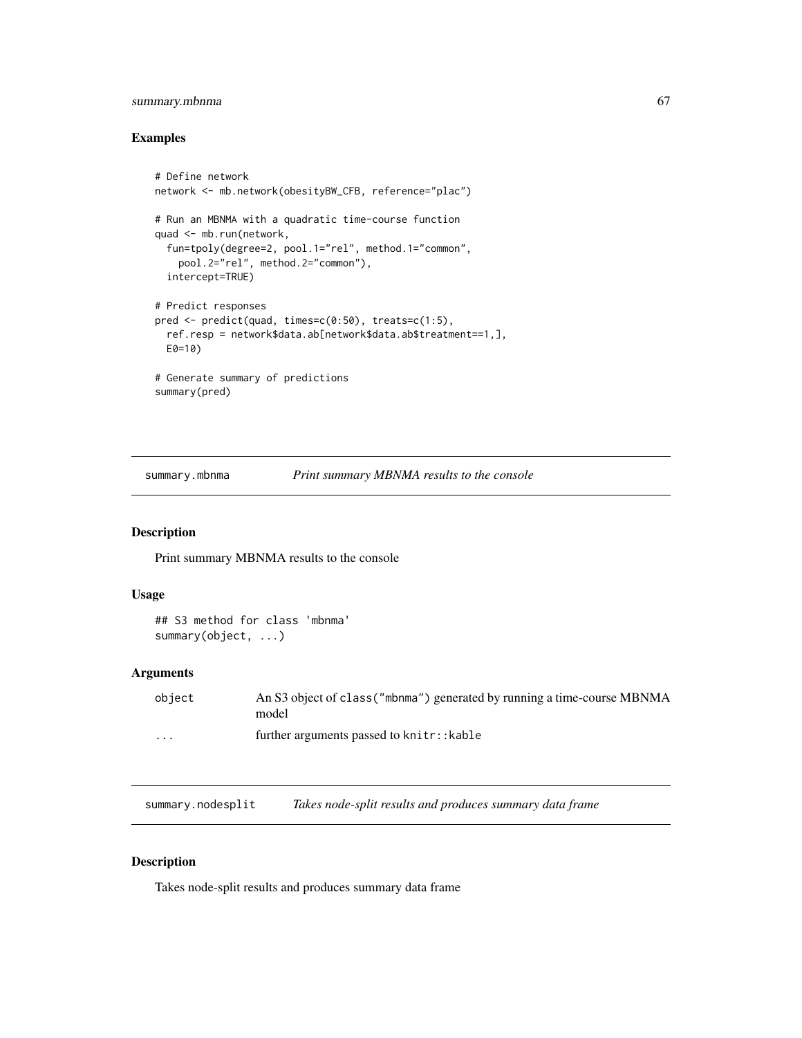## summary.mbnma 67

## Examples

```
# Define network
network <- mb.network(obesityBW_CFB, reference="plac")
# Run an MBNMA with a quadratic time-course function
quad <- mb.run(network,
  fun=tpoly(degree=2, pool.1="rel", method.1="common",
   pool.2="rel", method.2="common"),
  intercept=TRUE)
# Predict responses
pred <- predict(quad, times=c(0:50), treats=c(1:5),
  ref.resp = network$data.ab[network$data.ab$treatment==1,],
  E0=10)
# Generate summary of predictions
summary(pred)
```
summary.mbnma *Print summary MBNMA results to the console*

## Description

Print summary MBNMA results to the console

#### Usage

## S3 method for class 'mbnma' summary(object, ...)

## Arguments

| obiect   | An S3 object of class ("mbnma") generated by running a time-course MBNMA<br>model |
|----------|-----------------------------------------------------------------------------------|
| $\cdots$ | further arguments passed to knitr:: kable                                         |

summary.nodesplit *Takes node-split results and produces summary data frame*

#### Description

Takes node-split results and produces summary data frame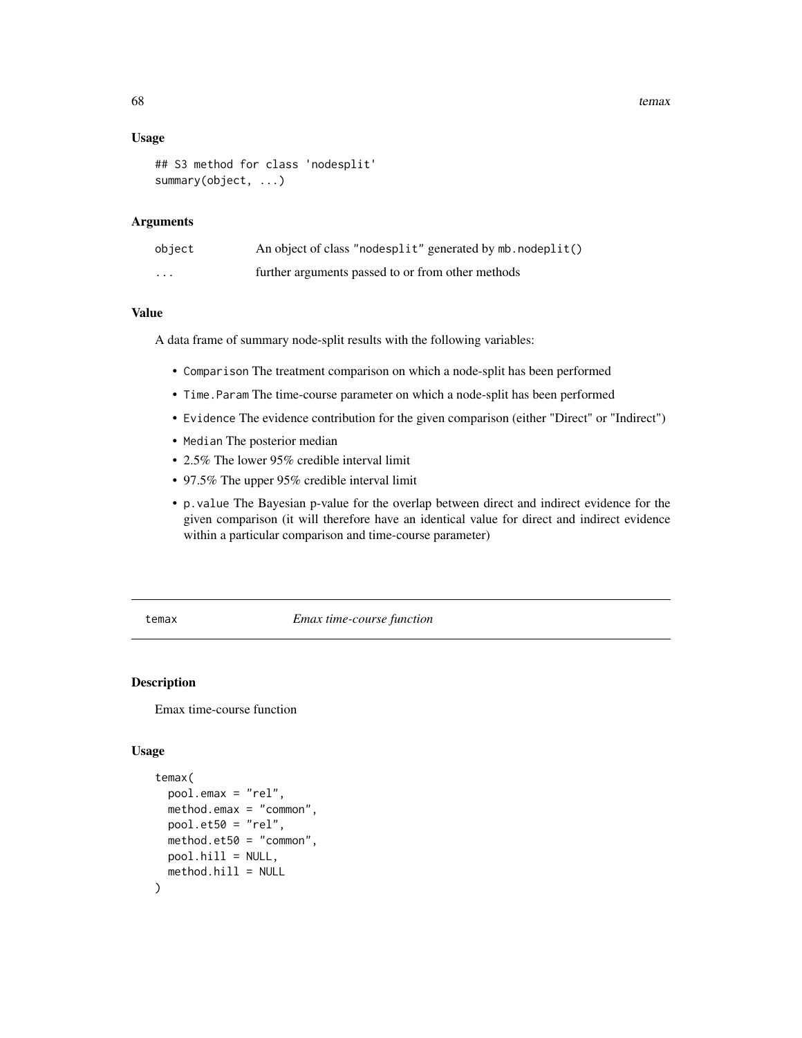#### 68 temax and the set of the set of the set of the set of the set of the set of the set of the set of the set of the set of the set of the set of the set of the set of the set of the set of the set of the set of the set of

#### Usage

```
## S3 method for class 'nodesplit'
summary(object, ...)
```
## Arguments

| object            | An object of class "nodesplit" generated by mb. nodeplit() |
|-------------------|------------------------------------------------------------|
| $\cdot\cdot\cdot$ | further arguments passed to or from other methods          |

## Value

A data frame of summary node-split results with the following variables:

- Comparison The treatment comparison on which a node-split has been performed
- Time.Param The time-course parameter on which a node-split has been performed
- Evidence The evidence contribution for the given comparison (either "Direct" or "Indirect")
- Median The posterior median
- 2.5% The lower 95% credible interval limit
- 97.5% The upper 95% credible interval limit
- p.value The Bayesian p-value for the overlap between direct and indirect evidence for the given comparison (it will therefore have an identical value for direct and indirect evidence within a particular comparison and time-course parameter)

temax *Emax time-course function*

#### Description

Emax time-course function

## Usage

```
temax(
 pool.emax = "rel",
 method.emax = "common",
 pool.et50 = "rel",method.et50 = "common",
 pool.hill = NULL,
 method.hill = NULL
)
```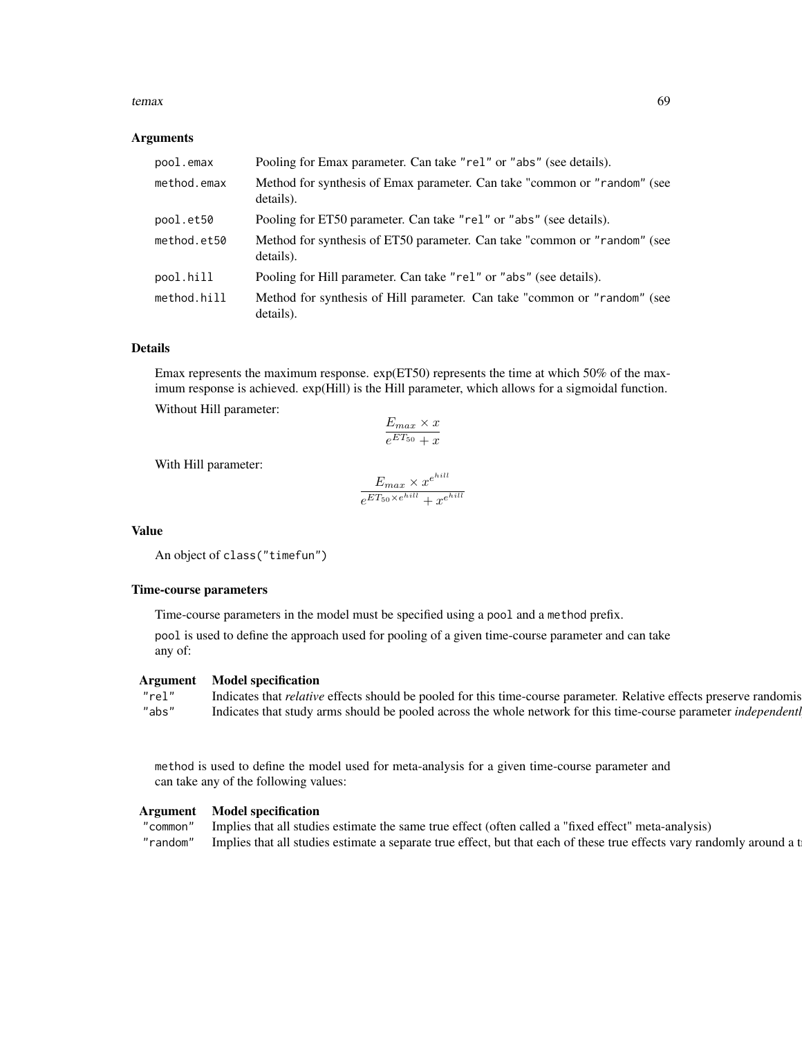#### temax 69

## Arguments

| pool.emax   | Pooling for Emax parameter. Can take "rel" or "abs" (see details).                     |
|-------------|----------------------------------------------------------------------------------------|
| method.emax | Method for synthesis of Emax parameter. Can take "common or "random" (see<br>details). |
| pool.et50   | Pooling for ET50 parameter. Can take "rel" or "abs" (see details).                     |
| method.et50 | Method for synthesis of ET50 parameter. Can take "common or "random" (see<br>details). |
| pool.hill   | Pooling for Hill parameter. Can take "rel" or "abs" (see details).                     |
| method.hill | Method for synthesis of Hill parameter. Can take "common or "random" (see<br>details). |

## Details

Emax represents the maximum response. exp(ET50) represents the time at which 50% of the maximum response is achieved. exp(Hill) is the Hill parameter, which allows for a sigmoidal function.

Without Hill parameter:

$$
\frac{E_{max} \times x}{e^{ET_{50}} + x}
$$

With Hill parameter:

$$
\frac{E_{max} \times x^{e^{hill}}}{e^{ET_{50} \times e^{hill}} + x^{e^{hill}}}
$$

#### Value

An object of class("timefun")

## Time-course parameters

Time-course parameters in the model must be specified using a pool and a method prefix.

pool is used to define the approach used for pooling of a given time-course parameter and can take any of:

## Argument Model specification

| "rel" Indicates that <i>relative</i> effects should be pooled for this time-course parameter. Relative effects preserve randomis |
|----------------------------------------------------------------------------------------------------------------------------------|
| "abs" Indicates that study arms should be pooled across the whole network for this time-course parameter <i>independentl</i>     |

method is used to define the model used for meta-analysis for a given time-course parameter and can take any of the following values:

## Argument Model specification

| "common" | Implies that all studies estimate the same true effect (often called a "fixed effect" meta-analysis)                   |
|----------|------------------------------------------------------------------------------------------------------------------------|
| "random" | Implies that all studies estimate a separate true effect, but that each of these true effects vary randomly around a t |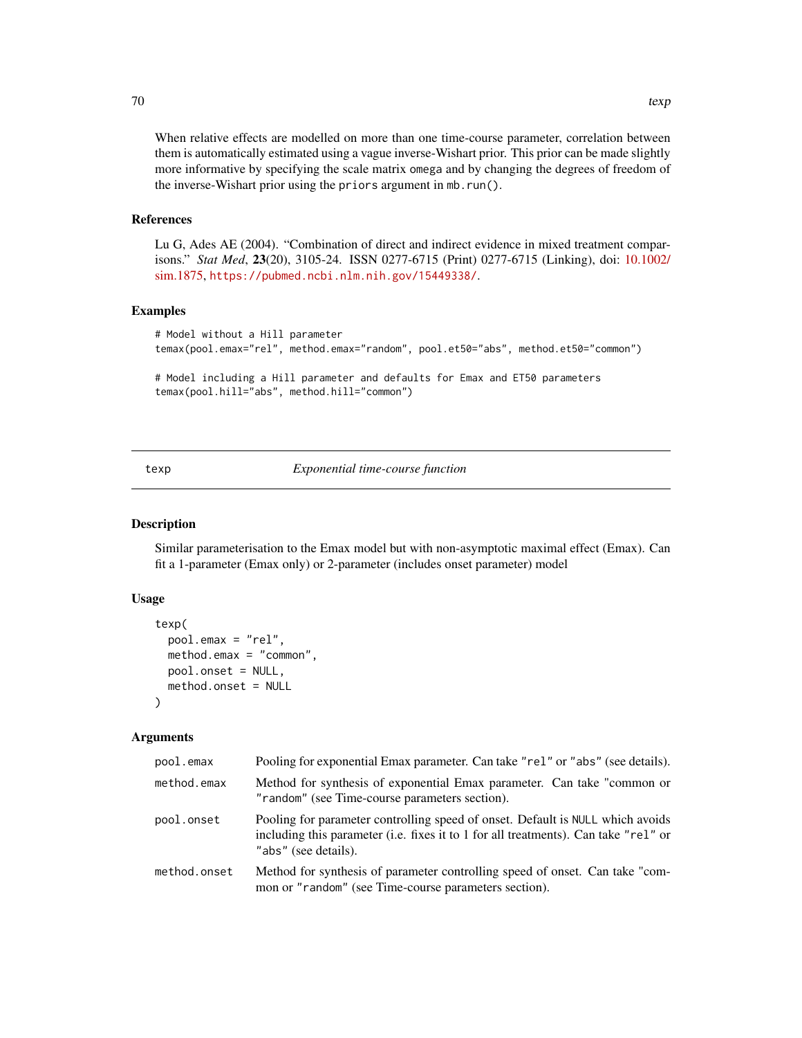When relative effects are modelled on more than one time-course parameter, correlation between them is automatically estimated using a vague inverse-Wishart prior. This prior can be made slightly more informative by specifying the scale matrix omega and by changing the degrees of freedom of the inverse-Wishart prior using the priors argument in mb.run().

#### References

Lu G, Ades AE (2004). "Combination of direct and indirect evidence in mixed treatment comparisons." *Stat Med*, 23(20), 3105-24. ISSN 0277-6715 (Print) 0277-6715 (Linking), doi: [10.1002/](https://doi.org/10.1002/sim.1875) [sim.1875,](https://doi.org/10.1002/sim.1875) <https://pubmed.ncbi.nlm.nih.gov/15449338/>.

### Examples

```
# Model without a Hill parameter
temax(pool.emax="rel", method.emax="random", pool.et50="abs", method.et50="common")
# Model including a Hill parameter and defaults for Emax and ET50 parameters
```

```
temax(pool.hill="abs", method.hill="common")
```
texp *Exponential time-course function*

## Description

Similar parameterisation to the Emax model but with non-asymptotic maximal effect (Emax). Can fit a 1-parameter (Emax only) or 2-parameter (includes onset parameter) model

## Usage

```
texp(
  pool.emax = "rel",
  method.emax = "common",
  pool.onset = NULL,
  method.onset = NULL
)
```

| pool.emax    | Pooling for exponential Emax parameter. Can take "rel" or "abs" (see details).                                                                                                                |
|--------------|-----------------------------------------------------------------------------------------------------------------------------------------------------------------------------------------------|
| method.emax  | Method for synthesis of exponential Emax parameter. Can take "common or<br>"random" (see Time-course parameters section).                                                                     |
| pool.onset   | Pooling for parameter controlling speed of onset. Default is NULL which avoids<br>including this parameter (i.e. fixes it to 1 for all treatments). Can take "rel" or<br>"abs" (see details). |
| method.onset | Method for synthesis of parameter controlling speed of onset. Can take "com-<br>mon or "random" (see Time-course parameters section).                                                         |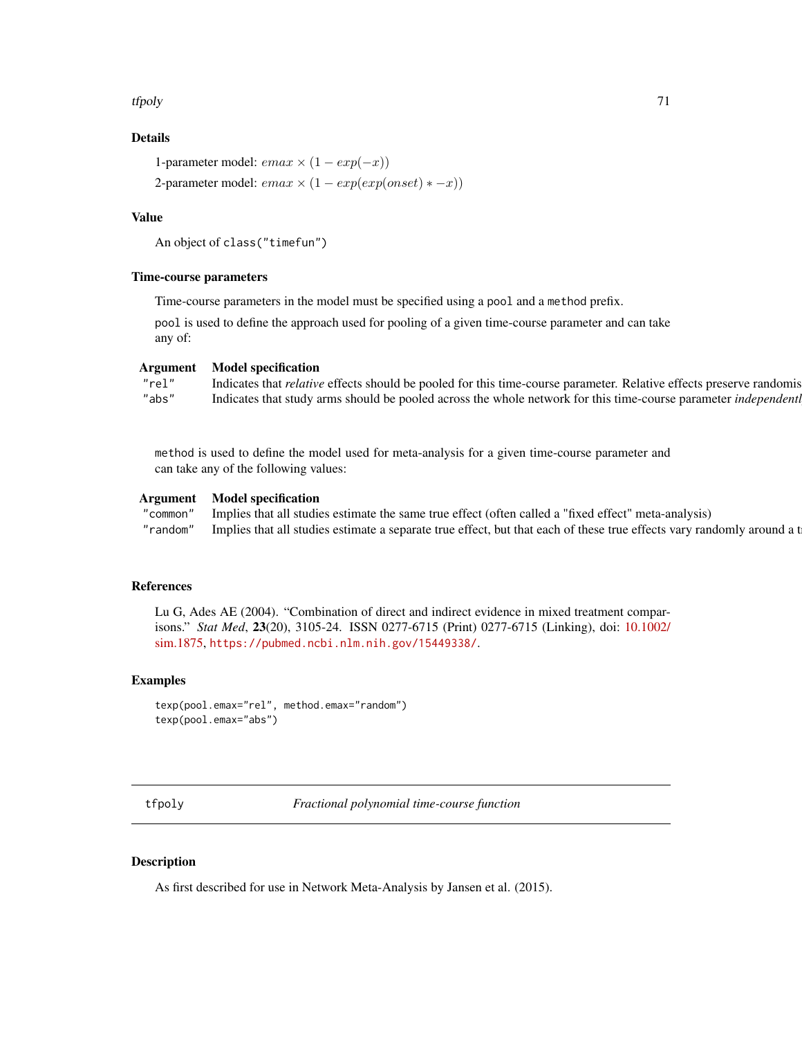tfpoly 71

## Details

1-parameter model:  $emax \times (1 - exp(-x))$ 

2-parameter model:  $emax \times (1 - exp(exp(onset) * -x))$ 

#### Value

```
An object of class("timefun")
```
#### Time-course parameters

Time-course parameters in the model must be specified using a pool and a method prefix.

pool is used to define the approach used for pooling of a given time-course parameter and can take any of:

## Argument Model specification

"rel" Indicates that *relative* effects should be pooled for this time-course parameter. Relative effects preserve randomis "abs" Indicates that study arms should be pooled across the whole network for this time-course parameter *independenti* 

method is used to define the model used for meta-analysis for a given time-course parameter and can take any of the following values:

### Argument Model specification

"common" Implies that all studies estimate the same true effect (often called a "fixed effect" meta-analysis) "random" Implies that all studies estimate a separate true effect, but that each of these true effects vary randomly around a t

## References

Lu G, Ades AE (2004). "Combination of direct and indirect evidence in mixed treatment comparisons." *Stat Med*, 23(20), 3105-24. ISSN 0277-6715 (Print) 0277-6715 (Linking), doi: [10.1002/](https://doi.org/10.1002/sim.1875) [sim.1875,](https://doi.org/10.1002/sim.1875) <https://pubmed.ncbi.nlm.nih.gov/15449338/>.

#### Examples

```
texp(pool.emax="rel", method.emax="random")
texp(pool.emax="abs")
```
tfpoly *Fractional polynomial time-course function*

## Description

As first described for use in Network Meta-Analysis by Jansen et al. (2015).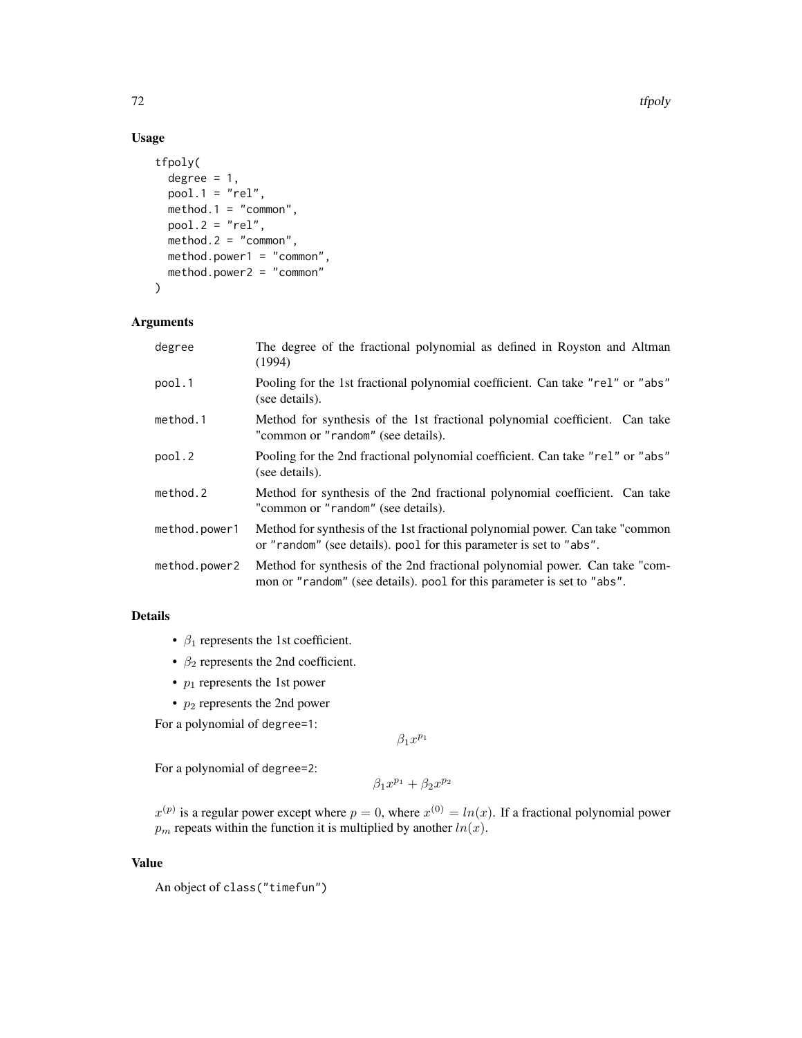## Usage

```
tfpoly(
 degree = 1,
 pool.1 = "rel",method.1 = "common",pool.2 = "rel",method.2 = "common",
 method.power1 = "common",
 method.power2 = "common"
)
```
## Arguments

| degree        | The degree of the fractional polynomial as defined in Royston and Altman<br>(1994)                                                                     |
|---------------|--------------------------------------------------------------------------------------------------------------------------------------------------------|
| pool.1        | Pooling for the 1st fractional polynomial coefficient. Can take "re1" or "abs"<br>(see details).                                                       |
| method.1      | Method for synthesis of the 1st fractional polynomial coefficient. Can take<br>"common or "random" (see details).                                      |
| pool.2        | Pooling for the 2nd fractional polynomial coefficient. Can take "rel" or "abs"<br>(see details).                                                       |
| method.2      | Method for synthesis of the 2nd fractional polynomial coefficient. Can take<br>"common or "random" (see details).                                      |
| method.power1 | Method for synthesis of the 1st fractional polynomial power. Can take "common"<br>or "random" (see details). pool for this parameter is set to "abs".  |
| method.power2 | Method for synthesis of the 2nd fractional polynomial power. Can take "com-<br>mon or "random" (see details). pool for this parameter is set to "abs". |

## Details

- $\beta_1$  represents the 1st coefficient.
- $\beta_2$  represents the 2nd coefficient.
- $p_1$  represents the 1st power
- $p_2$  represents the 2nd power

For a polynomial of degree=1:

 $\beta_1 x^{p_1}$ 

For a polynomial of degree=2:

$$
\beta_1 x^{p_1} + \beta_2 x^{p_2}
$$

 $x^{(p)}$  is a regular power except where  $p = 0$ , where  $x^{(0)} = ln(x)$ . If a fractional polynomial power  $p_m$  repeats within the function it is multiplied by another  $ln(x)$ .

## Value

```
An object of class("timefun")
```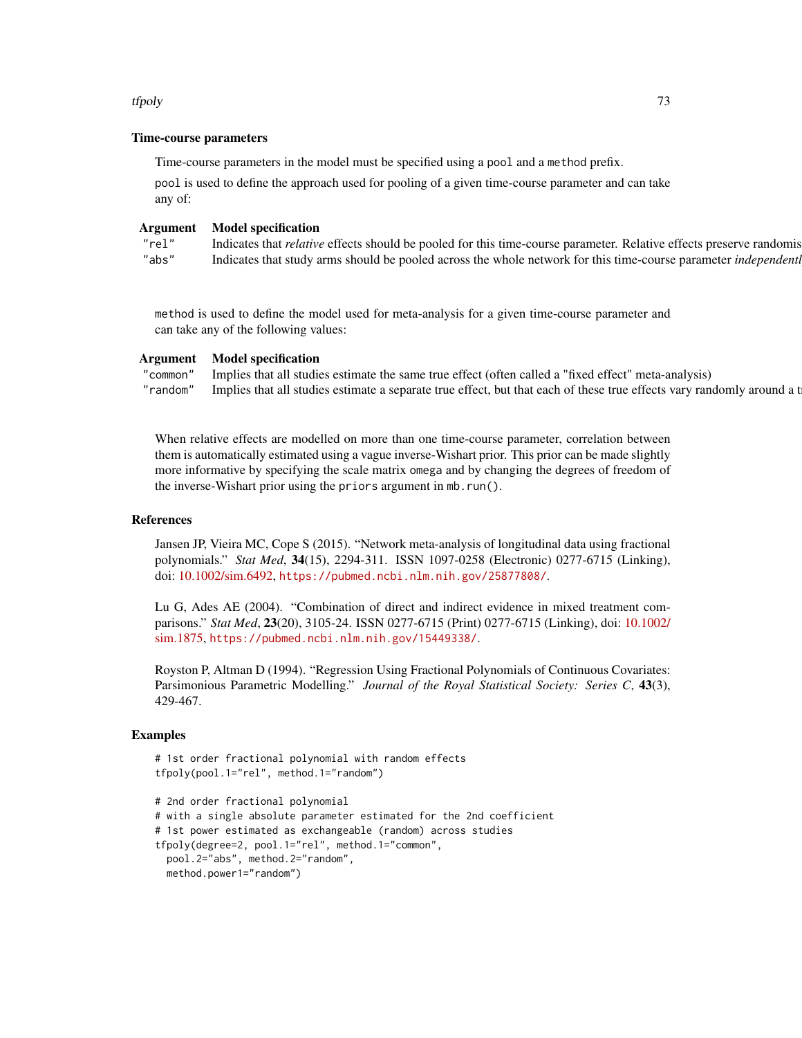#### tfpoly that the contract of the contract of the contract of the contract of the contract of the contract of the contract of the contract of the contract of the contract of the contract of the contract of the contract of th

#### Time-course parameters

Time-course parameters in the model must be specified using a pool and a method prefix.

pool is used to define the approach used for pooling of a given time-course parameter and can take any of:

#### Argument Model specification

method is used to define the model used for meta-analysis for a given time-course parameter and can take any of the following values:

#### Argument Model specification

| "common" | "fixed effect"<br>ies that all studies estimate the same true effect (often called a '<br>lmn<br>meta-<br>rta-analysis)                                    |
|----------|------------------------------------------------------------------------------------------------------------------------------------------------------------|
| ″random  | s estimate a separate true effect, but that each of these true effects vary randomly $\ell$<br>around a t<br>lmp<br>thes that all studies $\mathfrak{c}_0$ |

When relative effects are modelled on more than one time-course parameter, correlation between them is automatically estimated using a vague inverse-Wishart prior. This prior can be made slightly more informative by specifying the scale matrix omega and by changing the degrees of freedom of the inverse-Wishart prior using the priors argument in mb.run().

#### References

Jansen JP, Vieira MC, Cope S (2015). "Network meta-analysis of longitudinal data using fractional polynomials." *Stat Med*, 34(15), 2294-311. ISSN 1097-0258 (Electronic) 0277-6715 (Linking), doi: [10.1002/sim.6492,](https://doi.org/10.1002/sim.6492) <https://pubmed.ncbi.nlm.nih.gov/25877808/>.

Lu G, Ades AE (2004). "Combination of direct and indirect evidence in mixed treatment comparisons." *Stat Med*, 23(20), 3105-24. ISSN 0277-6715 (Print) 0277-6715 (Linking), doi: [10.1002/](https://doi.org/10.1002/sim.1875) [sim.1875,](https://doi.org/10.1002/sim.1875) <https://pubmed.ncbi.nlm.nih.gov/15449338/>.

Royston P, Altman D (1994). "Regression Using Fractional Polynomials of Continuous Covariates: Parsimonious Parametric Modelling." *Journal of the Royal Statistical Society: Series C*, 43(3), 429-467.

#### Examples

```
# 1st order fractional polynomial with random effects
tfpoly(pool.1="rel", method.1="random")
# 2nd order fractional polynomial
# with a single absolute parameter estimated for the 2nd coefficient
# 1st power estimated as exchangeable (random) across studies
tfpoly(degree=2, pool.1="rel", method.1="common",
 pool.2="abs", method.2="random",
 method.power1="random")
```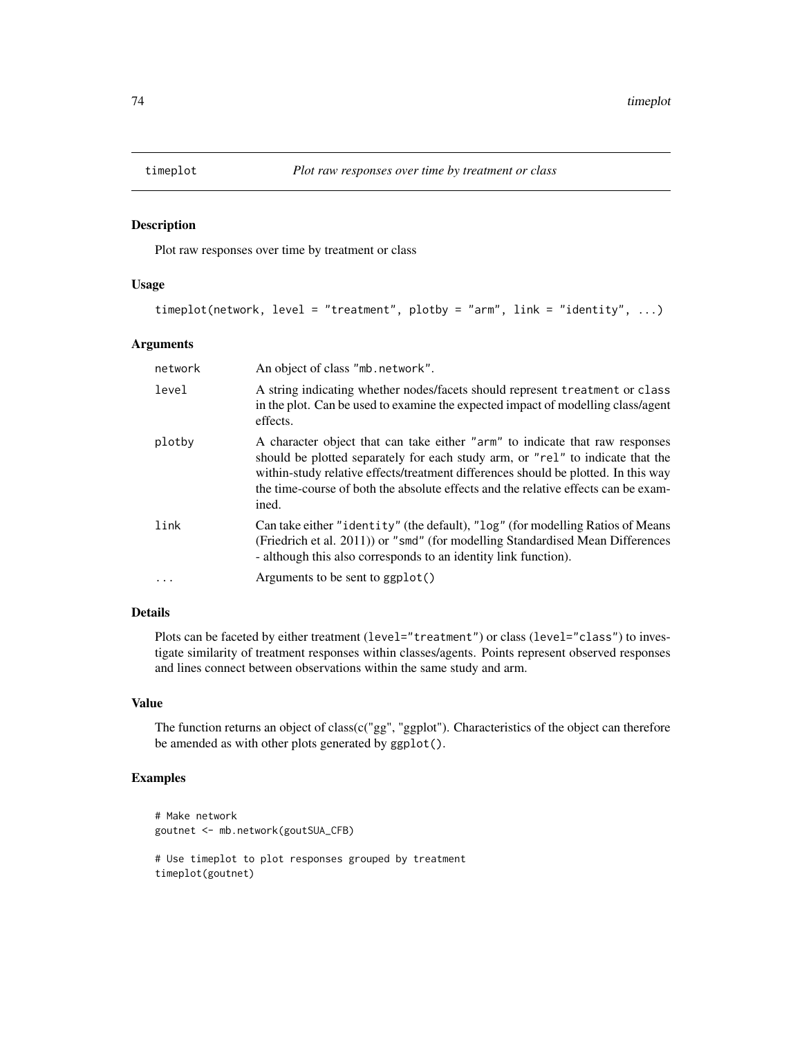<span id="page-73-0"></span>

#### Description

Plot raw responses over time by treatment or class

#### Usage

```
timeplot(network, level = "treatment", plotby = "arm", link = "identity", ...)
```
#### Arguments

| network   | An object of class "mb. network".                                                                                                                                                                                                                                                                                                                   |
|-----------|-----------------------------------------------------------------------------------------------------------------------------------------------------------------------------------------------------------------------------------------------------------------------------------------------------------------------------------------------------|
| level     | A string indicating whether nodes/facets should represent treatment or class<br>in the plot. Can be used to examine the expected impact of modelling class/agent<br>effects.                                                                                                                                                                        |
| plotby    | A character object that can take either "arm" to indicate that raw responses<br>should be plotted separately for each study arm, or "rel" to indicate that the<br>within-study relative effects/treatment differences should be plotted. In this way<br>the time-course of both the absolute effects and the relative effects can be exam-<br>ined. |
| link      | Can take either "identity" (the default), "log" (for modelling Ratios of Means<br>(Friedrich et al. 2011)) or "smd" (for modelling Standardised Mean Differences<br>- although this also corresponds to an identity link function).                                                                                                                 |
| $\ddotsc$ | Arguments to be sent to $ggplot()$                                                                                                                                                                                                                                                                                                                  |

## Details

Plots can be faceted by either treatment (level="treatment") or class (level="class") to investigate similarity of treatment responses within classes/agents. Points represent observed responses and lines connect between observations within the same study and arm.

#### Value

The function returns an object of class(c("gg", "ggplot"). Characteristics of the object can therefore be amended as with other plots generated by ggplot().

## Examples

```
# Make network
goutnet <- mb.network(goutSUA_CFB)
# Use timeplot to plot responses grouped by treatment
timeplot(goutnet)
```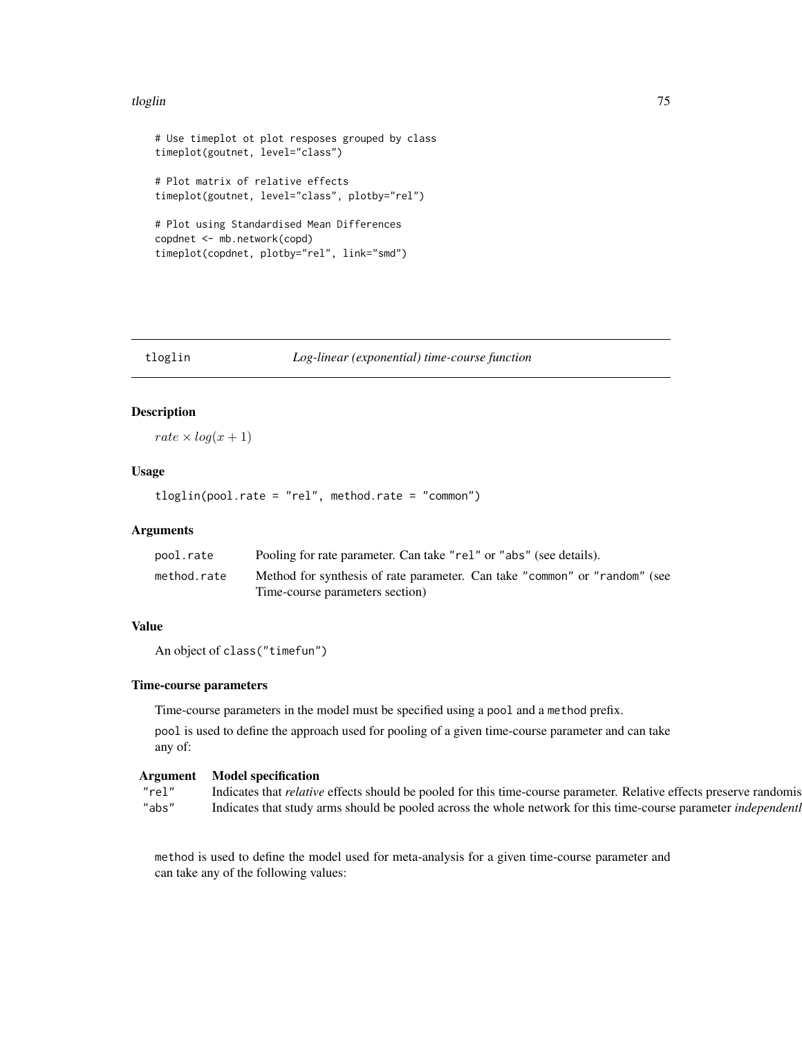#### <span id="page-74-0"></span>tloglin 25 anno 2012 anno 2012 anno 2012 anno 2012 anno 2012 anno 2012 anno 2012 anno 2012 anno 201

```
# Use timeplot ot plot resposes grouped by class
timeplot(goutnet, level="class")
# Plot matrix of relative effects
timeplot(goutnet, level="class", plotby="rel")
# Plot using Standardised Mean Differences
copdnet <- mb.network(copd)
timeplot(copdnet, plotby="rel", link="smd")
```
#### tloglin *Log-linear (exponential) time-course function*

## Description

 $rate \times log(x + 1)$ 

#### Usage

tloglin(pool.rate = "rel", method.rate = "common")

#### Arguments

| pool.rate   | Pooling for rate parameter. Can take "rel" or "abs" (see details).         |
|-------------|----------------------------------------------------------------------------|
| method.rate | Method for synthesis of rate parameter. Can take "common" or "random" (see |
|             | Time-course parameters section)                                            |

#### Value

An object of class("timefun")

#### Time-course parameters

Time-course parameters in the model must be specified using a pool and a method prefix.

pool is used to define the approach used for pooling of a given time-course parameter and can take any of:

## Argument Model specification

| "rel" Indicates that <i>relative</i> effects should be pooled for this time-course parameter. Relative effects preserve randomis |  |
|----------------------------------------------------------------------------------------------------------------------------------|--|
| "abs" Indicates that study arms should be pooled across the whole network for this time-course parameter <i>independentl</i>     |  |

method is used to define the model used for meta-analysis for a given time-course parameter and can take any of the following values: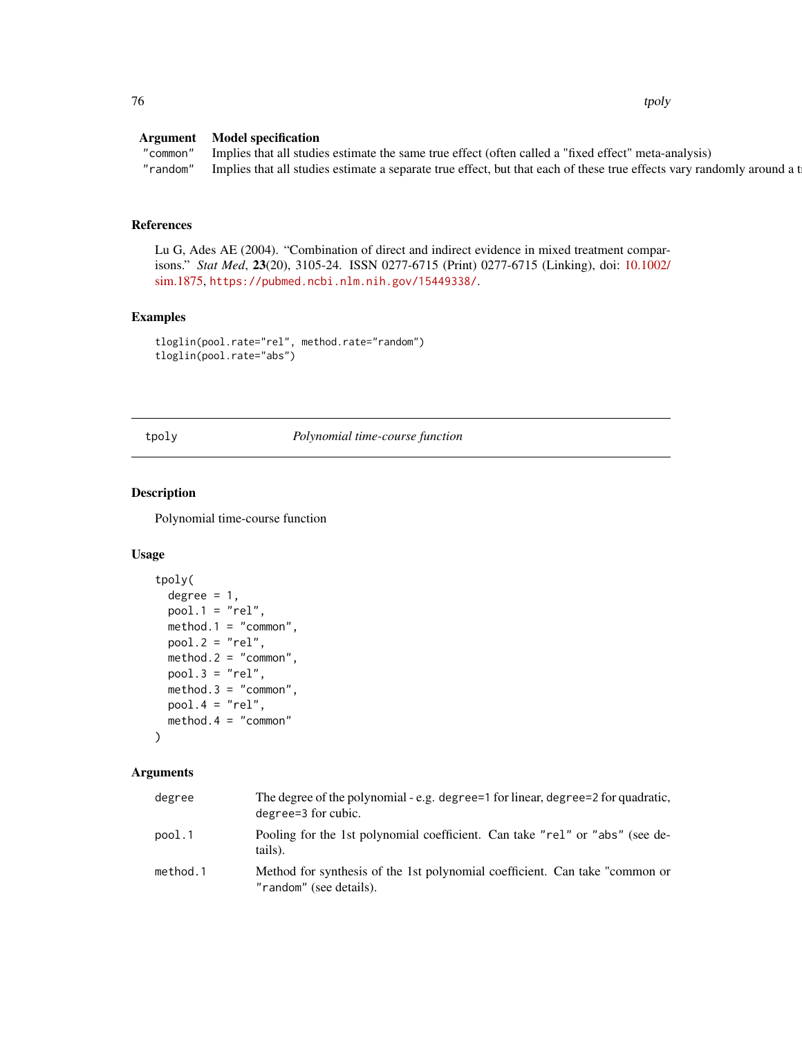<span id="page-75-0"></span> $76$  tpoly

#### Argument Model specification

"common" Implies that all studies estimate the same true effect (often called a "fixed effect" meta-analysis) "random" Implies that all studies estimate a separate true effect, but that each of these true effects vary randomly around a t

## References

Lu G, Ades AE (2004). "Combination of direct and indirect evidence in mixed treatment comparisons." *Stat Med*, 23(20), 3105-24. ISSN 0277-6715 (Print) 0277-6715 (Linking), doi: [10.1002/](https://doi.org/10.1002/sim.1875) [sim.1875,](https://doi.org/10.1002/sim.1875) <https://pubmed.ncbi.nlm.nih.gov/15449338/>.

## Examples

```
tloglin(pool.rate="rel", method.rate="random")
tloglin(pool.rate="abs")
```
tpoly *Polynomial time-course function*

## Description

Polynomial time-course function

## Usage

```
tpoly(
 degree = 1,
 pool.1 = "rel",method.1 = "common",
 pool.2 = "rel",method.2 = "common",
 pool.3 = "rel",method.3 = "common",
 pool.4 = "rel",method. 4 = "common")
```

| degree   | The degree of the polynomial - e.g. degree=1 for linear, degree=2 for quadratic,<br>degree=3 for cubic. |
|----------|---------------------------------------------------------------------------------------------------------|
| pool.1   | Pooling for the 1st polynomial coefficient. Can take "rel" or "abs" (see de-<br>tails).                 |
| method.1 | Method for synthesis of the 1st polynomial coefficient. Can take "common or<br>"random" (see details).  |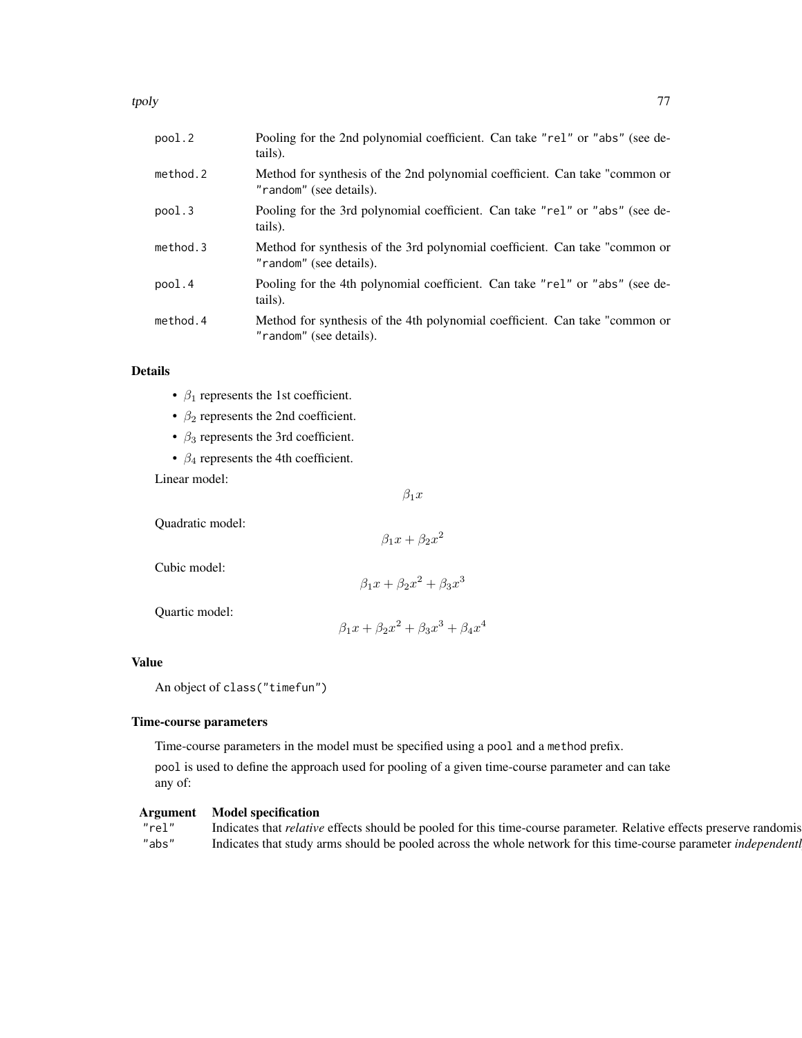#### tpoly the contract of the contract of the contract of the contract of the contract of the contract of the contract of the contract of the contract of the contract of the contract of the contract of the contract of the cont

| pool.2   | Pooling for the 2nd polynomial coefficient. Can take "rel" or "abs" (see de-<br>tails).                |
|----------|--------------------------------------------------------------------------------------------------------|
| method.2 | Method for synthesis of the 2nd polynomial coefficient. Can take "common or<br>"random" (see details). |
| pool.3   | Pooling for the 3rd polynomial coefficient. Can take "rel" or "abs" (see de-<br>tails).                |
| method.3 | Method for synthesis of the 3rd polynomial coefficient. Can take "common or<br>"random" (see details). |
| pool.4   | Pooling for the 4th polynomial coefficient. Can take "rel" or "abs" (see de-<br>tails).                |
| method.4 | Method for synthesis of the 4th polynomial coefficient. Can take "common or<br>"random" (see details). |

## Details

- $\beta_1$  represents the 1st coefficient.
- $\beta_2$  represents the 2nd coefficient.
- $\beta_3$  represents the 3rd coefficient.
- $\beta_4$  represents the 4th coefficient.

Linear model:

Quadratic model:

Cubic model:

 $\beta_1 x + \beta_2 x^2 + \beta_3 x^3$ 

 $\beta_1 x + \beta_2 x^2$ 

 $\beta_1 x$ 

Quartic model:

 $\beta_1 x + \beta_2 x^2 + \beta_3 x^3 + \beta_4 x^4$ 

#### Value

An object of class("timefun")

## Time-course parameters

Time-course parameters in the model must be specified using a pool and a method prefix.

pool is used to define the approach used for pooling of a given time-course parameter and can take any of:

## Argument Model specification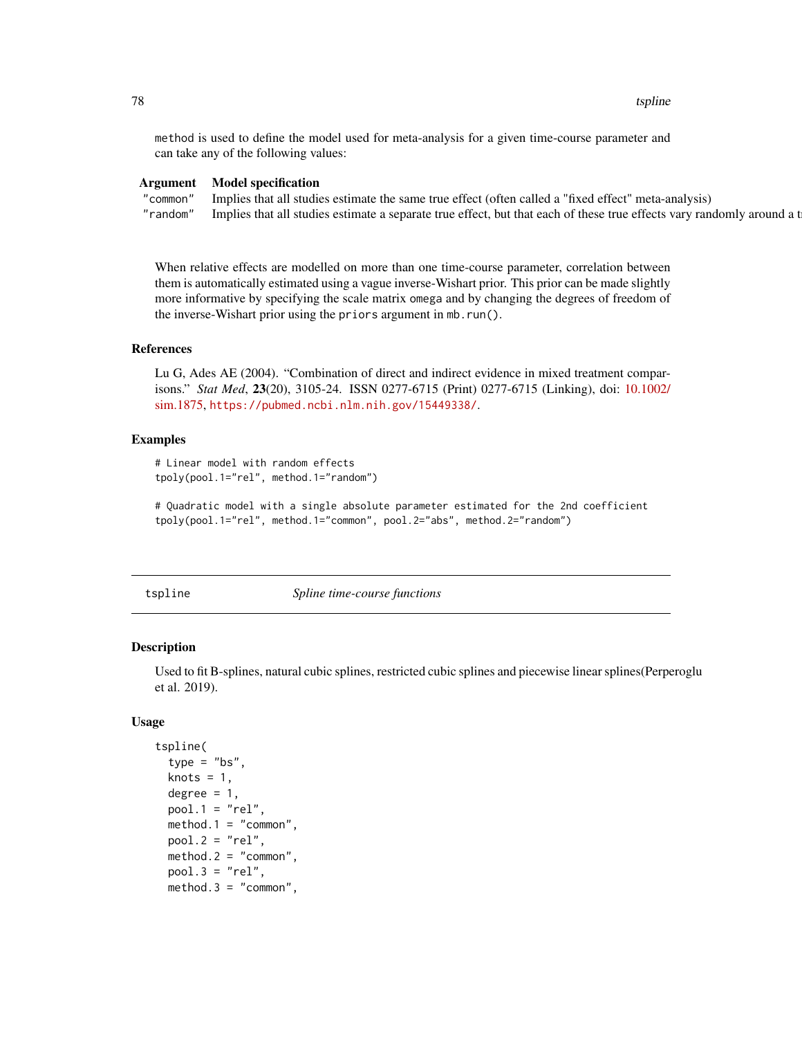<span id="page-77-0"></span>method is used to define the model used for meta-analysis for a given time-course parameter and can take any of the following values:

#### Argument Model specification

| "common  | called a<br>Implies that all studies estimate the same true effect (often on<br>u effect"<br>"nxea<br>meta-analysis)   |
|----------|------------------------------------------------------------------------------------------------------------------------|
| "random" | Implies that all studies estimate a separate true effect, but that each of these true effects vary randomly around a t |

When relative effects are modelled on more than one time-course parameter, correlation between them is automatically estimated using a vague inverse-Wishart prior. This prior can be made slightly more informative by specifying the scale matrix omega and by changing the degrees of freedom of the inverse-Wishart prior using the priors argument in mb.run().

#### References

Lu G, Ades AE (2004). "Combination of direct and indirect evidence in mixed treatment comparisons." *Stat Med*, 23(20), 3105-24. ISSN 0277-6715 (Print) 0277-6715 (Linking), doi: [10.1002/](https://doi.org/10.1002/sim.1875) [sim.1875,](https://doi.org/10.1002/sim.1875) <https://pubmed.ncbi.nlm.nih.gov/15449338/>.

#### Examples

# Linear model with random effects tpoly(pool.1="rel", method.1="random")

```
# Quadratic model with a single absolute parameter estimated for the 2nd coefficient
tpoly(pool.1="rel", method.1="common", pool.2="abs", method.2="random")
```
tspline *Spline time-course functions*

#### Description

Used to fit B-splines, natural cubic splines, restricted cubic splines and piecewise linear splines(Perperoglu et al. 2019).

#### Usage

```
tspline(
  type = "bs",knots = 1,
 degree = 1,
 pool.1 = "rel",method.1 = "common",pool.2 = "rel".method. 2 = "common",pool.3 = "rel",method.3 = "common",
```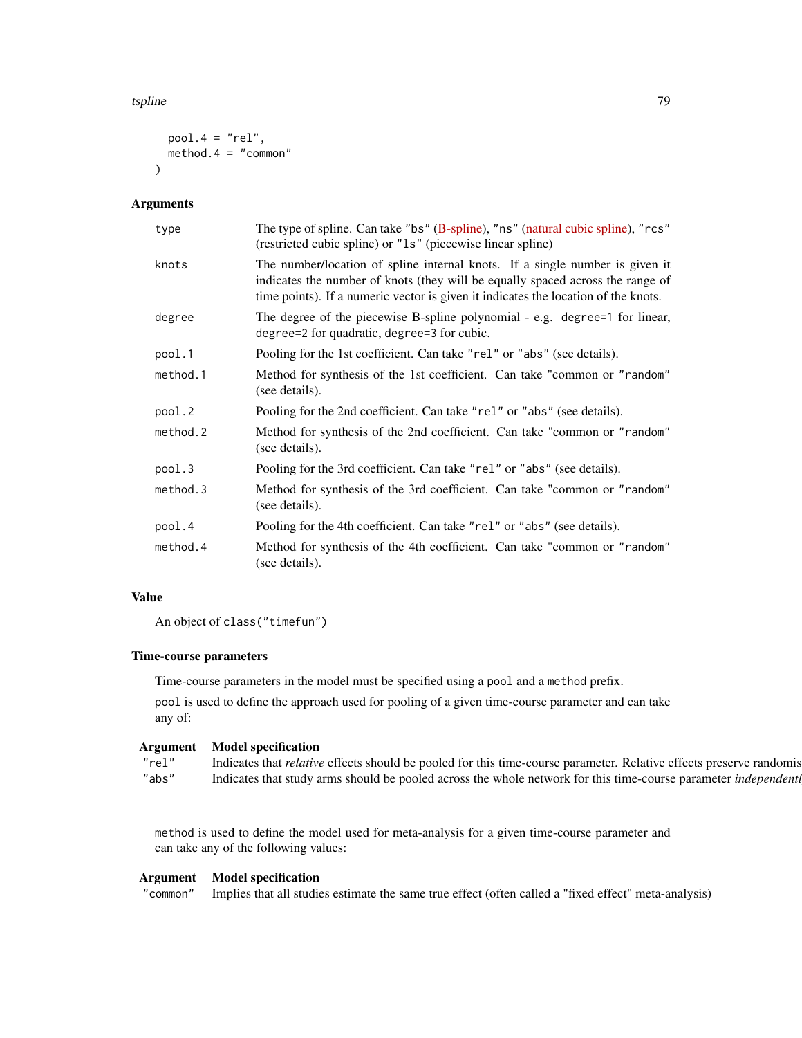#### tspline 79

```
pool.4 = "rel",method. 4 = "common"\lambda
```
#### Arguments

| type     | The type of spline. Can take "bs" (B-spline), "ns" (natural cubic spline), "rcs"<br>(restricted cubic spline) or "1s" (piecewise linear spline)                                                                                                      |  |
|----------|------------------------------------------------------------------------------------------------------------------------------------------------------------------------------------------------------------------------------------------------------|--|
| knots    | The number/location of spline internal knots. If a single number is given it<br>indicates the number of knots (they will be equally spaced across the range of<br>time points). If a numeric vector is given it indicates the location of the knots. |  |
| degree   | The degree of the piecewise B-spline polynomial - e.g. degree=1 for linear,<br>degree=2 for quadratic, degree=3 for cubic.                                                                                                                           |  |
| pool.1   | Pooling for the 1st coefficient. Can take "rel" or "abs" (see details).                                                                                                                                                                              |  |
| method.1 | Method for synthesis of the 1st coefficient. Can take "common or "random"<br>(see details).                                                                                                                                                          |  |
| pool.2   | Pooling for the 2nd coefficient. Can take "rel" or "abs" (see details).                                                                                                                                                                              |  |
| method.2 | Method for synthesis of the 2nd coefficient. Can take "common or "random"<br>(see details).                                                                                                                                                          |  |
| pool.3   | Pooling for the 3rd coefficient. Can take "rel" or "abs" (see details).                                                                                                                                                                              |  |
| method.3 | Method for synthesis of the 3rd coefficient. Can take "common or "random"<br>(see details).                                                                                                                                                          |  |
| pool.4   | Pooling for the 4th coefficient. Can take "rel" or "abs" (see details).                                                                                                                                                                              |  |
| method.4 | Method for synthesis of the 4th coefficient. Can take "common or "random"<br>(see details).                                                                                                                                                          |  |

#### Value

An object of class("timefun")

#### Time-course parameters

Time-course parameters in the model must be specified using a pool and a method prefix.

pool is used to define the approach used for pooling of a given time-course parameter and can take any of:

#### Argument Model specification

```
"rel" Indicates that relative effects should be pooled for this time-course parameter. Relative effects preserve randomis
"abs" Indicates that study arms should be pooled across the whole network for this time-course parameter independenti
```
method is used to define the model used for meta-analysis for a given time-course parameter and can take any of the following values:

#### Argument Model specification

"common" Implies that all studies estimate the same true effect (often called a "fixed effect" meta-analysis)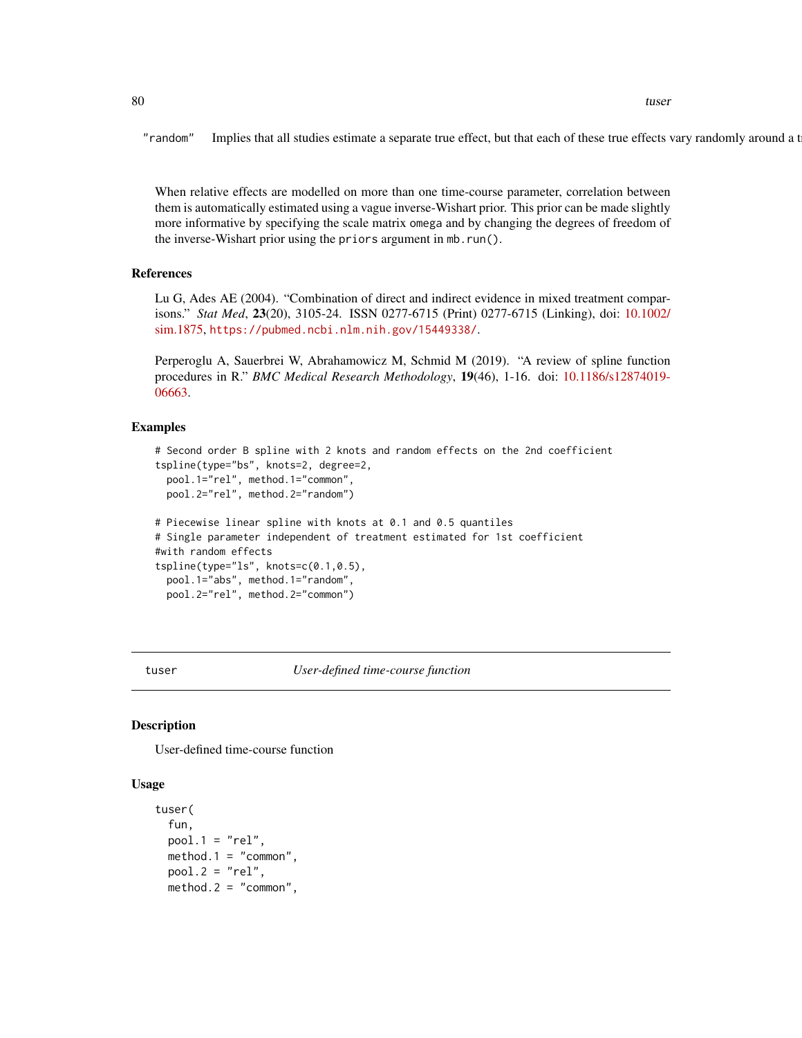<span id="page-79-0"></span>"random" Implies that all studies estimate a separate true effect, but that each of these true effects vary randomly around a t

When relative effects are modelled on more than one time-course parameter, correlation between them is automatically estimated using a vague inverse-Wishart prior. This prior can be made slightly more informative by specifying the scale matrix omega and by changing the degrees of freedom of the inverse-Wishart prior using the priors argument in mb.run().

## References

Lu G, Ades AE (2004). "Combination of direct and indirect evidence in mixed treatment comparisons." *Stat Med*, 23(20), 3105-24. ISSN 0277-6715 (Print) 0277-6715 (Linking), doi: [10.1002/](https://doi.org/10.1002/sim.1875) [sim.1875,](https://doi.org/10.1002/sim.1875) <https://pubmed.ncbi.nlm.nih.gov/15449338/>.

Perperoglu A, Sauerbrei W, Abrahamowicz M, Schmid M (2019). "A review of spline function procedures in R." *BMC Medical Research Methodology*, 19(46), 1-16. doi: [10.1186/s12874019-](https://doi.org/10.1186/s12874-019-0666-3) [06663.](https://doi.org/10.1186/s12874-019-0666-3)

#### Examples

```
# Second order B spline with 2 knots and random effects on the 2nd coefficient
tspline(type="bs", knots=2, degree=2,
 pool.1="rel", method.1="common",
 pool.2="rel", method.2="random")
# Piecewise linear spline with knots at 0.1 and 0.5 quantiles
# Single parameter independent of treatment estimated for 1st coefficient
#with random effects
tspline(type="ls", knots=c(0.1,0.5),
 pool.1="abs", method.1="random",
 pool.2="rel", method.2="common")
```
tuser *User-defined time-course function*

#### **Description**

User-defined time-course function

#### Usage

```
tuser(
  fun,
 pool.1 = "rel",method.1 = "common",pool.2 = "rel",method.2 = "common",
```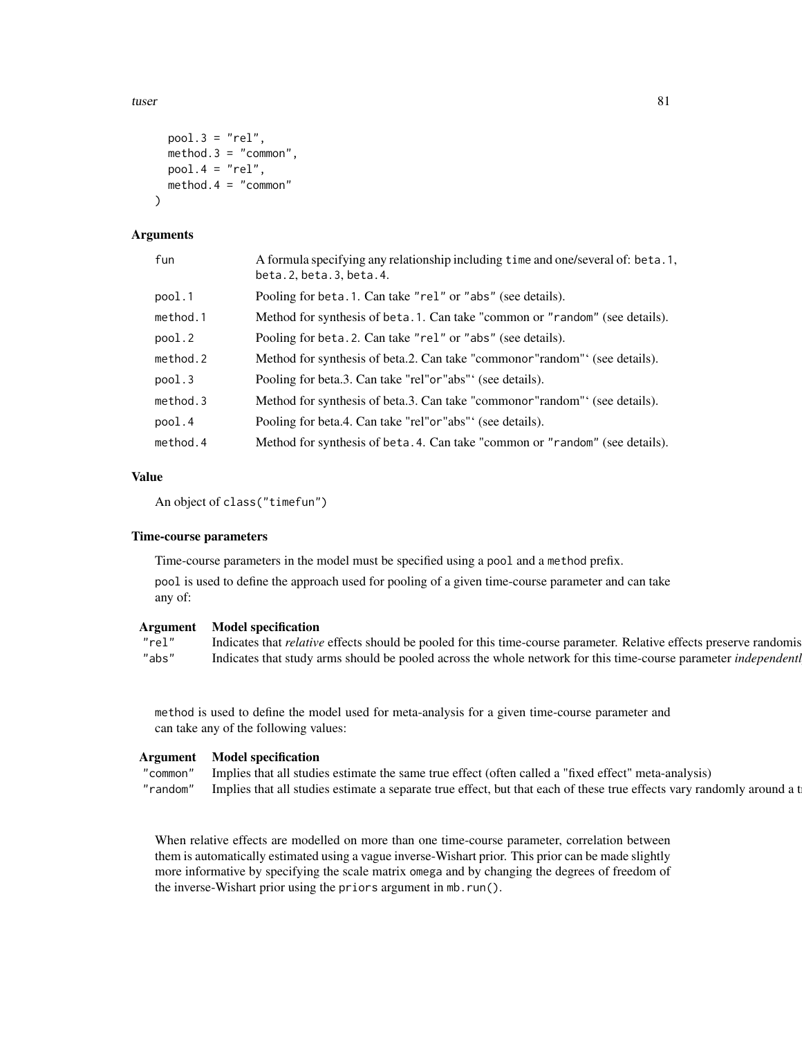tuser 81

```
pool.3 = "rel",method.3 = "common",
 pool.4 = "rel".method. 4 = "common")
```
#### Arguments

| fun      | A formula specifying any relationship including time and one/several of: beta.1,<br>beta. 2, beta. 3, beta. 4. |
|----------|----------------------------------------------------------------------------------------------------------------|
| pool.1   | Pooling for beta. 1. Can take "rel" or "abs" (see details).                                                    |
| method.1 | Method for synthesis of beta. 1. Can take "common or "random" (see details).                                   |
| pool.2   | Pooling for beta. 2. Can take "rel" or "abs" (see details).                                                    |
| method.2 | Method for synthesis of beta.2. Can take "commonor" random" (see details).                                     |
| pool.3   | Pooling for beta.3. Can take "rel" or "abs" ' (see details).                                                   |
| method.3 | Method for synthesis of beta.3. Can take "commonor" random" (see details).                                     |
| pool.4   | Pooling for beta.4. Can take "rel" or "abs" ' (see details).                                                   |
| method.4 | Method for synthesis of beta. 4. Can take "common or "random" (see details).                                   |

#### Value

An object of class("timefun")

#### Time-course parameters

Time-course parameters in the model must be specified using a pool and a method prefix.

pool is used to define the approach used for pooling of a given time-course parameter and can take any of:

# **Argument** Model specification<br>"rel" Indicates that *relative*

Indicates that *relative* effects should be pooled for this time-course parameter. Relative effects preserve randomis "abs" Indicates that study arms should be pooled across the whole network for this time-course parameter *independenti* 

method is used to define the model used for meta-analysis for a given time-course parameter and can take any of the following values:

## Argument Model specification

"common" Implies that all studies estimate the same true effect (often called a "fixed effect" meta-analysis)

"random" Implies that all studies estimate a separate true effect, but that each of these true effects vary randomly around a t

When relative effects are modelled on more than one time-course parameter, correlation between them is automatically estimated using a vague inverse-Wishart prior. This prior can be made slightly more informative by specifying the scale matrix omega and by changing the degrees of freedom of the inverse-Wishart prior using the priors argument in mb.run().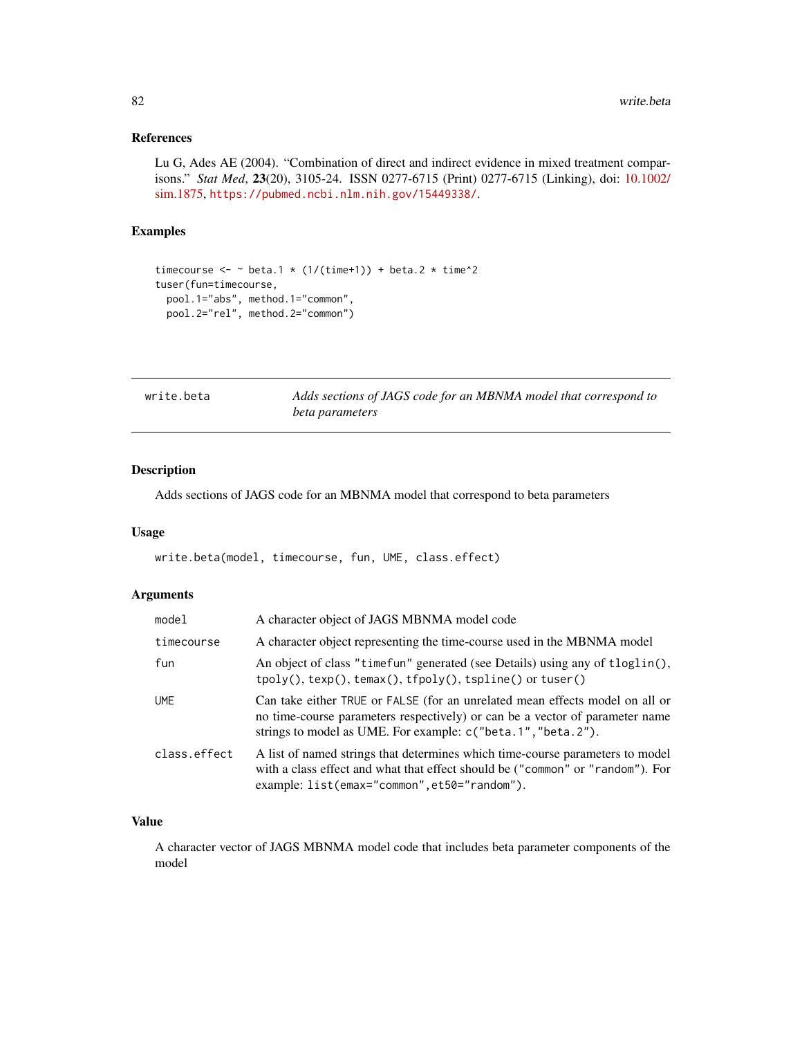## <span id="page-81-0"></span>References

Lu G, Ades AE (2004). "Combination of direct and indirect evidence in mixed treatment comparisons." *Stat Med*, 23(20), 3105-24. ISSN 0277-6715 (Print) 0277-6715 (Linking), doi: [10.1002/](https://doi.org/10.1002/sim.1875) [sim.1875,](https://doi.org/10.1002/sim.1875) <https://pubmed.ncbi.nlm.nih.gov/15449338/>.

## Examples

```
timecourse <- \sim beta.1 * (1/(time+1)) + beta.2 * time^2
tuser(fun=timecourse,
  pool.1="abs", method.1="common",
  pool.2="rel", method.2="common")
```

| write.beta | Adds sections of JAGS code for an MBNMA model that correspond to |
|------------|------------------------------------------------------------------|
|            | beta parameters                                                  |

## Description

Adds sections of JAGS code for an MBNMA model that correspond to beta parameters

#### Usage

```
write.beta(model, timecourse, fun, UME, class.effect)
```
## Arguments

| model        | A character object of JAGS MBNMA model code                                                                                                                                                                                  |
|--------------|------------------------------------------------------------------------------------------------------------------------------------------------------------------------------------------------------------------------------|
| timecourse   | A character object representing the time-course used in the MBNMA model                                                                                                                                                      |
| fun          | An object of class "timefun" generated (see Details) using any of tloglin(),<br>$tpoly(), texp(), temax(), tfpoly(), tsplit)$ or tuser()                                                                                     |
| <b>UME</b>   | Can take either TRUE or FALSE (for an unrelated mean effects model on all or<br>no time-course parameters respectively) or can be a vector of parameter name<br>strings to model as UME. For example: c("beta.1", "beta.2"). |
| class.effect | A list of named strings that determines which time-course parameters to model<br>with a class effect and what that effect should be ("common" or "random"). For<br>example: list(emax="common", et50="random").              |

## Value

A character vector of JAGS MBNMA model code that includes beta parameter components of the model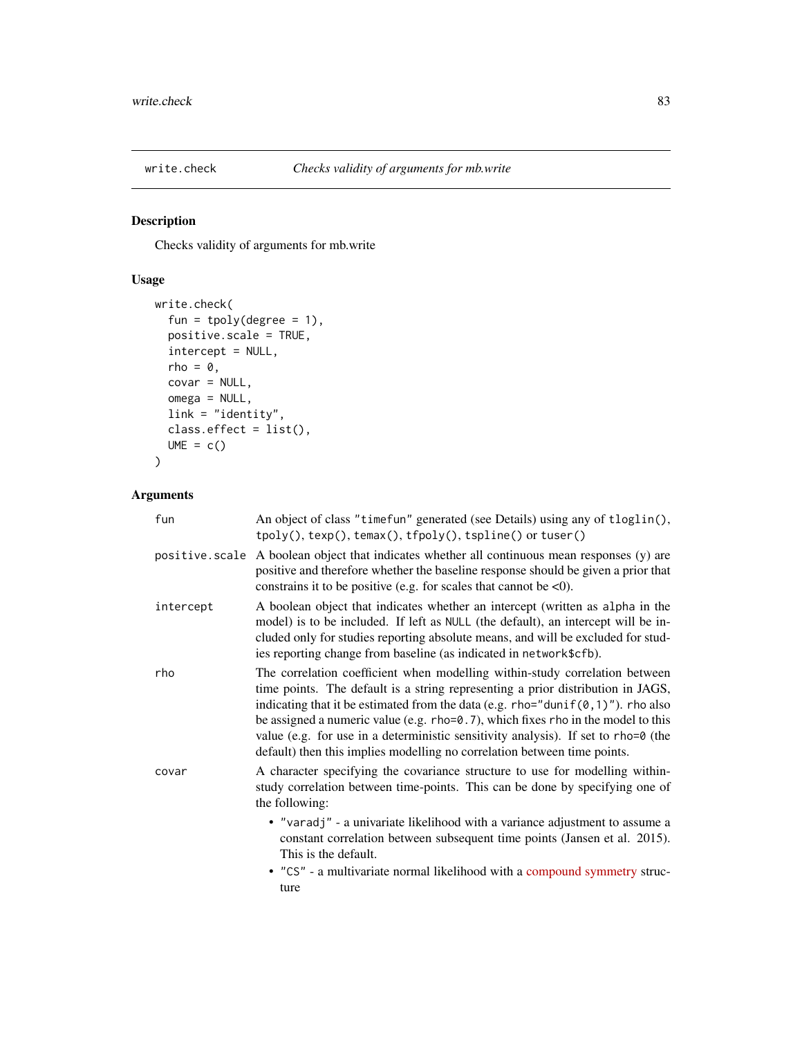<span id="page-82-0"></span>

## Description

Checks validity of arguments for mb.write

## Usage

```
write.check(
  fun = tpoly(degree = 1),
  positive.scale = TRUE,
  intercept = NULL,
  rho = 0,
  covar = NULL,
  omega = NULL,
  link = "identity",
  class.effect = list(),
  UME = c()\mathcal{L}
```

| fun       | An object of class "timefun" generated (see Details) using any of tloglin(),<br>tpoly(), texp(), temax(), tfpoly(), tspline() or tuser()                                                                                                                                                                                                                                                                                                                                                                            |
|-----------|---------------------------------------------------------------------------------------------------------------------------------------------------------------------------------------------------------------------------------------------------------------------------------------------------------------------------------------------------------------------------------------------------------------------------------------------------------------------------------------------------------------------|
|           | positive scale A boolean object that indicates whether all continuous mean responses (y) are<br>positive and therefore whether the baseline response should be given a prior that<br>constrains it to be positive (e.g. for scales that cannot be $\langle 0 \rangle$ ).                                                                                                                                                                                                                                            |
| intercept | A boolean object that indicates whether an intercept (written as alpha in the<br>model) is to be included. If left as NULL (the default), an intercept will be in-<br>cluded only for studies reporting absolute means, and will be excluded for stud-<br>ies reporting change from baseline (as indicated in network\$cfb).                                                                                                                                                                                        |
| rho       | The correlation coefficient when modelling within-study correlation between<br>time points. The default is a string representing a prior distribution in JAGS,<br>indicating that it be estimated from the data (e.g. $rho="right"dunif(0,1)$ "). rho also<br>be assigned a numeric value (e.g. $rho=0.7$ ), which fixes rho in the model to this<br>value (e.g. for use in a deterministic sensitivity analysis). If set to rho=0 (the<br>default) then this implies modelling no correlation between time points. |
| covar     | A character specifying the covariance structure to use for modelling within-<br>study correlation between time-points. This can be done by specifying one of<br>the following:                                                                                                                                                                                                                                                                                                                                      |
|           | • "varadj" - a univariate likelihood with a variance adjustment to assume a<br>constant correlation between subsequent time points (Jansen et al. 2015).<br>This is the default.<br>• "CS" - a multivariate normal likelihood with a compound symmetry struc-                                                                                                                                                                                                                                                       |
|           | ture                                                                                                                                                                                                                                                                                                                                                                                                                                                                                                                |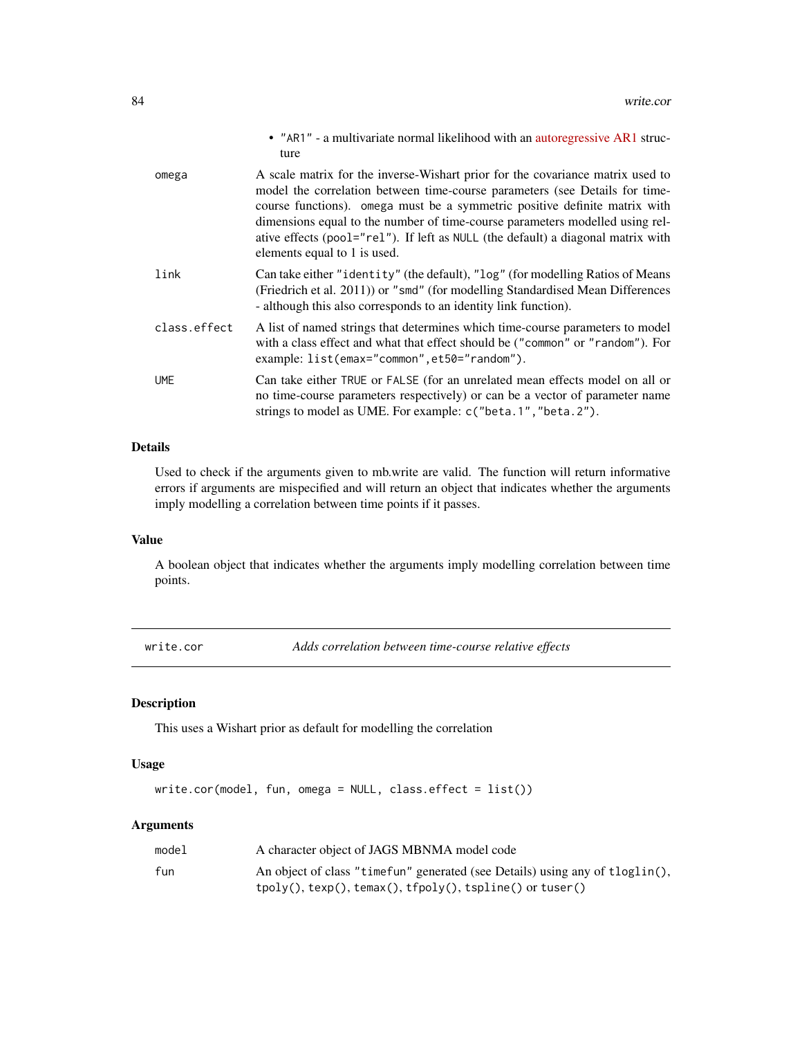<span id="page-83-0"></span>

|              | • "AR1" - a multivariate normal likelihood with an autoregressive AR1 struc-<br>ture                                                                                                                                                                                                                                                                                                                                                            |
|--------------|-------------------------------------------------------------------------------------------------------------------------------------------------------------------------------------------------------------------------------------------------------------------------------------------------------------------------------------------------------------------------------------------------------------------------------------------------|
| omega        | A scale matrix for the inverse-Wishart prior for the covariance matrix used to<br>model the correlation between time-course parameters (see Details for time-<br>course functions). omega must be a symmetric positive definite matrix with<br>dimensions equal to the number of time-course parameters modelled using rel-<br>ative effects (pool="rel"). If left as NULL (the default) a diagonal matrix with<br>elements equal to 1 is used. |
| link         | Can take either "identity" (the default), "log" (for modelling Ratios of Means<br>(Friedrich et al. 2011)) or "smd" (for modelling Standardised Mean Differences<br>- although this also corresponds to an identity link function).                                                                                                                                                                                                             |
| class.effect | A list of named strings that determines which time-course parameters to model<br>with a class effect and what that effect should be ("common" or "random"). For<br>example: list(emax="common", et50="random").                                                                                                                                                                                                                                 |
| <b>UME</b>   | Can take either TRUE or FALSE (for an unrelated mean effects model on all or<br>no time-course parameters respectively) or can be a vector of parameter name<br>strings to model as UME. For example: c("beta.1", "beta.2").                                                                                                                                                                                                                    |

## Details

Used to check if the arguments given to mb.write are valid. The function will return informative errors if arguments are mispecified and will return an object that indicates whether the arguments imply modelling a correlation between time points if it passes.

#### Value

A boolean object that indicates whether the arguments imply modelling correlation between time points.

write.cor *Adds correlation between time-course relative effects*

## Description

This uses a Wishart prior as default for modelling the correlation

#### Usage

```
write.cor(model, fun, omega = NULL, class.effect = list())
```

| model | A character object of JAGS MBNMA model code                                  |
|-------|------------------------------------------------------------------------------|
| fun   | An object of class "timefun" generated (see Details) using any of tloglin(), |
|       | $tpoly(), texp(), temax(), tfpoly(), tspline() or tuser()$                   |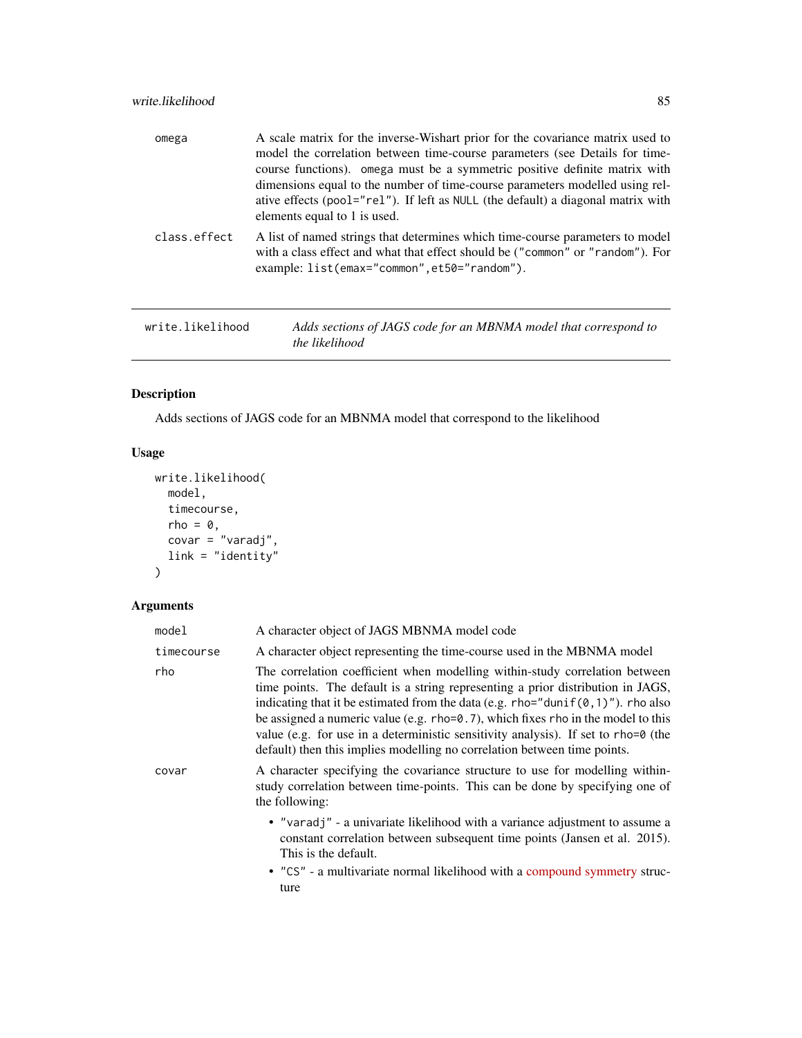<span id="page-84-0"></span>

| omega            | A scale matrix for the inverse-Wishart prior for the covariance matrix used to<br>model the correlation between time-course parameters (see Details for time-<br>course functions). omega must be a symmetric positive definite matrix with<br>dimensions equal to the number of time-course parameters modelled using rel-<br>ative effects (pool="rel"). If left as NULL (the default) a diagonal matrix with<br>elements equal to 1 is used. |
|------------------|-------------------------------------------------------------------------------------------------------------------------------------------------------------------------------------------------------------------------------------------------------------------------------------------------------------------------------------------------------------------------------------------------------------------------------------------------|
| class.effect     | A list of named strings that determines which time-course parameters to model<br>with a class effect and what that effect should be ("common" or "random"). For<br>example: list(emax="common", et50="random").                                                                                                                                                                                                                                 |
| write.likelihood | Adds sections of JAGS code for an MBNMA model that correspond to                                                                                                                                                                                                                                                                                                                                                                                |

# Description

Adds sections of JAGS code for an MBNMA model that correspond to the likelihood

*the likelihood*

## Usage

```
write.likelihood(
 model,
 timecourse,
 rho = 0,
 covar = "varadj",link = "identity")
```

| model      | A character object of JAGS MBNMA model code                                                                                                                                                                                                                                                                                                                                                                                                                                                                        |
|------------|--------------------------------------------------------------------------------------------------------------------------------------------------------------------------------------------------------------------------------------------------------------------------------------------------------------------------------------------------------------------------------------------------------------------------------------------------------------------------------------------------------------------|
| timecourse | A character object representing the time-course used in the MBNMA model                                                                                                                                                                                                                                                                                                                                                                                                                                            |
| rho        | The correlation coefficient when modelling within-study correlation between<br>time points. The default is a string representing a prior distribution in JAGS,<br>indicating that it be estimated from the data (e.g. $rho="right"dunif(0,1)$ "). rho also<br>be assigned a numeric value (e.g. rho=0.7), which fixes rho in the model to this<br>value (e.g. for use in a deterministic sensitivity analysis). If set to $rho=0$ (the<br>default) then this implies modelling no correlation between time points. |
| covar      | A character specifying the covariance structure to use for modelling within-<br>study correlation between time-points. This can be done by specifying one of<br>the following:                                                                                                                                                                                                                                                                                                                                     |
|            | • "varadj" - a univariate likelihood with a variance adjustment to assume a<br>constant correlation between subsequent time points (Jansen et al. 2015).<br>This is the default.<br>• "CS" - a multivariate normal likelihood with a compound symmetry struc-<br>ture                                                                                                                                                                                                                                              |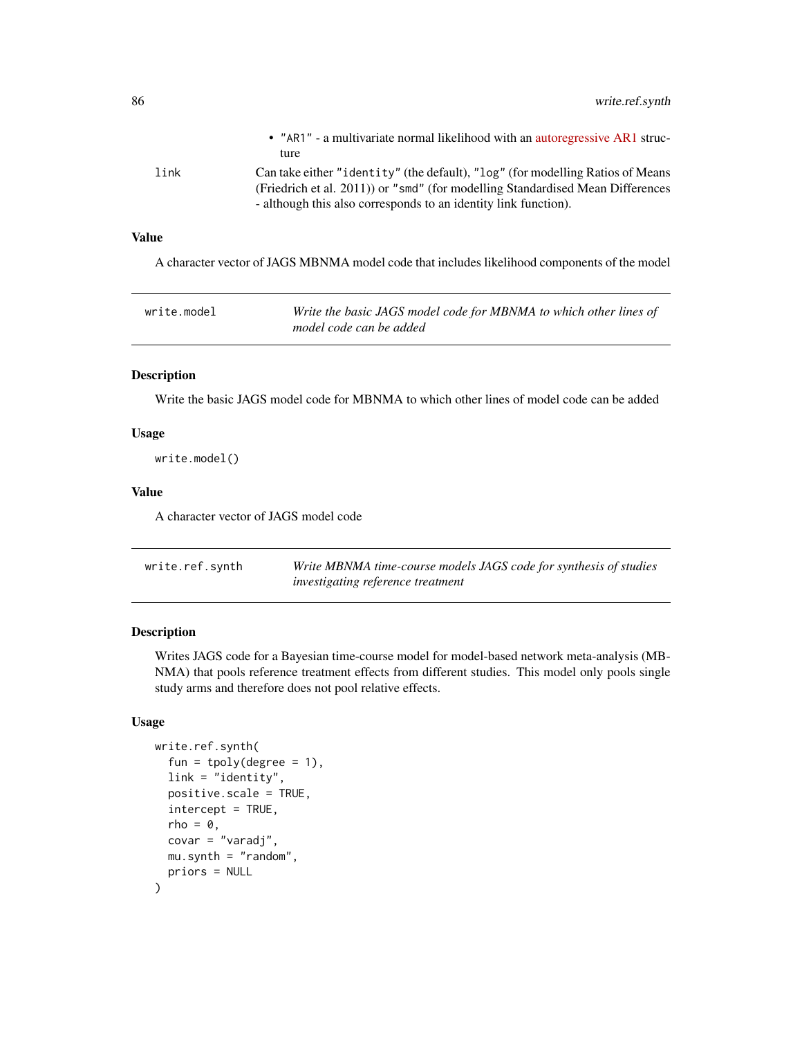<span id="page-85-0"></span>

|      | • "AR1" - a multivariate normal likelihood with an autoregressive AR1 struc-                                                                                                                                                        |
|------|-------------------------------------------------------------------------------------------------------------------------------------------------------------------------------------------------------------------------------------|
|      | ture                                                                                                                                                                                                                                |
| link | Can take either "identity" (the default), "log" (for modelling Ratios of Means<br>(Friedrich et al. 2011)) or "smd" (for modelling Standardised Mean Differences<br>- although this also corresponds to an identity link function). |

## Value

A character vector of JAGS MBNMA model code that includes likelihood components of the model

| write.model | Write the basic JAGS model code for MBNMA to which other lines of |
|-------------|-------------------------------------------------------------------|
|             | model code can be added                                           |

## Description

Write the basic JAGS model code for MBNMA to which other lines of model code can be added

## Usage

write.model()

#### Value

A character vector of JAGS model code

| write.ref.synth | Write MBNMA time-course models JAGS code for synthesis of studies |
|-----------------|-------------------------------------------------------------------|
|                 | <i>investigating reference treatment</i>                          |

## Description

Writes JAGS code for a Bayesian time-course model for model-based network meta-analysis (MB-NMA) that pools reference treatment effects from different studies. This model only pools single study arms and therefore does not pool relative effects.

## Usage

```
write.ref.synth(
  fun = tpoly(degree = 1),
  link = "identity",
  positive.scale = TRUE,
  intercept = TRUE,
  rho = \theta,
  covar = "varadj",mu.synth = "random",
  priors = NULL
\mathcal{E}
```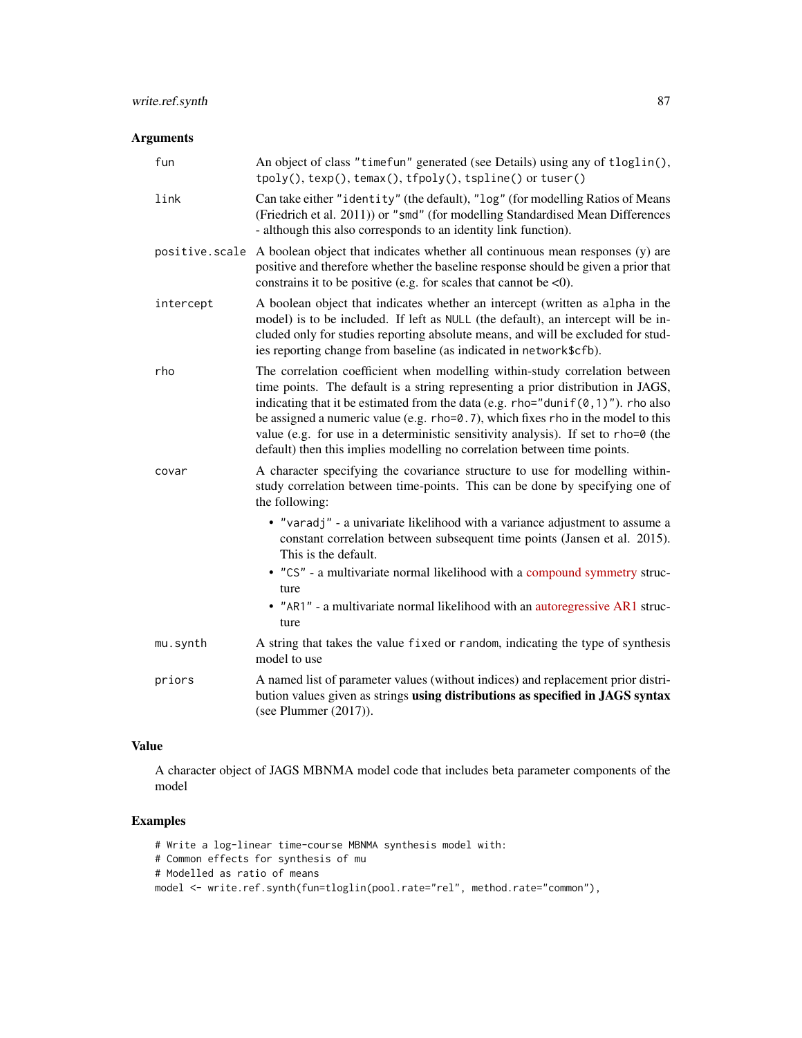## Arguments

| fun            | An object of class "timefun" generated (see Details) using any of tloglin(),<br>tpoly(), texp(), temax(), tfpoly(), tspline() or tuser()                                                                                                                                                                                                                                                                                                                                                                        |
|----------------|-----------------------------------------------------------------------------------------------------------------------------------------------------------------------------------------------------------------------------------------------------------------------------------------------------------------------------------------------------------------------------------------------------------------------------------------------------------------------------------------------------------------|
| link           | Can take either "identity" (the default), "log" (for modelling Ratios of Means<br>(Friedrich et al. 2011)) or "smd" (for modelling Standardised Mean Differences<br>- although this also corresponds to an identity link function).                                                                                                                                                                                                                                                                             |
| positive.scale | A boolean object that indicates whether all continuous mean responses (y) are<br>positive and therefore whether the baseline response should be given a prior that<br>constrains it to be positive (e.g. for scales that cannot be $\langle 0 \rangle$ ).                                                                                                                                                                                                                                                       |
| intercept      | A boolean object that indicates whether an intercept (written as alpha in the<br>model) is to be included. If left as NULL (the default), an intercept will be in-<br>cluded only for studies reporting absolute means, and will be excluded for stud-<br>ies reporting change from baseline (as indicated in network\$cfb).                                                                                                                                                                                    |
| rho            | The correlation coefficient when modelling within-study correlation between<br>time points. The default is a string representing a prior distribution in JAGS,<br>indicating that it be estimated from the data (e.g. rho="dunif( $0, 1$ )"). rho also<br>be assigned a numeric value (e.g. $rho=0.7$ ), which fixes rho in the model to this<br>value (e.g. for use in a deterministic sensitivity analysis). If set to rho=0 (the<br>default) then this implies modelling no correlation between time points. |
| covar          | A character specifying the covariance structure to use for modelling within-<br>study correlation between time-points. This can be done by specifying one of<br>the following:                                                                                                                                                                                                                                                                                                                                  |
|                | • "varadj" - a univariate likelihood with a variance adjustment to assume a<br>constant correlation between subsequent time points (Jansen et al. 2015).<br>This is the default.                                                                                                                                                                                                                                                                                                                                |
|                | • "CS" - a multivariate normal likelihood with a compound symmetry struc-<br>ture                                                                                                                                                                                                                                                                                                                                                                                                                               |
|                | • "AR1" - a multivariate normal likelihood with an autoregressive AR1 struc-<br>ture                                                                                                                                                                                                                                                                                                                                                                                                                            |
| mu.synth       | A string that takes the value fixed or random, indicating the type of synthesis<br>model to use                                                                                                                                                                                                                                                                                                                                                                                                                 |
| priors         | A named list of parameter values (without indices) and replacement prior distri-<br>bution values given as strings using distributions as specified in JAGS syntax<br>(see Plummer $(2017)$ ).                                                                                                                                                                                                                                                                                                                  |

## Value

A character object of JAGS MBNMA model code that includes beta parameter components of the model

## Examples

```
# Write a log-linear time-course MBNMA synthesis model with:
# Common effects for synthesis of mu
# Modelled as ratio of means
model <- write.ref.synth(fun=tloglin(pool.rate="rel", method.rate="common"),
```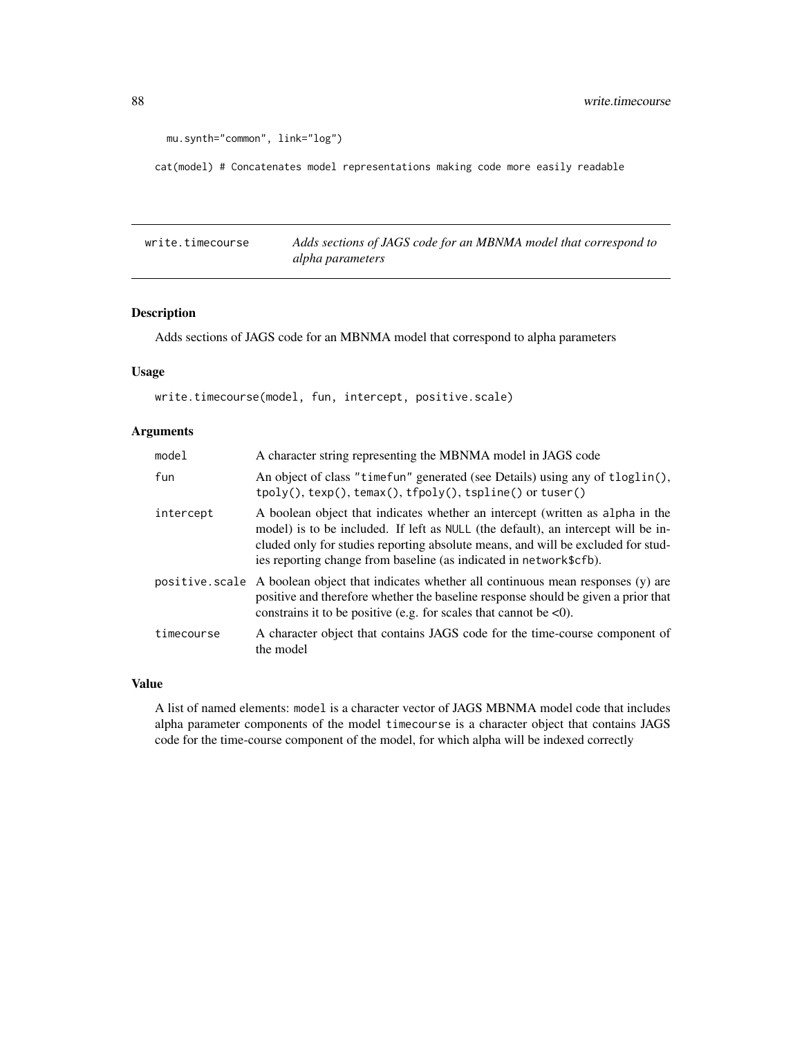```
mu.synth="common", link="log")
```
cat(model) # Concatenates model representations making code more easily readable

write.timecourse *Adds sections of JAGS code for an MBNMA model that correspond to alpha parameters*

#### Description

Adds sections of JAGS code for an MBNMA model that correspond to alpha parameters

## Usage

write.timecourse(model, fun, intercept, positive.scale)

#### Arguments

| model      | A character string representing the MBNMA model in JAGS code                                                                                                                                                                                                                                                                 |
|------------|------------------------------------------------------------------------------------------------------------------------------------------------------------------------------------------------------------------------------------------------------------------------------------------------------------------------------|
| fun        | An object of class "timefun" generated (see Details) using any of tloglin(),<br>tpoly(), texp(), temax(), tfpoly(), tspline() or tuser()                                                                                                                                                                                     |
| intercept  | A boolean object that indicates whether an intercept (written as alpha in the<br>model) is to be included. If left as NULL (the default), an intercept will be in-<br>cluded only for studies reporting absolute means, and will be excluded for stud-<br>ies reporting change from baseline (as indicated in network\$cfb). |
|            | positive scale A boolean object that indicates whether all continuous mean responses (y) are<br>positive and therefore whether the baseline response should be given a prior that<br>constrains it to be positive (e.g. for scales that cannot be $\langle 0 \rangle$ ).                                                     |
| timecourse | A character object that contains JAGS code for the time-course component of<br>the model                                                                                                                                                                                                                                     |

#### Value

A list of named elements: model is a character vector of JAGS MBNMA model code that includes alpha parameter components of the model timecourse is a character object that contains JAGS code for the time-course component of the model, for which alpha will be indexed correctly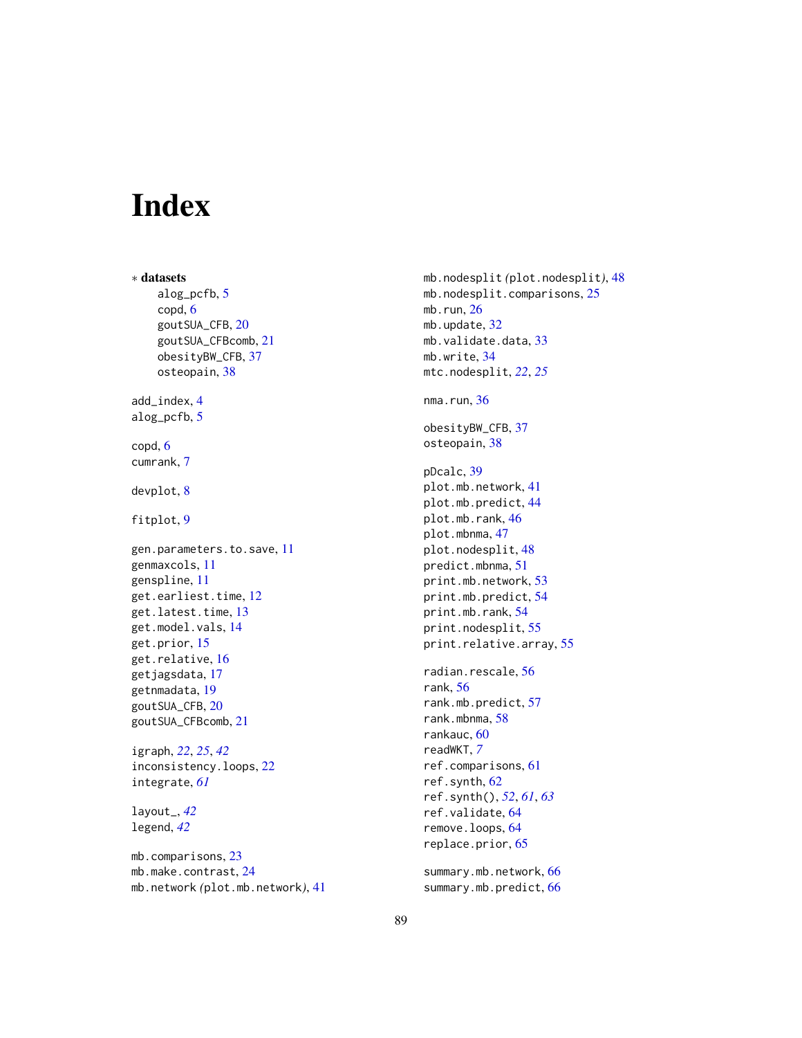# Index

∗ datasets alog\_pcfb, [5](#page-4-0) copd, [6](#page-5-0) goutSUA\_CFB, [20](#page-19-0) goutSUA\_CFBcomb, [21](#page-20-0) obesityBW\_CFB, [37](#page-36-0) osteopain, [38](#page-37-0) add\_index, [4](#page-3-0) alog\_pcfb, [5](#page-4-0) copd, [6](#page-5-0) cumrank, [7](#page-6-0) devplot, [8](#page-7-0) fitplot, [9](#page-8-0) gen.parameters.to.save, [11](#page-10-0) genmaxcols, [11](#page-10-0) genspline, [11](#page-10-0) get.earliest.time, [12](#page-11-0) get.latest.time, [13](#page-12-0) get.model.vals, [14](#page-13-0) get.prior, [15](#page-14-0) get.relative, [16](#page-15-0) getjagsdata, [17](#page-16-0) getnmadata, [19](#page-18-0) goutSUA\_CFB, [20](#page-19-0) goutSUA\_CFBcomb, [21](#page-20-0) igraph, *[22](#page-21-0)*, *[25](#page-24-0)*, *[42](#page-41-0)* inconsistency.loops, [22](#page-21-0) integrate, *[61](#page-60-0)* layout\_, *[42](#page-41-0)* legend, *[42](#page-41-0)*

mb.comparisons, [23](#page-22-0) mb.make.contrast, [24](#page-23-0) mb.network *(*plot.mb.network*)*, [41](#page-40-0) mb.nodesplit *(*plot.nodesplit*)*, [48](#page-47-0) mb.nodesplit.comparisons, [25](#page-24-0) mb.run,  $26$ mb.update, [32](#page-31-0) mb.validate.data, [33](#page-32-0) mb.write, [34](#page-33-0) mtc.nodesplit, *[22](#page-21-0)*, *[25](#page-24-0)* nma.run,  $36$ obesityBW\_CFB, [37](#page-36-0) osteopain, [38](#page-37-0) pDcalc, [39](#page-38-0) plot.mb.network, [41](#page-40-0) plot.mb.predict, [44](#page-43-0) plot.mb.rank, [46](#page-45-0) plot.mbnma, [47](#page-46-0) plot.nodesplit, [48](#page-47-0) predict.mbnma, [51](#page-50-0) print.mb.network, [53](#page-52-0) print.mb.predict, [54](#page-53-0) print.mb.rank, [54](#page-53-0) print.nodesplit, [55](#page-54-0) print.relative.array, [55](#page-54-0) radian.rescale, [56](#page-55-0) rank, [56](#page-55-0) rank.mb.predict, [57](#page-56-0) rank.mbnma, [58](#page-57-0) rankauc, [60](#page-59-0) readWKT, *[7](#page-6-0)* ref.comparisons, [61](#page-60-0) ref.synth, [62](#page-61-0) ref.synth(), *[52](#page-51-0)*, *[61](#page-60-0)*, *[63](#page-62-0)* ref.validate, [64](#page-63-0) remove.loops, [64](#page-63-0) replace.prior, [65](#page-64-0) summary.mb.network, [66](#page-65-0) summary.mb.predict, [66](#page-65-0)